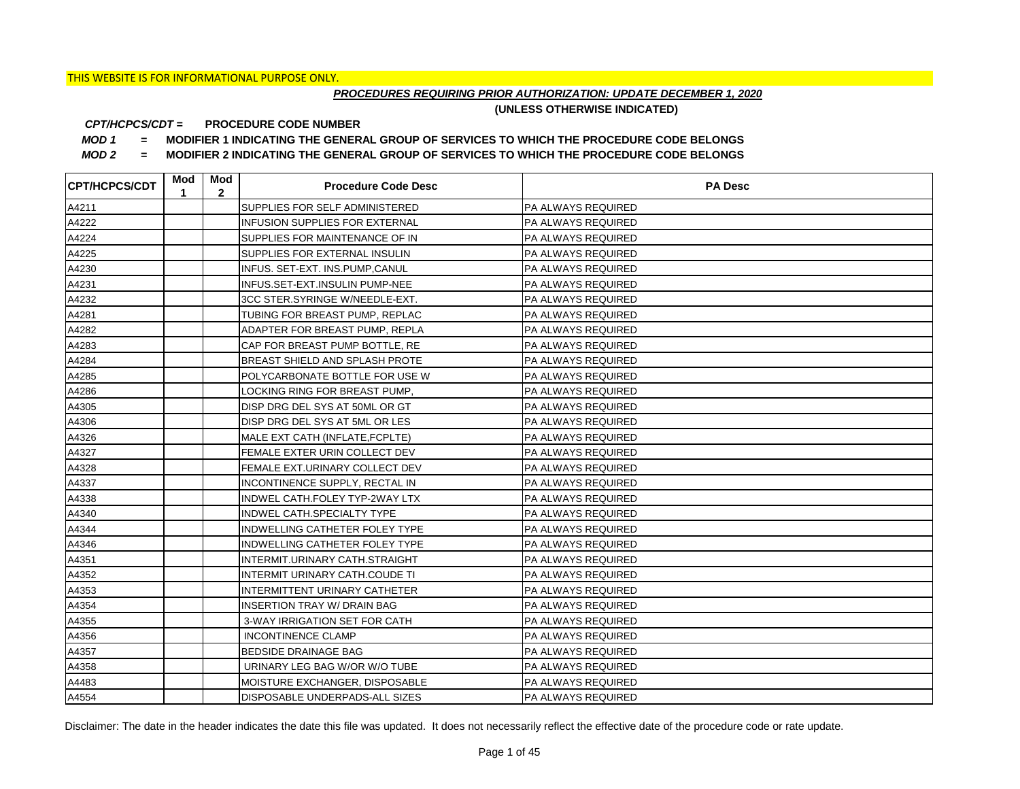## *PROCEDURES REQUIRING PRIOR AUTHORIZATION: UPDATE DECEMBER 1, 2020*

**(UNLESS OTHERWISE INDICATED)**

#### **PROCEDURE CODE NUMBER** *CPT/HCPCS/CDT =*

*MOD 1 =* **MODIFIER 1 INDICATING THE GENERAL GROUP OF SERVICES TO WHICH THE PROCEDURE CODE BELONGS**

*MOD 2 =* **MODIFIER 2 INDICATING THE GENERAL GROUP OF SERVICES TO WHICH THE PROCEDURE CODE BELONGS**

| <b>CPT/HCPCS/CDT</b> | Mod<br>1 | Mod<br>$\mathbf{2}$ | <b>Procedure Code Desc</b>             | <b>PA Desc</b>            |
|----------------------|----------|---------------------|----------------------------------------|---------------------------|
| A4211                |          |                     | SUPPLIES FOR SELF ADMINISTERED         | <b>PA ALWAYS REQUIRED</b> |
| A4222                |          |                     | <b>INFUSION SUPPLIES FOR EXTERNAL</b>  | <b>PA ALWAYS REQUIRED</b> |
| A4224                |          |                     | SUPPLIES FOR MAINTENANCE OF IN         | <b>PA ALWAYS REQUIRED</b> |
| A4225                |          |                     | SUPPLIES FOR EXTERNAL INSULIN          | <b>PA ALWAYS REQUIRED</b> |
| A4230                |          |                     | INFUS. SET-EXT. INS.PUMP,CANUL         | PA ALWAYS REQUIRED        |
| A4231                |          |                     | INFUS.SET-EXT.INSULIN PUMP-NEE         | <b>PA ALWAYS REQUIRED</b> |
| A4232                |          |                     | 3CC STER.SYRINGE W/NEEDLE-EXT.         | <b>PA ALWAYS REQUIRED</b> |
| A4281                |          |                     | TUBING FOR BREAST PUMP, REPLAC         | PA ALWAYS REQUIRED        |
| A4282                |          |                     | ADAPTER FOR BREAST PUMP, REPLA         | PA ALWAYS REQUIRED        |
| A4283                |          |                     | CAP FOR BREAST PUMP BOTTLE, RE         | PA ALWAYS REQUIRED        |
| A4284                |          |                     | BREAST SHIELD AND SPLASH PROTE         | PA ALWAYS REQUIRED        |
| A4285                |          |                     | POLYCARBONATE BOTTLE FOR USE W         | <b>PA ALWAYS REQUIRED</b> |
| A4286                |          |                     | LOCKING RING FOR BREAST PUMP,          | <b>PA ALWAYS REQUIRED</b> |
| A4305                |          |                     | DISP DRG DEL SYS AT 50ML OR GT         | <b>PA ALWAYS REQUIRED</b> |
| A4306                |          |                     | DISP DRG DEL SYS AT 5ML OR LES         | <b>PA ALWAYS REQUIRED</b> |
| A4326                |          |                     | MALE EXT CATH (INFLATE, FCPLTE)        | <b>PA ALWAYS REQUIRED</b> |
| A4327                |          |                     | FEMALE EXTER URIN COLLECT DEV          | PA ALWAYS REQUIRED        |
| A4328                |          |                     | <b>IFEMALE EXT.URINARY COLLECT DEV</b> | <b>PA ALWAYS REQUIRED</b> |
| A4337                |          |                     | <b>INCONTINENCE SUPPLY, RECTAL IN</b>  | <b>PA ALWAYS REQUIRED</b> |
| A4338                |          |                     | <b>INDWEL CATH.FOLEY TYP-2WAY LTX</b>  | <b>PA ALWAYS REQUIRED</b> |
| A4340                |          |                     | INDWEL CATH.SPECIALTY TYPE             | <b>PA ALWAYS REQUIRED</b> |
| A4344                |          |                     | <b>INDWELLING CATHETER FOLEY TYPE</b>  | PA ALWAYS REQUIRED        |
| A4346                |          |                     | <b>INDWELLING CATHETER FOLEY TYPE</b>  | <b>PA ALWAYS REQUIRED</b> |
| A4351                |          |                     | INTERMIT.URINARY CATH.STRAIGHT         | <b>PA ALWAYS REQUIRED</b> |
| A4352                |          |                     | INTERMIT URINARY CATH.COUDE TI         | <b>PA ALWAYS REQUIRED</b> |
| A4353                |          |                     | <b>INTERMITTENT URINARY CATHETER</b>   | <b>PA ALWAYS REQUIRED</b> |
| A4354                |          |                     | <b>INSERTION TRAY W/ DRAIN BAG</b>     | <b>PA ALWAYS REQUIRED</b> |
| A4355                |          |                     | 3-WAY IRRIGATION SET FOR CATH          | PA ALWAYS REQUIRED        |
| A4356                |          |                     | <b>INCONTINENCE CLAMP</b>              | <b>PA ALWAYS REQUIRED</b> |
| A4357                |          |                     | <b>BEDSIDE DRAINAGE BAG</b>            | <b>PA ALWAYS REQUIRED</b> |
| A4358                |          |                     | URINARY LEG BAG W/OR W/O TUBE          | <b>PA ALWAYS REQUIRED</b> |
| A4483                |          |                     | MOISTURE EXCHANGER, DISPOSABLE         | <b>PA ALWAYS REQUIRED</b> |
| A4554                |          |                     | <b>DISPOSABLE UNDERPADS-ALL SIZES</b>  | <b>PA ALWAYS REQUIRED</b> |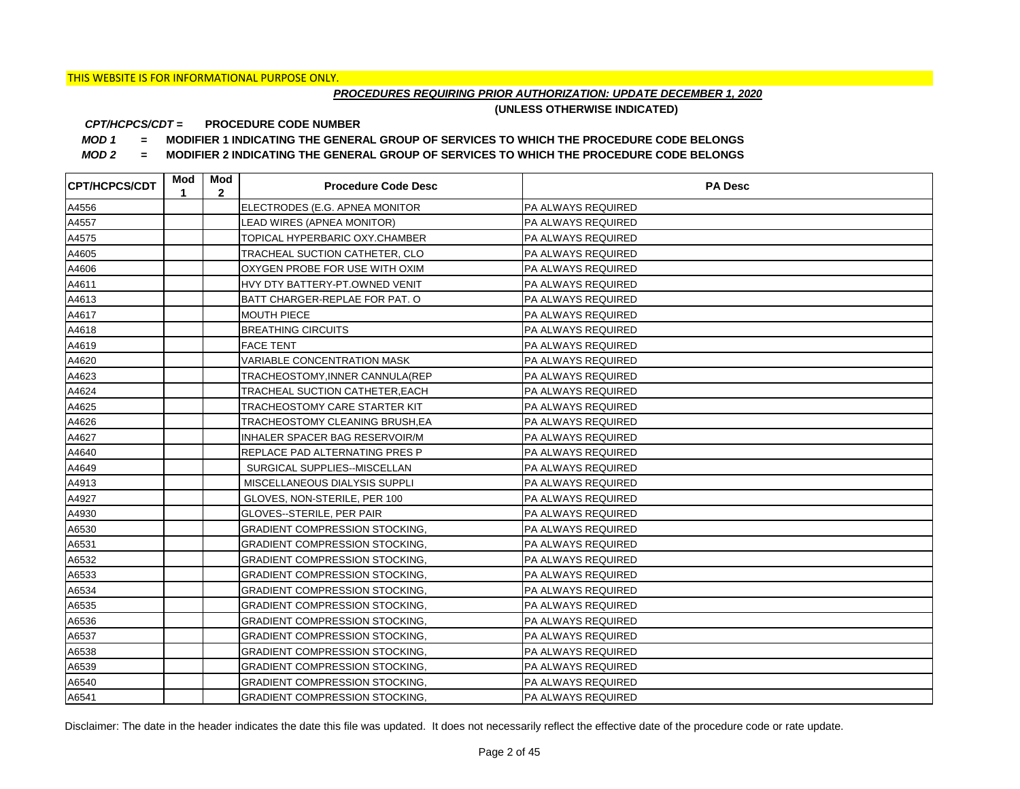## *PROCEDURES REQUIRING PRIOR AUTHORIZATION: UPDATE DECEMBER 1, 2020*

**(UNLESS OTHERWISE INDICATED)**

#### **PROCEDURE CODE NUMBER** *CPT/HCPCS/CDT =*

*MOD 1 =* **MODIFIER 1 INDICATING THE GENERAL GROUP OF SERVICES TO WHICH THE PROCEDURE CODE BELONGS**

*MOD 2 =* **MODIFIER 2 INDICATING THE GENERAL GROUP OF SERVICES TO WHICH THE PROCEDURE CODE BELONGS**

| <b>CPT/HCPCS/CDT</b> | Mod<br>1 | Mod<br>$\overline{2}$ | <b>Procedure Code Desc</b>            | <b>PA Desc</b>            |
|----------------------|----------|-----------------------|---------------------------------------|---------------------------|
| A4556                |          |                       | ELECTRODES (E.G. APNEA MONITOR        | <b>PA ALWAYS REQUIRED</b> |
| A4557                |          |                       | LEAD WIRES (APNEA MONITOR)            | <b>PA ALWAYS REQUIRED</b> |
| A4575                |          |                       | TOPICAL HYPERBARIC OXY.CHAMBER        | <b>PA ALWAYS REQUIRED</b> |
| A4605                |          |                       | TRACHEAL SUCTION CATHETER, CLO        | <b>PA ALWAYS REQUIRED</b> |
| A4606                |          |                       | OXYGEN PROBE FOR USE WITH OXIM        | PA ALWAYS REQUIRED        |
| A4611                |          |                       | HVY DTY BATTERY-PT.OWNED VENIT        | PA ALWAYS REQUIRED        |
| A4613                |          |                       | BATT CHARGER-REPLAE FOR PAT. O        | <b>PA ALWAYS REQUIRED</b> |
| A4617                |          |                       | <b>MOUTH PIECE</b>                    | <b>PA ALWAYS REQUIRED</b> |
| A4618                |          |                       | <b>BREATHING CIRCUITS</b>             | <b>PA ALWAYS REQUIRED</b> |
| A4619                |          |                       | <b>FACE TENT</b>                      | <b>PA ALWAYS REQUIRED</b> |
| A4620                |          |                       | <b>VARIABLE CONCENTRATION MASK</b>    | <b>PA ALWAYS REQUIRED</b> |
| A4623                |          |                       | TRACHEOSTOMY, INNER CANNULA (REP      | <b>PA ALWAYS REQUIRED</b> |
| A4624                |          |                       | TRACHEAL SUCTION CATHETER, EACH       | <b>PA ALWAYS REQUIRED</b> |
| A4625                |          |                       | TRACHEOSTOMY CARE STARTER KIT         | <b>PA ALWAYS REQUIRED</b> |
| A4626                |          |                       | TRACHEOSTOMY CLEANING BRUSH, EA       | PA ALWAYS REQUIRED        |
| A4627                |          |                       | INHALER SPACER BAG RESERVOIR/M        | PA ALWAYS REQUIRED        |
| A4640                |          |                       | REPLACE PAD ALTERNATING PRES P        | PA ALWAYS REQUIRED        |
| A4649                |          |                       | SURGICAL SUPPLIES--MISCELLAN          | PA ALWAYS REQUIRED        |
| A4913                |          |                       | MISCELLANEOUS DIALYSIS SUPPLI         | PA ALWAYS REQUIRED        |
| A4927                |          |                       | GLOVES, NON-STERILE, PER 100          | <b>PA ALWAYS REQUIRED</b> |
| A4930                |          |                       | GLOVES--STERILE, PER PAIR             | PA ALWAYS REQUIRED        |
| A6530                |          |                       | <b>GRADIENT COMPRESSION STOCKING,</b> | PA ALWAYS REQUIRED        |
| A6531                |          |                       | <b>GRADIENT COMPRESSION STOCKING,</b> | PA ALWAYS REQUIRED        |
| A6532                |          |                       | <b>GRADIENT COMPRESSION STOCKING</b>  | PA ALWAYS REQUIRED        |
| A6533                |          |                       | <b>GRADIENT COMPRESSION STOCKING,</b> | <b>PA ALWAYS REQUIRED</b> |
| A6534                |          |                       | <b>GRADIENT COMPRESSION STOCKING,</b> | PA ALWAYS REQUIRED        |
| A6535                |          |                       | <b>GRADIENT COMPRESSION STOCKING.</b> | PA ALWAYS REQUIRED        |
| A6536                |          |                       | <b>GRADIENT COMPRESSION STOCKING,</b> | PA ALWAYS REQUIRED        |
| A6537                |          |                       | <b>GRADIENT COMPRESSION STOCKING,</b> | PA ALWAYS REQUIRED        |
| A6538                |          |                       | <b>GRADIENT COMPRESSION STOCKING.</b> | PA ALWAYS REQUIRED        |
| A6539                |          |                       | <b>GRADIENT COMPRESSION STOCKING,</b> | PA ALWAYS REQUIRED        |
| A6540                |          |                       | <b>GRADIENT COMPRESSION STOCKING,</b> | PA ALWAYS REQUIRED        |
| A6541                |          |                       | <b>GRADIENT COMPRESSION STOCKING,</b> | <b>PA ALWAYS REQUIRED</b> |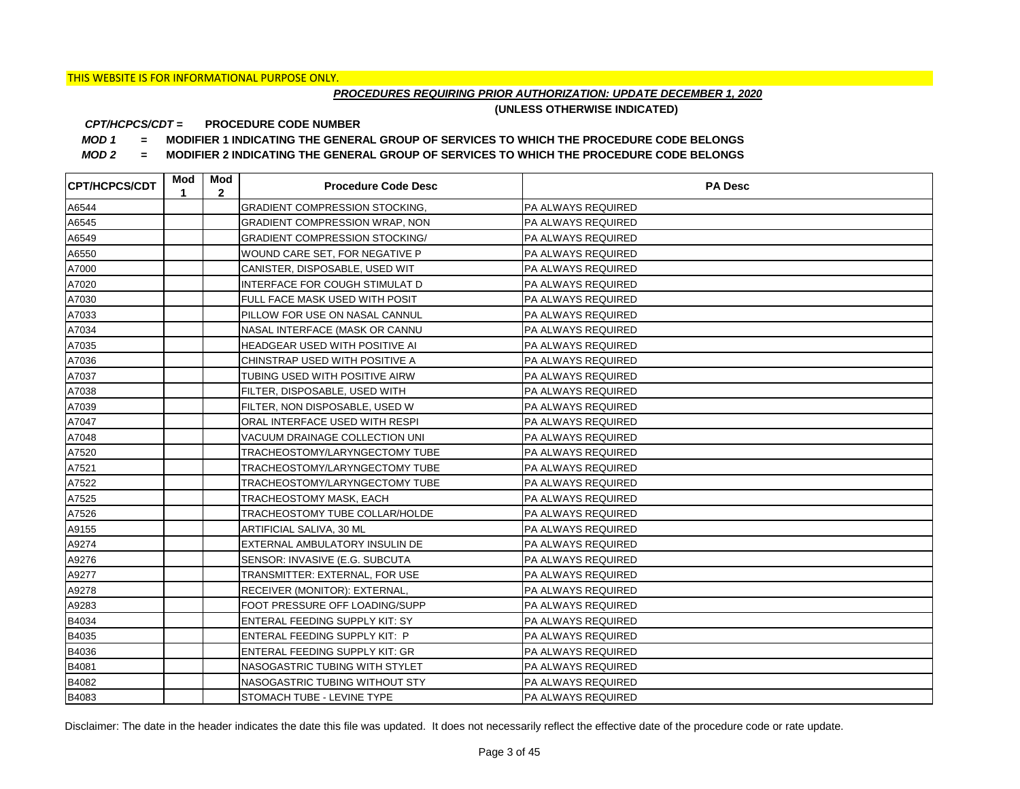## *PROCEDURES REQUIRING PRIOR AUTHORIZATION: UPDATE DECEMBER 1, 2020*

**(UNLESS OTHERWISE INDICATED)**

#### **PROCEDURE CODE NUMBER** *CPT/HCPCS/CDT =*

*MOD 1 =* **MODIFIER 1 INDICATING THE GENERAL GROUP OF SERVICES TO WHICH THE PROCEDURE CODE BELONGS**

*MOD 2 =* **MODIFIER 2 INDICATING THE GENERAL GROUP OF SERVICES TO WHICH THE PROCEDURE CODE BELONGS**

| <b>CPT/HCPCS/CDT</b> | Mod<br>1 | Mod<br>$\mathbf{2}$ | <b>Procedure Code Desc</b>            | <b>PA Desc</b>            |
|----------------------|----------|---------------------|---------------------------------------|---------------------------|
| A6544                |          |                     | <b>GRADIENT COMPRESSION STOCKING.</b> | PA ALWAYS REQUIRED        |
| A6545                |          |                     | <b>GRADIENT COMPRESSION WRAP, NON</b> | <b>PA ALWAYS REQUIRED</b> |
| A6549                |          |                     | <b>GRADIENT COMPRESSION STOCKING/</b> | <b>PA ALWAYS REQUIRED</b> |
| A6550                |          |                     | WOUND CARE SET, FOR NEGATIVE P        | <b>PA ALWAYS REQUIRED</b> |
| A7000                |          |                     | CANISTER, DISPOSABLE, USED WIT        | PA ALWAYS REQUIRED        |
| A7020                |          |                     | INTERFACE FOR COUGH STIMULAT D        | PA ALWAYS REQUIRED        |
| A7030                |          |                     | FULL FACE MASK USED WITH POSIT        | PA ALWAYS REQUIRED        |
| A7033                |          |                     | PILLOW FOR USE ON NASAL CANNUL        | PA ALWAYS REQUIRED        |
| A7034                |          |                     | NASAL INTERFACE (MASK OR CANNU        | PA ALWAYS REQUIRED        |
| A7035                |          |                     | HEADGEAR USED WITH POSITIVE AI        | <b>PA ALWAYS REQUIRED</b> |
| A7036                |          |                     | CHINSTRAP USED WITH POSITIVE A        | PA ALWAYS REQUIRED        |
| A7037                |          |                     | TUBING USED WITH POSITIVE AIRW        | PA ALWAYS REQUIRED        |
| A7038                |          |                     | FILTER, DISPOSABLE, USED WITH         | PA ALWAYS REQUIRED        |
| A7039                |          |                     | FILTER, NON DISPOSABLE, USED W        | <b>PA ALWAYS REQUIRED</b> |
| A7047                |          |                     | ORAL INTERFACE USED WITH RESPI        | <b>PA ALWAYS REQUIRED</b> |
| A7048                |          |                     | VACUUM DRAINAGE COLLECTION UNI        | <b>PA ALWAYS REQUIRED</b> |
| A7520                |          |                     | TRACHEOSTOMY/LARYNGECTOMY TUBE        | PA ALWAYS REQUIRED        |
| A7521                |          |                     | TRACHEOSTOMY/LARYNGECTOMY TUBE        | <b>PA ALWAYS REQUIRED</b> |
| A7522                |          |                     | TRACHEOSTOMY/LARYNGECTOMY TUBE        | <b>PA ALWAYS REQUIRED</b> |
| A7525                |          |                     | TRACHEOSTOMY MASK, EACH               | <b>PA ALWAYS REQUIRED</b> |
| A7526                |          |                     | TRACHEOSTOMY TUBE COLLAR/HOLDE        | <b>PA ALWAYS REQUIRED</b> |
| A9155                |          |                     | ARTIFICIAL SALIVA, 30 ML              | <b>PA ALWAYS REQUIRED</b> |
| A9274                |          |                     | EXTERNAL AMBULATORY INSULIN DE        | PA ALWAYS REQUIRED        |
| A9276                |          |                     | SENSOR: INVASIVE (E.G. SUBCUTA        | PA ALWAYS REQUIRED        |
| A9277                |          |                     | TRANSMITTER: EXTERNAL, FOR USE        | <b>PA ALWAYS REQUIRED</b> |
| A9278                |          |                     | RECEIVER (MONITOR): EXTERNAL,         | <b>PA ALWAYS REQUIRED</b> |
| A9283                |          |                     | FOOT PRESSURE OFF LOADING/SUPP        | <b>PA ALWAYS REQUIRED</b> |
| B4034                |          |                     | ENTERAL FEEDING SUPPLY KIT: SY        | <b>PA ALWAYS REQUIRED</b> |
| B4035                |          |                     | ENTERAL FEEDING SUPPLY KIT: P         | <b>PA ALWAYS REQUIRED</b> |
| B4036                |          |                     | ENTERAL FEEDING SUPPLY KIT: GR        | PA ALWAYS REQUIRED        |
| B4081                |          |                     | NASOGASTRIC TUBING WITH STYLET        | PA ALWAYS REQUIRED        |
| B4082                |          |                     | NASOGASTRIC TUBING WITHOUT STY        | PA ALWAYS REQUIRED        |
| B4083                |          |                     | STOMACH TUBE - LEVINE TYPE            | <b>PA ALWAYS REQUIRED</b> |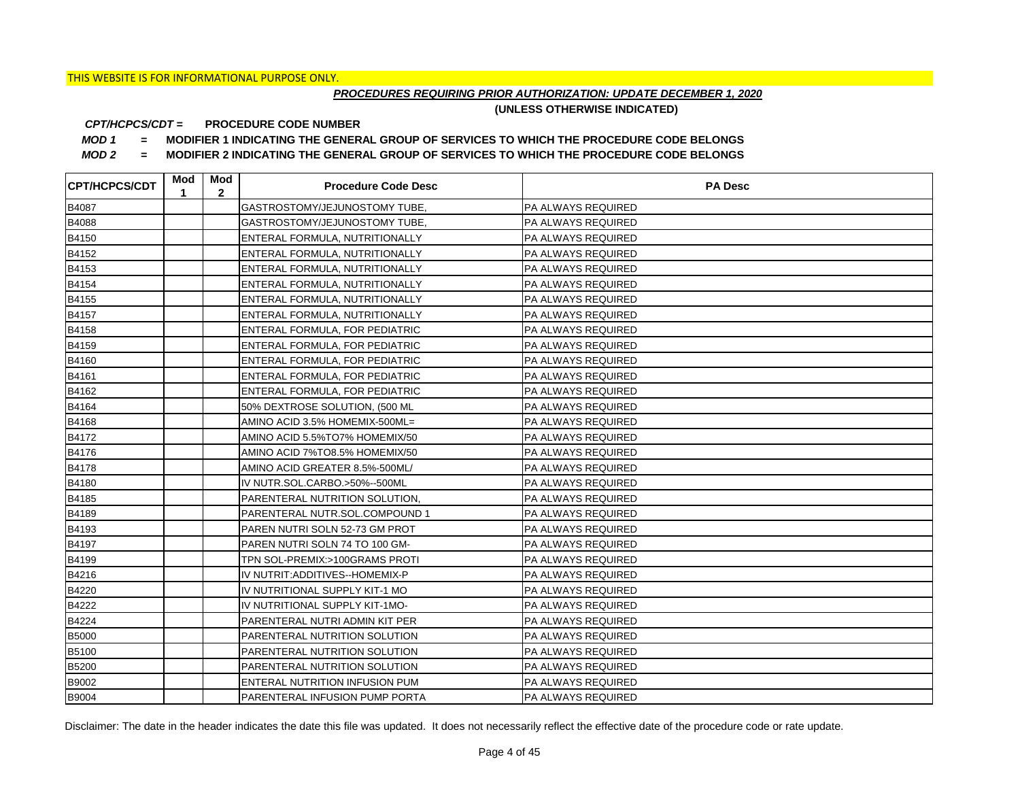## *PROCEDURES REQUIRING PRIOR AUTHORIZATION: UPDATE DECEMBER 1, 2020*

**(UNLESS OTHERWISE INDICATED)**

#### **PROCEDURE CODE NUMBER** *CPT/HCPCS/CDT =*

*MOD 1 =* **MODIFIER 1 INDICATING THE GENERAL GROUP OF SERVICES TO WHICH THE PROCEDURE CODE BELONGS**

*MOD 2 =* **MODIFIER 2 INDICATING THE GENERAL GROUP OF SERVICES TO WHICH THE PROCEDURE CODE BELONGS**

| CPT/HCPCS/CDT | Mod<br>1 | Mod<br>$\mathbf{2}$ | <b>Procedure Code Desc</b>      | <b>PA Desc</b>            |
|---------------|----------|---------------------|---------------------------------|---------------------------|
| B4087         |          |                     | GASTROSTOMY/JEJUNOSTOMY TUBE.   | PA ALWAYS REQUIRED        |
| B4088         |          |                     | GASTROSTOMY/JEJUNOSTOMY TUBE,   | <b>PA ALWAYS REQUIRED</b> |
| B4150         |          |                     | ENTERAL FORMULA, NUTRITIONALLY  | <b>PA ALWAYS REQUIRED</b> |
| B4152         |          |                     | ENTERAL FORMULA, NUTRITIONALLY  | <b>PA ALWAYS REQUIRED</b> |
| B4153         |          |                     | ENTERAL FORMULA, NUTRITIONALLY  | PA ALWAYS REQUIRED        |
| B4154         |          |                     | ENTERAL FORMULA, NUTRITIONALLY  | PA ALWAYS REQUIRED        |
| B4155         |          |                     | ENTERAL FORMULA, NUTRITIONALLY  | PA ALWAYS REQUIRED        |
| B4157         |          |                     | ENTERAL FORMULA, NUTRITIONALLY  | PA ALWAYS REQUIRED        |
| B4158         |          |                     | ENTERAL FORMULA, FOR PEDIATRIC  | PA ALWAYS REQUIRED        |
| B4159         |          |                     | ENTERAL FORMULA, FOR PEDIATRIC  | <b>PA ALWAYS REQUIRED</b> |
| B4160         |          |                     | ENTERAL FORMULA, FOR PEDIATRIC  | PA ALWAYS REQUIRED        |
| B4161         |          |                     | ENTERAL FORMULA, FOR PEDIATRIC  | PA ALWAYS REQUIRED        |
| B4162         |          |                     | ENTERAL FORMULA, FOR PEDIATRIC  | PA ALWAYS REQUIRED        |
| B4164         |          |                     | 50% DEXTROSE SOLUTION, (500 ML  | <b>PA ALWAYS REQUIRED</b> |
| B4168         |          |                     | AMINO ACID 3.5% HOMEMIX-500ML=  | <b>PA ALWAYS REQUIRED</b> |
| B4172         |          |                     | AMINO ACID 5.5%TO7% HOMEMIX/50  | <b>PA ALWAYS REQUIRED</b> |
| B4176         |          |                     | AMINO ACID 7%TO8.5% HOMEMIX/50  | PA ALWAYS REQUIRED        |
| B4178         |          |                     | AMINO ACID GREATER 8.5%-500ML/  | PA ALWAYS REQUIRED        |
| B4180         |          |                     | IV NUTR.SOL.CARBO.>50%--500ML   | <b>PA ALWAYS REQUIRED</b> |
| B4185         |          |                     | PARENTERAL NUTRITION SOLUTION,  | <b>PA ALWAYS REQUIRED</b> |
| B4189         |          |                     | PARENTERAL NUTR.SOL.COMPOUND 1  | <b>PA ALWAYS REQUIRED</b> |
| B4193         |          |                     | PAREN NUTRI SOLN 52-73 GM PROT  | <b>PA ALWAYS REQUIRED</b> |
| B4197         |          |                     | PAREN NUTRI SOLN 74 TO 100 GM-  | <b>PA ALWAYS REQUIRED</b> |
| B4199         |          |                     | TPN SOL-PREMIX:>100GRAMS PROTI  | PA ALWAYS REQUIRED        |
| B4216         |          |                     | IV NUTRIT: ADDITIVES--HOMEMIX-P | <b>PA ALWAYS REQUIRED</b> |
| B4220         |          |                     | IV NUTRITIONAL SUPPLY KIT-1 MO  | <b>PA ALWAYS REQUIRED</b> |
| B4222         |          |                     | IV NUTRITIONAL SUPPLY KIT-1MO-  | <b>PA ALWAYS REQUIRED</b> |
| B4224         |          |                     | PARENTERAL NUTRI ADMIN KIT PER  | <b>PA ALWAYS REQUIRED</b> |
| <b>B5000</b>  |          |                     | PARENTERAL NUTRITION SOLUTION   | <b>PA ALWAYS REQUIRED</b> |
| B5100         |          |                     | PARENTERAL NUTRITION SOLUTION   | PA ALWAYS REQUIRED        |
| B5200         |          |                     | PARENTERAL NUTRITION SOLUTION   | PA ALWAYS REQUIRED        |
| B9002         |          |                     | ENTERAL NUTRITION INFUSION PUM  | PA ALWAYS REQUIRED        |
| B9004         |          |                     | PARENTERAL INFUSION PUMP PORTA  | <b>PA ALWAYS REQUIRED</b> |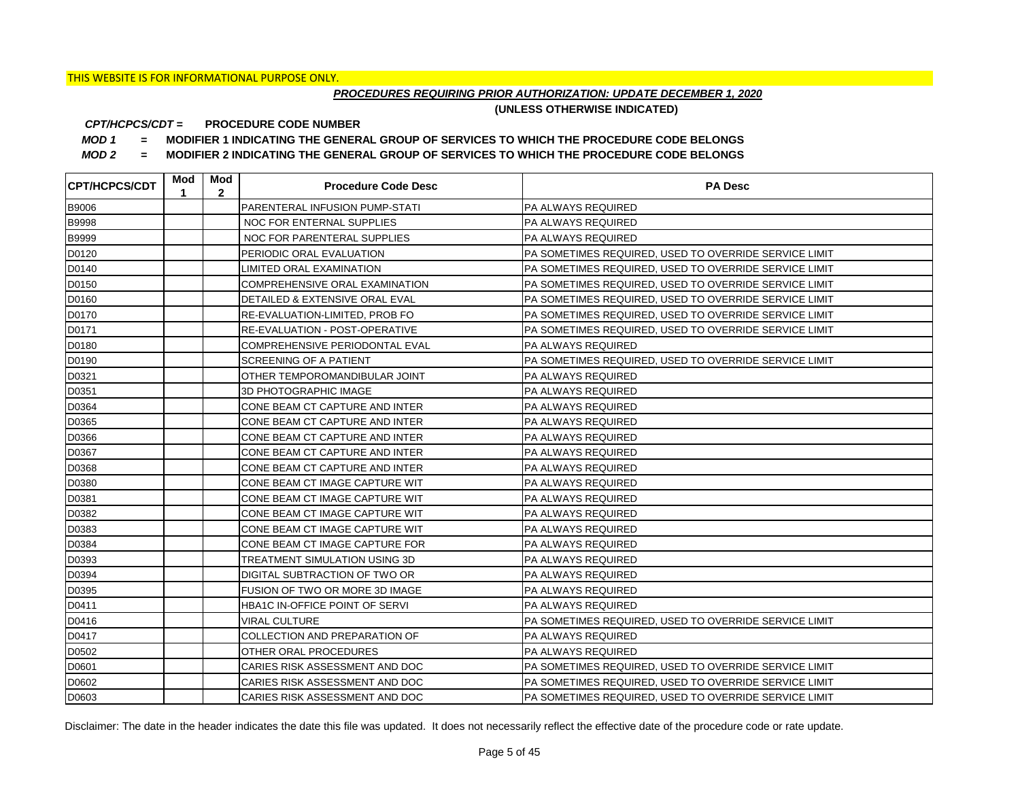## *PROCEDURES REQUIRING PRIOR AUTHORIZATION: UPDATE DECEMBER 1, 2020*

**(UNLESS OTHERWISE INDICATED)**

#### **PROCEDURE CODE NUMBER** *CPT/HCPCS/CDT =*

*MOD 1 =* **MODIFIER 1 INDICATING THE GENERAL GROUP OF SERVICES TO WHICH THE PROCEDURE CODE BELONGS**

*MOD 2 =* **MODIFIER 2 INDICATING THE GENERAL GROUP OF SERVICES TO WHICH THE PROCEDURE CODE BELONGS**

| <b>CPT/HCPCS/CDT</b> | Mod<br>1 | Mod<br>$\mathbf{2}$ | <b>Procedure Code Desc</b>     | <b>PA Desc</b>                                        |
|----------------------|----------|---------------------|--------------------------------|-------------------------------------------------------|
| B9006                |          |                     | PARENTERAL INFUSION PUMP-STATI | PA ALWAYS REQUIRED                                    |
| <b>B9998</b>         |          |                     | NOC FOR ENTERNAL SUPPLIES      | <b>PA ALWAYS REQUIRED</b>                             |
| <b>B9999</b>         |          |                     | NOC FOR PARENTERAL SUPPLIES    | <b>PA ALWAYS REQUIRED</b>                             |
| D0120                |          |                     | PERIODIC ORAL EVALUATION       | PA SOMETIMES REQUIRED, USED TO OVERRIDE SERVICE LIMIT |
| D0140                |          |                     | LIMITED ORAL EXAMINATION       | PA SOMETIMES REQUIRED, USED TO OVERRIDE SERVICE LIMIT |
| D0150                |          |                     | COMPREHENSIVE ORAL EXAMINATION | PA SOMETIMES REQUIRED, USED TO OVERRIDE SERVICE LIMIT |
| D0160                |          |                     | DETAILED & EXTENSIVE ORAL EVAL | PA SOMETIMES REQUIRED, USED TO OVERRIDE SERVICE LIMIT |
| D0170                |          |                     | RE-EVALUATION-LIMITED, PROB FO | PA SOMETIMES REQUIRED, USED TO OVERRIDE SERVICE LIMIT |
| D0171                |          |                     | RE-EVALUATION - POST-OPERATIVE | PA SOMETIMES REQUIRED, USED TO OVERRIDE SERVICE LIMIT |
| D0180                |          |                     | COMPREHENSIVE PERIODONTAL EVAL | PA ALWAYS REQUIRED                                    |
| D0190                |          |                     | SCREENING OF A PATIENT         | PA SOMETIMES REQUIRED, USED TO OVERRIDE SERVICE LIMIT |
| D0321                |          |                     | OTHER TEMPOROMANDIBULAR JOINT  | PA ALWAYS REQUIRED                                    |
| D0351                |          |                     | 3D PHOTOGRAPHIC IMAGE          | PA ALWAYS REQUIRED                                    |
| D0364                |          |                     | CONE BEAM CT CAPTURE AND INTER | <b>PA ALWAYS REQUIRED</b>                             |
| D0365                |          |                     | CONE BEAM CT CAPTURE AND INTER | <b>PA ALWAYS REQUIRED</b>                             |
| D0366                |          |                     | CONE BEAM CT CAPTURE AND INTER | <b>PA ALWAYS REQUIRED</b>                             |
| D0367                |          |                     | CONE BEAM CT CAPTURE AND INTER | <b>PA ALWAYS REQUIRED</b>                             |
| D0368                |          |                     | CONE BEAM CT CAPTURE AND INTER | <b>PA ALWAYS REQUIRED</b>                             |
| D0380                |          |                     | CONE BEAM CT IMAGE CAPTURE WIT | <b>PA ALWAYS REQUIRED</b>                             |
| D0381                |          |                     | CONE BEAM CT IMAGE CAPTURE WIT | PA ALWAYS REQUIRED                                    |
| D0382                |          |                     | CONE BEAM CT IMAGE CAPTURE WIT | <b>PA ALWAYS REQUIRED</b>                             |
| D0383                |          |                     | CONE BEAM CT IMAGE CAPTURE WIT | PA ALWAYS REQUIRED                                    |
| D0384                |          |                     | CONE BEAM CT IMAGE CAPTURE FOR | PA ALWAYS REQUIRED                                    |
| D0393                |          |                     | TREATMENT SIMULATION USING 3D  | PA ALWAYS REQUIRED                                    |
| D0394                |          |                     | DIGITAL SUBTRACTION OF TWO OR  | <b>PA ALWAYS REQUIRED</b>                             |
| D0395                |          |                     | FUSION OF TWO OR MORE 3D IMAGE | <b>PA ALWAYS REQUIRED</b>                             |
| D0411                |          |                     | HBA1C IN-OFFICE POINT OF SERVI | <b>PA ALWAYS REQUIRED</b>                             |
| D0416                |          |                     | <b>VIRAL CULTURE</b>           | PA SOMETIMES REQUIRED, USED TO OVERRIDE SERVICE LIMIT |
| D0417                |          |                     | COLLECTION AND PREPARATION OF  | <b>PA ALWAYS REQUIRED</b>                             |
| D0502                |          |                     | OTHER ORAL PROCEDURES          | PA ALWAYS REQUIRED                                    |
| D0601                |          |                     | CARIES RISK ASSESSMENT AND DOC | PA SOMETIMES REQUIRED, USED TO OVERRIDE SERVICE LIMIT |
| D0602                |          |                     | CARIES RISK ASSESSMENT AND DOC | PA SOMETIMES REQUIRED, USED TO OVERRIDE SERVICE LIMIT |
| D0603                |          |                     | CARIES RISK ASSESSMENT AND DOC | PA SOMETIMES REQUIRED, USED TO OVERRIDE SERVICE LIMIT |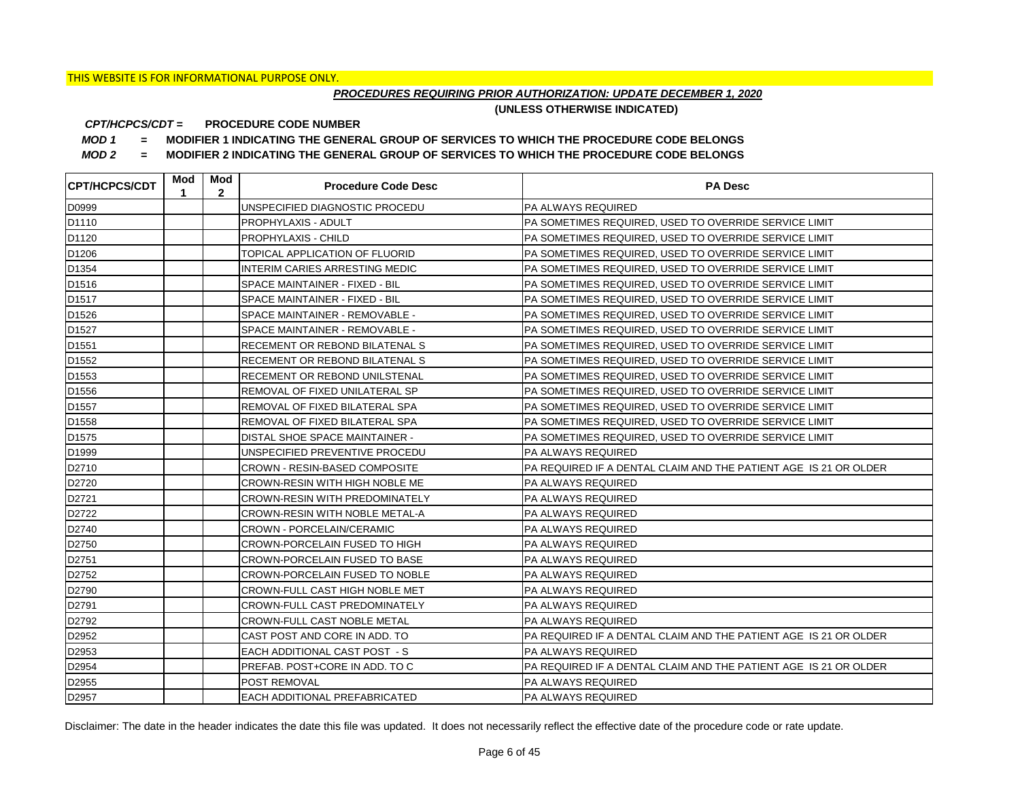## *PROCEDURES REQUIRING PRIOR AUTHORIZATION: UPDATE DECEMBER 1, 2020*

**(UNLESS OTHERWISE INDICATED)**

#### **PROCEDURE CODE NUMBER** *CPT/HCPCS/CDT =*

*MOD 1 =* **MODIFIER 1 INDICATING THE GENERAL GROUP OF SERVICES TO WHICH THE PROCEDURE CODE BELONGS**

*MOD 2 =* **MODIFIER 2 INDICATING THE GENERAL GROUP OF SERVICES TO WHICH THE PROCEDURE CODE BELONGS**

| <b>CPT/HCPCS/CDT</b> | Mod<br>$\mathbf{1}$ | Mod<br>$\mathbf{2}$ | <b>Procedure Code Desc</b>           | <b>PA Desc</b>                                                   |
|----------------------|---------------------|---------------------|--------------------------------------|------------------------------------------------------------------|
| D0999                |                     |                     | UNSPECIFIED DIAGNOSTIC PROCEDU       | <b>PA ALWAYS REQUIRED</b>                                        |
| D1110                |                     |                     | PROPHYLAXIS - ADULT                  | PA SOMETIMES REQUIRED, USED TO OVERRIDE SERVICE LIMIT            |
| D1120                |                     |                     | PROPHYLAXIS - CHILD                  | PA SOMETIMES REQUIRED, USED TO OVERRIDE SERVICE LIMIT            |
| D1206                |                     |                     | TOPICAL APPLICATION OF FLUORID       | PA SOMETIMES REQUIRED, USED TO OVERRIDE SERVICE LIMIT            |
| D1354                |                     |                     | INTERIM CARIES ARRESTING MEDIC       | PA SOMETIMES REQUIRED, USED TO OVERRIDE SERVICE LIMIT            |
| D1516                |                     |                     | SPACE MAINTAINER - FIXED - BIL       | PA SOMETIMES REQUIRED, USED TO OVERRIDE SERVICE LIMIT            |
| D <sub>1517</sub>    |                     |                     | SPACE MAINTAINER - FIXED - BIL       | PA SOMETIMES REQUIRED, USED TO OVERRIDE SERVICE LIMIT            |
| D <sub>1526</sub>    |                     |                     | SPACE MAINTAINER - REMOVABLE -       | PA SOMETIMES REQUIRED, USED TO OVERRIDE SERVICE LIMIT            |
| D1527                |                     |                     | SPACE MAINTAINER - REMOVABLE -       | PA SOMETIMES REQUIRED, USED TO OVERRIDE SERVICE LIMIT            |
| D1551                |                     |                     | RECEMENT OR REBOND BILATENAL S       | PA SOMETIMES REQUIRED, USED TO OVERRIDE SERVICE LIMIT            |
| D <sub>1552</sub>    |                     |                     | RECEMENT OR REBOND BILATENAL S       | PA SOMETIMES REQUIRED, USED TO OVERRIDE SERVICE LIMIT            |
| D1553                |                     |                     | RECEMENT OR REBOND UNILSTENAL        | PA SOMETIMES REQUIRED, USED TO OVERRIDE SERVICE LIMIT            |
| D1556                |                     |                     | REMOVAL OF FIXED UNILATERAL SP       | PA SOMETIMES REQUIRED, USED TO OVERRIDE SERVICE LIMIT            |
| D1557                |                     |                     | REMOVAL OF FIXED BILATERAL SPA       | PA SOMETIMES REQUIRED, USED TO OVERRIDE SERVICE LIMIT            |
| D1558                |                     |                     | REMOVAL OF FIXED BILATERAL SPA       | PA SOMETIMES REQUIRED, USED TO OVERRIDE SERVICE LIMIT            |
| D <sub>1575</sub>    |                     |                     | DISTAL SHOE SPACE MAINTAINER -       | PA SOMETIMES REQUIRED, USED TO OVERRIDE SERVICE LIMIT            |
| D <sub>1999</sub>    |                     |                     | UNSPECIFIED PREVENTIVE PROCEDU       | <b>PA ALWAYS REQUIRED</b>                                        |
| D2710                |                     |                     | <b>CROWN - RESIN-BASED COMPOSITE</b> | PA REQUIRED IF A DENTAL CLAIM AND THE PATIENT AGE IS 21 OR OLDER |
| D2720                |                     |                     | CROWN-RESIN WITH HIGH NOBLE ME       | PA ALWAYS REQUIRED                                               |
| D2721                |                     |                     | CROWN-RESIN WITH PREDOMINATELY       | PA ALWAYS REQUIRED                                               |
| D2722                |                     |                     | CROWN-RESIN WITH NOBLE METAL-A       | PA ALWAYS REQUIRED                                               |
| D2740                |                     |                     | CROWN - PORCELAIN/CERAMIC            | PA ALWAYS REQUIRED                                               |
| D2750                |                     |                     | CROWN-PORCELAIN FUSED TO HIGH        | PA ALWAYS REQUIRED                                               |
| D2751                |                     |                     | CROWN-PORCELAIN FUSED TO BASE        | PA ALWAYS REQUIRED                                               |
| D2752                |                     |                     | CROWN-PORCELAIN FUSED TO NOBLE       | <b>PA ALWAYS REQUIRED</b>                                        |
| D2790                |                     |                     | CROWN-FULL CAST HIGH NOBLE MET       | PA ALWAYS REQUIRED                                               |
| D2791                |                     |                     | CROWN-FULL CAST PREDOMINATELY        | PA ALWAYS REQUIRED                                               |
| D2792                |                     |                     | CROWN-FULL CAST NOBLE METAL          | <b>PA ALWAYS REQUIRED</b>                                        |
| D2952                |                     |                     | CAST POST AND CORE IN ADD. TO        | PA REQUIRED IF A DENTAL CLAIM AND THE PATIENT AGE IS 21 OR OLDER |
| D2953                |                     |                     | EACH ADDITIONAL CAST POST - S        | PA ALWAYS REQUIRED                                               |
| D2954                |                     |                     | PREFAB. POST+CORE IN ADD. TO C       | PA REQUIRED IF A DENTAL CLAIM AND THE PATIENT AGE IS 21 OR OLDER |
| D2955                |                     |                     | POST REMOVAL                         | <b>PA ALWAYS REQUIRED</b>                                        |
| D2957                |                     |                     | EACH ADDITIONAL PREFABRICATED        | <b>PA ALWAYS REQUIRED</b>                                        |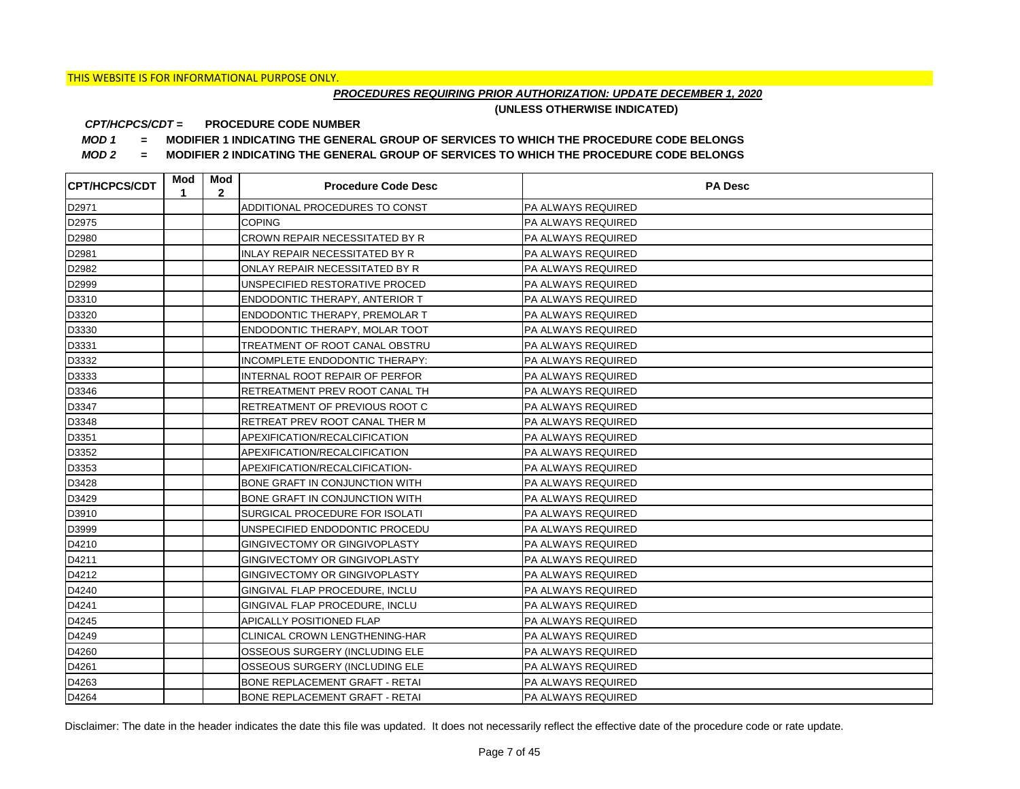## *PROCEDURES REQUIRING PRIOR AUTHORIZATION: UPDATE DECEMBER 1, 2020*

**(UNLESS OTHERWISE INDICATED)**

#### **PROCEDURE CODE NUMBER** *CPT/HCPCS/CDT =*

*MOD 1 =* **MODIFIER 1 INDICATING THE GENERAL GROUP OF SERVICES TO WHICH THE PROCEDURE CODE BELONGS**

*MOD 2 =* **MODIFIER 2 INDICATING THE GENERAL GROUP OF SERVICES TO WHICH THE PROCEDURE CODE BELONGS**

| <b>CPT/HCPCS/CDT</b> | Mod<br>1 | Mod<br>$\mathbf{2}$ | <b>Procedure Code Desc</b>            | <b>PA Desc</b>            |
|----------------------|----------|---------------------|---------------------------------------|---------------------------|
| D2971                |          |                     | ADDITIONAL PROCEDURES TO CONST        | PA ALWAYS REQUIRED        |
| D2975                |          |                     | <b>COPING</b>                         | PA ALWAYS REQUIRED        |
| D2980                |          |                     | CROWN REPAIR NECESSITATED BY R        | PA ALWAYS REQUIRED        |
| D2981                |          |                     | <b>INLAY REPAIR NECESSITATED BY R</b> | PA ALWAYS REQUIRED        |
| D2982                |          |                     | ONLAY REPAIR NECESSITATED BY R        | PA ALWAYS REQUIRED        |
| D2999                |          |                     | UNSPECIFIED RESTORATIVE PROCED        | PA ALWAYS REQUIRED        |
| D3310                |          |                     | <b>ENDODONTIC THERAPY, ANTERIOR T</b> | PA ALWAYS REQUIRED        |
| D3320                |          |                     | ENDODONTIC THERAPY, PREMOLAR T        | PA ALWAYS REQUIRED        |
| D3330                |          |                     | ENDODONTIC THERAPY, MOLAR TOOT        | <b>PA ALWAYS REQUIRED</b> |
| D3331                |          |                     | TREATMENT OF ROOT CANAL OBSTRU        | PA ALWAYS REQUIRED        |
| D3332                |          |                     | INCOMPLETE ENDODONTIC THERAPY:        | PA ALWAYS REQUIRED        |
| D3333                |          |                     | INTERNAL ROOT REPAIR OF PERFOR        | PA ALWAYS REQUIRED        |
| D3346                |          |                     | RETREATMENT PREV ROOT CANAL TH        | <b>PA ALWAYS REQUIRED</b> |
| D3347                |          |                     | RETREATMENT OF PREVIOUS ROOT C        | PA ALWAYS REQUIRED        |
| D3348                |          |                     | RETREAT PREV ROOT CANAL THER M        | PA ALWAYS REQUIRED        |
| D3351                |          |                     | APEXIFICATION/RECALCIFICATION         | PA ALWAYS REQUIRED        |
| D3352                |          |                     | APEXIFICATION/RECALCIFICATION         | PA ALWAYS REQUIRED        |
| D3353                |          |                     | APEXIFICATION/RECALCIFICATION-        | PA ALWAYS REQUIRED        |
| D3428                |          |                     | BONE GRAFT IN CONJUNCTION WITH        | PA ALWAYS REQUIRED        |
| D3429                |          |                     | BONE GRAFT IN CONJUNCTION WITH        | PA ALWAYS REQUIRED        |
| D3910                |          |                     | SURGICAL PROCEDURE FOR ISOLATI        | PA ALWAYS REQUIRED        |
| D3999                |          |                     | UNSPECIFIED ENDODONTIC PROCEDU        | PA ALWAYS REQUIRED        |
| D4210                |          |                     | GINGIVECTOMY OR GINGIVOPLASTY         | PA ALWAYS REQUIRED        |
| D4211                |          |                     | GINGIVECTOMY OR GINGIVOPLASTY         | PA ALWAYS REQUIRED        |
| D4212                |          |                     | GINGIVECTOMY OR GINGIVOPLASTY         | PA ALWAYS REQUIRED        |
| D4240                |          |                     | GINGIVAL FLAP PROCEDURE, INCLU        | PA ALWAYS REQUIRED        |
| D4241                |          |                     | GINGIVAL FLAP PROCEDURE, INCLU        | PA ALWAYS REQUIRED        |
| D4245                |          |                     | APICALLY POSITIONED FLAP              | PA ALWAYS REQUIRED        |
| D4249                |          |                     | CLINICAL CROWN LENGTHENING-HAR        | <b>PA ALWAYS REQUIRED</b> |
| D4260                |          |                     | OSSEOUS SURGERY (INCLUDING ELE        | PA ALWAYS REQUIRED        |
| D4261                |          |                     | OSSEOUS SURGERY (INCLUDING ELE        | PA ALWAYS REQUIRED        |
| D4263                |          |                     | BONE REPLACEMENT GRAFT - RETAI        | PA ALWAYS REQUIRED        |
| D4264                |          |                     | <b>BONE REPLACEMENT GRAFT - RETAI</b> | <b>PA ALWAYS REQUIRED</b> |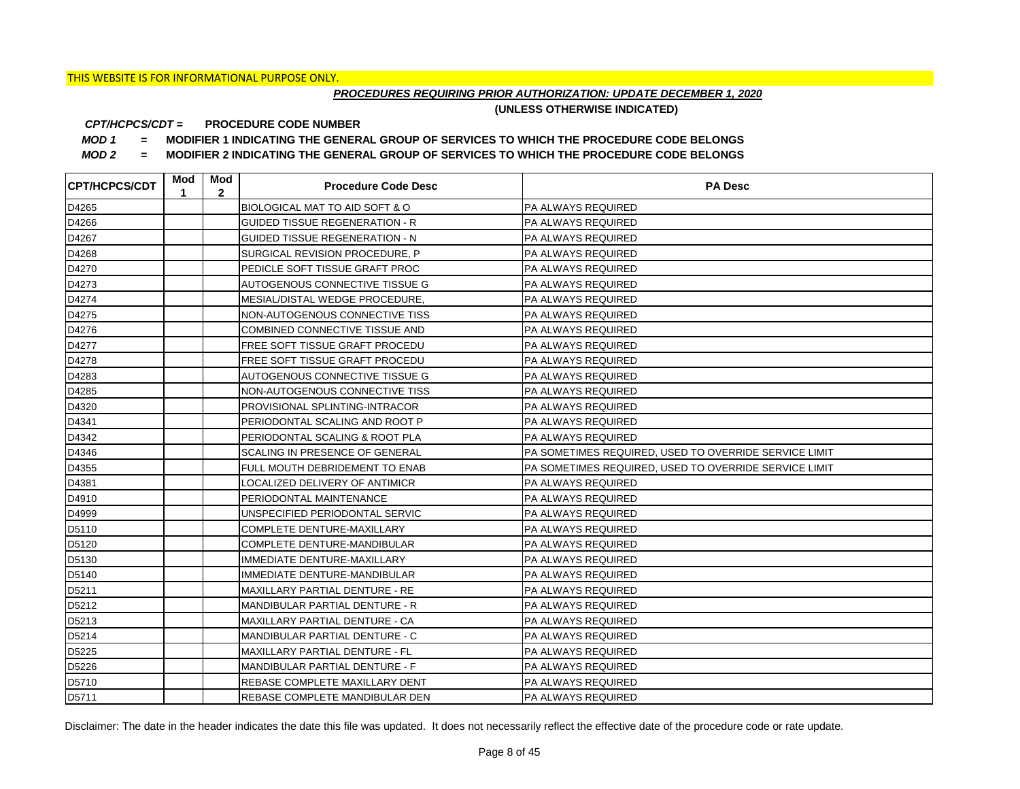## *PROCEDURES REQUIRING PRIOR AUTHORIZATION: UPDATE DECEMBER 1, 2020*

**(UNLESS OTHERWISE INDICATED)**

#### **PROCEDURE CODE NUMBER** *CPT/HCPCS/CDT =*

*MOD 1 =* **MODIFIER 1 INDICATING THE GENERAL GROUP OF SERVICES TO WHICH THE PROCEDURE CODE BELONGS**

*MOD 2 =* **MODIFIER 2 INDICATING THE GENERAL GROUP OF SERVICES TO WHICH THE PROCEDURE CODE BELONGS**

| <b>CPT/HCPCS/CDT</b> | Mod<br>1 | Mod<br>$\mathbf{2}$ | <b>Procedure Code Desc</b>            | <b>PA Desc</b>                                        |
|----------------------|----------|---------------------|---------------------------------------|-------------------------------------------------------|
| D4265                |          |                     | BIOLOGICAL MAT TO AID SOFT & O        | <b>PA ALWAYS REQUIRED</b>                             |
| D4266                |          |                     | <b>GUIDED TISSUE REGENERATION - R</b> | <b>PA ALWAYS REQUIRED</b>                             |
| D4267                |          |                     | <b>GUIDED TISSUE REGENERATION - N</b> | <b>PA ALWAYS REQUIRED</b>                             |
| D4268                |          |                     | SURGICAL REVISION PROCEDURE, P        | <b>PA ALWAYS REQUIRED</b>                             |
| D4270                |          |                     | PEDICLE SOFT TISSUE GRAFT PROC        | PA ALWAYS REQUIRED                                    |
| D4273                |          |                     | AUTOGENOUS CONNECTIVE TISSUE G        | PA ALWAYS REQUIRED                                    |
| D4274                |          |                     | MESIAL/DISTAL WEDGE PROCEDURE,        | <b>PA ALWAYS REQUIRED</b>                             |
| D4275                |          |                     | NON-AUTOGENOUS CONNECTIVE TISS        | <b>PA ALWAYS REQUIRED</b>                             |
| D4276                |          |                     | COMBINED CONNECTIVE TISSUE AND        | <b>PA ALWAYS REQUIRED</b>                             |
| D4277                |          |                     | FREE SOFT TISSUE GRAFT PROCEDU        | <b>PA ALWAYS REQUIRED</b>                             |
| D4278                |          |                     | FREE SOFT TISSUE GRAFT PROCEDU        | PA ALWAYS REQUIRED                                    |
| D4283                |          |                     | AUTOGENOUS CONNECTIVE TISSUE G        | <b>PA ALWAYS REQUIRED</b>                             |
| D4285                |          |                     | NON-AUTOGENOUS CONNECTIVE TISS        | <b>PA ALWAYS REQUIRED</b>                             |
| D4320                |          |                     | PROVISIONAL SPLINTING-INTRACOR        | <b>PA ALWAYS REQUIRED</b>                             |
| D4341                |          |                     | PERIODONTAL SCALING AND ROOT P        | PA ALWAYS REQUIRED                                    |
| D4342                |          |                     | PERIODONTAL SCALING & ROOT PLA        | PA ALWAYS REQUIRED                                    |
| D4346                |          |                     | SCALING IN PRESENCE OF GENERAL        | PA SOMETIMES REQUIRED, USED TO OVERRIDE SERVICE LIMIT |
| D4355                |          |                     | FULL MOUTH DEBRIDEMENT TO ENAB        | PA SOMETIMES REQUIRED, USED TO OVERRIDE SERVICE LIMIT |
| D4381                |          |                     | LOCALIZED DELIVERY OF ANTIMICR        | PA ALWAYS REQUIRED                                    |
| D4910                |          |                     | PERIODONTAL MAINTENANCE               | PA ALWAYS REQUIRED                                    |
| D4999                |          |                     | UNSPECIFIED PERIODONTAL SERVIC        | PA ALWAYS REQUIRED                                    |
| D5110                |          |                     | COMPLETE DENTURE-MAXILLARY            | PA ALWAYS REQUIRED                                    |
| D5120                |          |                     | COMPLETE DENTURE-MANDIBULAR           | PA ALWAYS REQUIRED                                    |
| D5130                |          |                     | IMMEDIATE DENTURE-MAXILLARY           | PA ALWAYS REQUIRED                                    |
| D5140                |          |                     | IMMEDIATE DENTURE-MANDIBULAR          | <b>PA ALWAYS REQUIRED</b>                             |
| D5211                |          |                     | MAXILLARY PARTIAL DENTURE - RE        | PA ALWAYS REQUIRED                                    |
| D5212                |          |                     | MANDIBULAR PARTIAL DENTURE - R        | PA ALWAYS REQUIRED                                    |
| D5213                |          |                     | MAXILLARY PARTIAL DENTURE - CA        | PA ALWAYS REQUIRED                                    |
| D5214                |          |                     | MANDIBULAR PARTIAL DENTURE - C        | PA ALWAYS REQUIRED                                    |
| D5225                |          |                     | MAXILLARY PARTIAL DENTURE - FL        | PA ALWAYS REQUIRED                                    |
| D5226                |          |                     | MANDIBULAR PARTIAL DENTURE - F        | PA ALWAYS REQUIRED                                    |
| D5710                |          |                     | REBASE COMPLETE MAXILLARY DENT        | <b>PA ALWAYS REQUIRED</b>                             |
| D5711                |          |                     | REBASE COMPLETE MANDIBULAR DEN        | <b>PA ALWAYS REQUIRED</b>                             |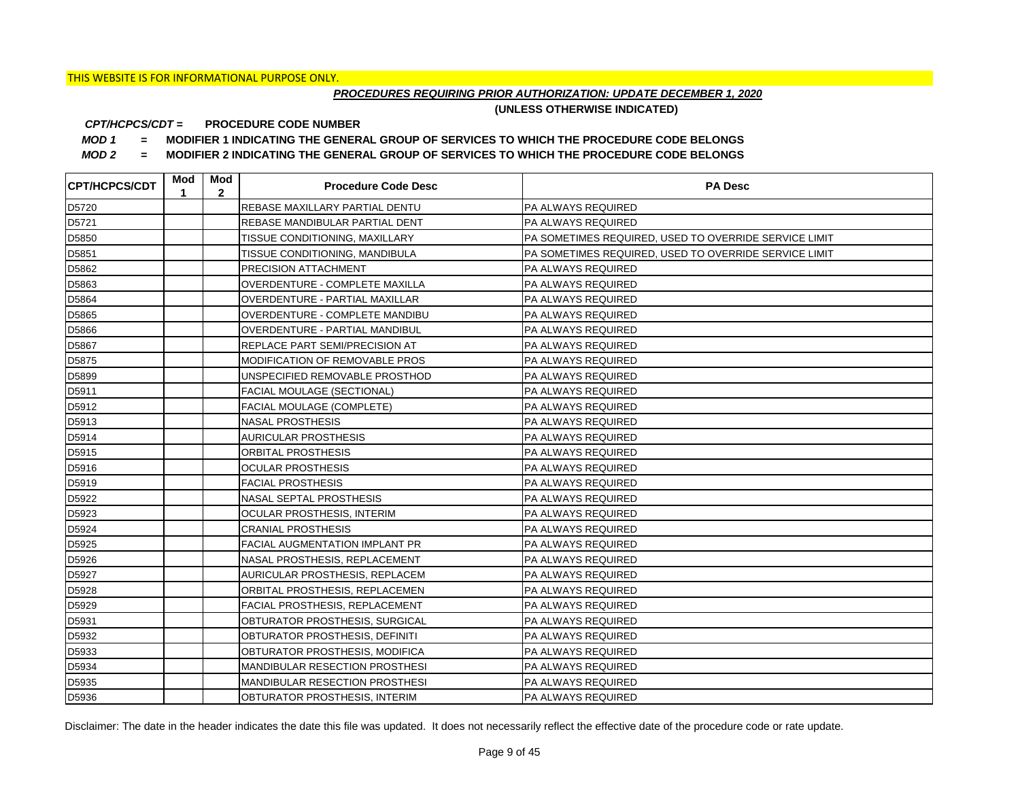## *PROCEDURES REQUIRING PRIOR AUTHORIZATION: UPDATE DECEMBER 1, 2020*

**(UNLESS OTHERWISE INDICATED)**

#### **PROCEDURE CODE NUMBER** *CPT/HCPCS/CDT =*

*MOD 1 =* **MODIFIER 1 INDICATING THE GENERAL GROUP OF SERVICES TO WHICH THE PROCEDURE CODE BELONGS**

*MOD 2 =* **MODIFIER 2 INDICATING THE GENERAL GROUP OF SERVICES TO WHICH THE PROCEDURE CODE BELONGS**

| <b>CPT/HCPCS/CDT</b> | Mod<br>1 | Mod<br>$\mathbf{2}$ | <b>Procedure Code Desc</b>            | <b>PA Desc</b>                                        |
|----------------------|----------|---------------------|---------------------------------------|-------------------------------------------------------|
| D5720                |          |                     | REBASE MAXILLARY PARTIAL DENTU        | <b>PA ALWAYS REQUIRED</b>                             |
| D5721                |          |                     | REBASE MANDIBULAR PARTIAL DENT        | <b>PA ALWAYS REQUIRED</b>                             |
| D5850                |          |                     | TISSUE CONDITIONING, MAXILLARY        | PA SOMETIMES REQUIRED, USED TO OVERRIDE SERVICE LIMIT |
| D5851                |          |                     | TISSUE CONDITIONING, MANDIBULA        | PA SOMETIMES REQUIRED, USED TO OVERRIDE SERVICE LIMIT |
| D5862                |          |                     | <b>PRECISION ATTACHMENT</b>           | <b>PA ALWAYS REQUIRED</b>                             |
| D5863                |          |                     | OVERDENTURE - COMPLETE MAXILLA        | PA ALWAYS REQUIRED                                    |
| D5864                |          |                     | OVERDENTURE - PARTIAL MAXILLAR        | PA ALWAYS REQUIRED                                    |
| D5865                |          |                     | OVERDENTURE - COMPLETE MANDIBU        | PA ALWAYS REQUIRED                                    |
| D5866                |          |                     | OVERDENTURE - PARTIAL MANDIBUL        | PA ALWAYS REQUIRED                                    |
| D5867                |          |                     | REPLACE PART SEMI/PRECISION AT        | PA ALWAYS REQUIRED                                    |
| D5875                |          |                     | <b>MODIFICATION OF REMOVABLE PROS</b> | <b>PA ALWAYS REQUIRED</b>                             |
| D5899                |          |                     | UNSPECIFIED REMOVABLE PROSTHOD        | PA ALWAYS REQUIRED                                    |
| D5911                |          |                     | <b>FACIAL MOULAGE (SECTIONAL)</b>     | PA ALWAYS REQUIRED                                    |
| D5912                |          |                     | <b>FACIAL MOULAGE (COMPLETE)</b>      | <b>PA ALWAYS REQUIRED</b>                             |
| D5913                |          |                     | <b>NASAL PROSTHESIS</b>               | PA ALWAYS REQUIRED                                    |
| D5914                |          |                     | <b>AURICULAR PROSTHESIS</b>           | PA ALWAYS REQUIRED                                    |
| D5915                |          |                     | ORBITAL PROSTHESIS                    | PA ALWAYS REQUIRED                                    |
| D5916                |          |                     | <b>OCULAR PROSTHESIS</b>              | PA ALWAYS REQUIRED                                    |
| D5919                |          |                     | <b>FACIAL PROSTHESIS</b>              | PA ALWAYS REQUIRED                                    |
| D5922                |          |                     | NASAL SEPTAL PROSTHESIS               | PA ALWAYS REQUIRED                                    |
| D5923                |          |                     | <b>OCULAR PROSTHESIS, INTERIM</b>     | PA ALWAYS REQUIRED                                    |
| D5924                |          |                     | <b>CRANIAL PROSTHESIS</b>             | PA ALWAYS REQUIRED                                    |
| D5925                |          |                     | <b>FACIAL AUGMENTATION IMPLANT PR</b> | PA ALWAYS REQUIRED                                    |
| D5926                |          |                     | NASAL PROSTHESIS, REPLACEMENT         | PA ALWAYS REQUIRED                                    |
| D5927                |          |                     | <b>AURICULAR PROSTHESIS, REPLACEM</b> | PA ALWAYS REQUIRED                                    |
| D5928                |          |                     | ORBITAL PROSTHESIS, REPLACEMEN        | PA ALWAYS REQUIRED                                    |
| D5929                |          |                     | FACIAL PROSTHESIS, REPLACEMENT        | PA ALWAYS REQUIRED                                    |
| D5931                |          |                     | OBTURATOR PROSTHESIS, SURGICAL        | PA ALWAYS REQUIRED                                    |
| D5932                |          |                     | OBTURATOR PROSTHESIS, DEFINITI        | PA ALWAYS REQUIRED                                    |
| D5933                |          |                     | OBTURATOR PROSTHESIS, MODIFICA        | PA ALWAYS REQUIRED                                    |
| D5934                |          |                     | MANDIBULAR RESECTION PROSTHESI        | PA ALWAYS REQUIRED                                    |
| D5935                |          |                     | MANDIBULAR RESECTION PROSTHESI        | PA ALWAYS REQUIRED                                    |
| D5936                |          |                     | OBTURATOR PROSTHESIS, INTERIM         | <b>PA ALWAYS REQUIRED</b>                             |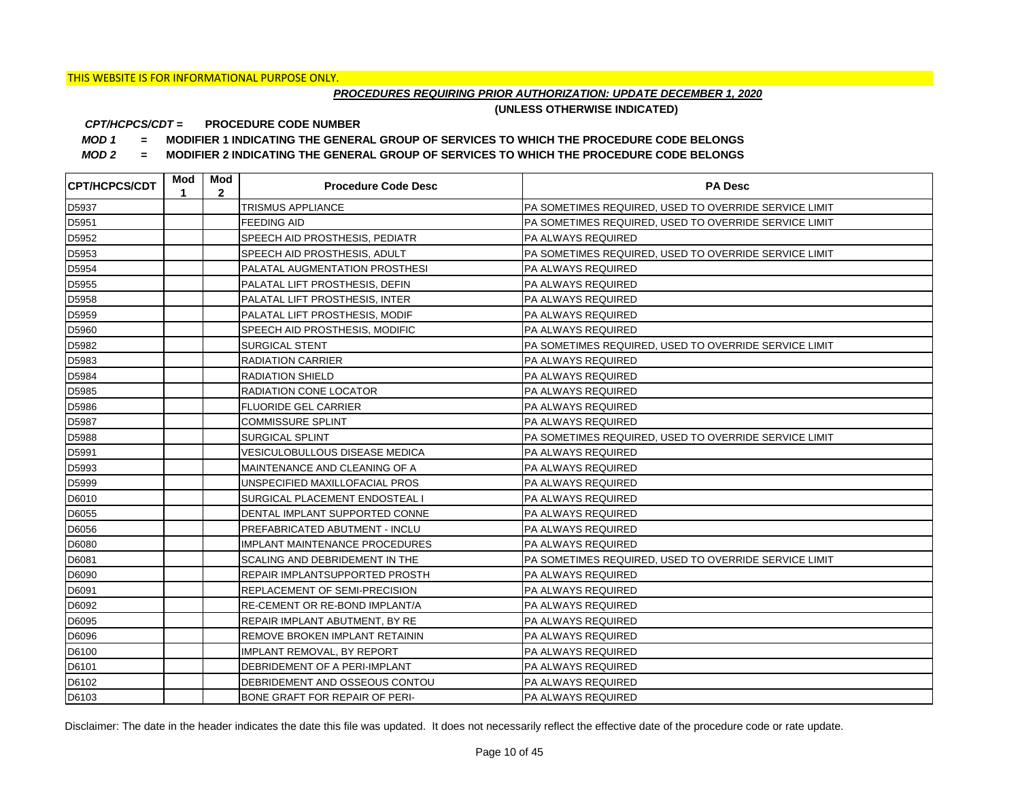## *PROCEDURES REQUIRING PRIOR AUTHORIZATION: UPDATE DECEMBER 1, 2020*

**(UNLESS OTHERWISE INDICATED)**

#### **PROCEDURE CODE NUMBER** *CPT/HCPCS/CDT =*

*MOD 1 =* **MODIFIER 1 INDICATING THE GENERAL GROUP OF SERVICES TO WHICH THE PROCEDURE CODE BELONGS**

*MOD 2 =* **MODIFIER 2 INDICATING THE GENERAL GROUP OF SERVICES TO WHICH THE PROCEDURE CODE BELONGS**

| <b>CPT/HCPCS/CDT</b> | Mod<br>1 | Mod<br>$\overline{2}$ | <b>Procedure Code Desc</b>            | <b>PA Desc</b>                                        |
|----------------------|----------|-----------------------|---------------------------------------|-------------------------------------------------------|
| D5937                |          |                       | TRISMUS APPLIANCE                     | PA SOMETIMES REQUIRED, USED TO OVERRIDE SERVICE LIMIT |
| D5951                |          |                       | <b>FEEDING AID</b>                    | PA SOMETIMES REQUIRED, USED TO OVERRIDE SERVICE LIMIT |
| D5952                |          |                       | SPEECH AID PROSTHESIS, PEDIATR        | PA ALWAYS REQUIRED                                    |
| D5953                |          |                       | SPEECH AID PROSTHESIS, ADULT          | PA SOMETIMES REQUIRED, USED TO OVERRIDE SERVICE LIMIT |
| D5954                |          |                       | PALATAL AUGMENTATION PROSTHESI        | PA ALWAYS REQUIRED                                    |
| D5955                |          |                       | PALATAL LIFT PROSTHESIS, DEFIN        | PA ALWAYS REQUIRED                                    |
| D5958                |          |                       | PALATAL LIFT PROSTHESIS, INTER        | <b>PA ALWAYS REQUIRED</b>                             |
| D5959                |          |                       | PALATAL LIFT PROSTHESIS, MODIF        | PA ALWAYS REQUIRED                                    |
| D5960                |          |                       | SPEECH AID PROSTHESIS, MODIFIC        | PA ALWAYS REQUIRED                                    |
| D5982                |          |                       | SURGICAL STENT                        | PA SOMETIMES REQUIRED, USED TO OVERRIDE SERVICE LIMIT |
| D5983                |          |                       | <b>RADIATION CARRIER</b>              | PA ALWAYS REQUIRED                                    |
| D5984                |          |                       | <b>RADIATION SHIELD</b>               | PA ALWAYS REQUIRED                                    |
| D5985                |          |                       | <b>RADIATION CONE LOCATOR</b>         | PA ALWAYS REQUIRED                                    |
| D5986                |          |                       | <b>FLUORIDE GEL CARRIER</b>           | PA ALWAYS REQUIRED                                    |
| D5987                |          |                       | <b>COMMISSURE SPLINT</b>              | PA ALWAYS REQUIRED                                    |
| D5988                |          |                       | SURGICAL SPLINT                       | PA SOMETIMES REQUIRED, USED TO OVERRIDE SERVICE LIMIT |
| D5991                |          |                       | <b>VESICULOBULLOUS DISEASE MEDICA</b> | PA ALWAYS REQUIRED                                    |
| D5993                |          |                       | MAINTENANCE AND CLEANING OF A         | PA ALWAYS REQUIRED                                    |
| D5999                |          |                       | UNSPECIFIED MAXILLOFACIAL PROS        | PA ALWAYS REQUIRED                                    |
| D6010                |          |                       | SURGICAL PLACEMENT ENDOSTEAL I        | PA ALWAYS REQUIRED                                    |
| D6055                |          |                       | DENTAL IMPLANT SUPPORTED CONNE        | PA ALWAYS REQUIRED                                    |
| D6056                |          |                       | PREFABRICATED ABUTMENT - INCLU        | PA ALWAYS REQUIRED                                    |
| D6080                |          |                       | <b>IMPLANT MAINTENANCE PROCEDURES</b> | PA ALWAYS REQUIRED                                    |
| D6081                |          |                       | SCALING AND DEBRIDEMENT IN THE        | PA SOMETIMES REQUIRED, USED TO OVERRIDE SERVICE LIMIT |
| D6090                |          |                       | REPAIR IMPLANTSUPPORTED PROSTH        | PA ALWAYS REQUIRED                                    |
| D6091                |          |                       | REPLACEMENT OF SEMI-PRECISION         | PA ALWAYS REQUIRED                                    |
| D6092                |          |                       | RE-CEMENT OR RE-BOND IMPLANT/A        | PA ALWAYS REQUIRED                                    |
| D6095                |          |                       | REPAIR IMPLANT ABUTMENT, BY RE        | PA ALWAYS REQUIRED                                    |
| D6096                |          |                       | REMOVE BROKEN IMPLANT RETAININ        | PA ALWAYS REQUIRED                                    |
| D6100                |          |                       | <b>IMPLANT REMOVAL, BY REPORT</b>     | PA ALWAYS REQUIRED                                    |
| D6101                |          |                       | DEBRIDEMENT OF A PERI-IMPLANT         | PA ALWAYS REQUIRED                                    |
| D6102                |          |                       | DEBRIDEMENT AND OSSEOUS CONTOU        | PA ALWAYS REQUIRED                                    |
| D6103                |          |                       | BONE GRAFT FOR REPAIR OF PERI-        | <b>PA ALWAYS REQUIRED</b>                             |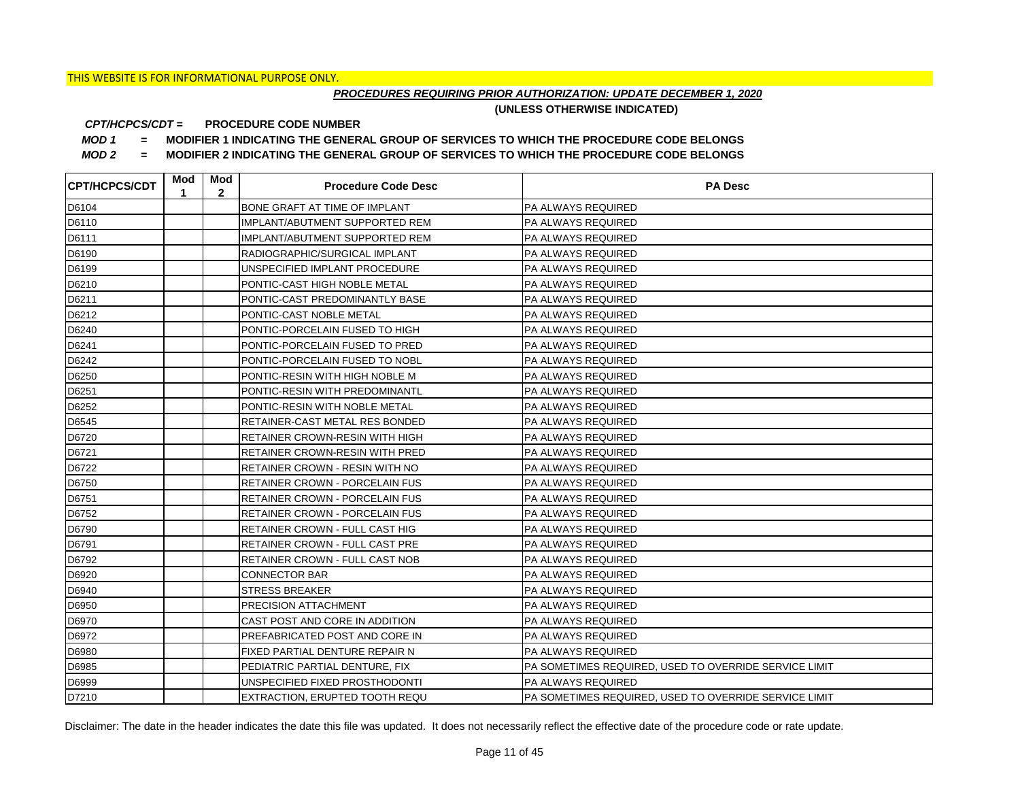## *PROCEDURES REQUIRING PRIOR AUTHORIZATION: UPDATE DECEMBER 1, 2020*

**(UNLESS OTHERWISE INDICATED)**

#### **PROCEDURE CODE NUMBER** *CPT/HCPCS/CDT =*

*MOD 1 =* **MODIFIER 1 INDICATING THE GENERAL GROUP OF SERVICES TO WHICH THE PROCEDURE CODE BELONGS**

*MOD 2 =* **MODIFIER 2 INDICATING THE GENERAL GROUP OF SERVICES TO WHICH THE PROCEDURE CODE BELONGS**

| <b>CPT/HCPCS/CDT</b> | Mod<br>1 | Mod<br>$\mathbf{2}$ | <b>Procedure Code Desc</b>            | <b>PA Desc</b>                                        |
|----------------------|----------|---------------------|---------------------------------------|-------------------------------------------------------|
| D6104                |          |                     | <b>BONE GRAFT AT TIME OF IMPLANT</b>  | <b>PA ALWAYS REQUIRED</b>                             |
| D6110                |          |                     | <b>IMPLANT/ABUTMENT SUPPORTED REM</b> | PA ALWAYS REQUIRED                                    |
| D6111                |          |                     | IMPLANT/ABUTMENT SUPPORTED REM        | PA ALWAYS REQUIRED                                    |
| D6190                |          |                     | RADIOGRAPHIC/SURGICAL IMPLANT         | PA ALWAYS REQUIRED                                    |
| D6199                |          |                     | UNSPECIFIED IMPLANT PROCEDURE         | PA ALWAYS REQUIRED                                    |
| D6210                |          |                     | PONTIC-CAST HIGH NOBLE METAL          | PA ALWAYS REQUIRED                                    |
| D6211                |          |                     | PONTIC-CAST PREDOMINANTLY BASE        | PA ALWAYS REQUIRED                                    |
| D6212                |          |                     | PONTIC-CAST NOBLE METAL               | PA ALWAYS REQUIRED                                    |
| D6240                |          |                     | PONTIC-PORCELAIN FUSED TO HIGH        | PA ALWAYS REQUIRED                                    |
| D6241                |          |                     | PONTIC-PORCELAIN FUSED TO PRED        | PA ALWAYS REQUIRED                                    |
| D6242                |          |                     | PONTIC-PORCELAIN FUSED TO NOBL        | PA ALWAYS REQUIRED                                    |
| D6250                |          |                     | PONTIC-RESIN WITH HIGH NOBLE M        | PA ALWAYS REQUIRED                                    |
| D6251                |          |                     | PONTIC-RESIN WITH PREDOMINANTL        | PA ALWAYS REQUIRED                                    |
| D6252                |          |                     | PONTIC-RESIN WITH NOBLE METAL         | PA ALWAYS REQUIRED                                    |
| D6545                |          |                     | RETAINER-CAST METAL RES BONDED        | PA ALWAYS REQUIRED                                    |
| D6720                |          |                     | RETAINER CROWN-RESIN WITH HIGH        | PA ALWAYS REQUIRED                                    |
| D6721                |          |                     | <b>RETAINER CROWN-RESIN WITH PRED</b> | PA ALWAYS REQUIRED                                    |
| D6722                |          |                     | <b>RETAINER CROWN - RESIN WITH NO</b> | PA ALWAYS REQUIRED                                    |
| D6750                |          |                     | <b>RETAINER CROWN - PORCELAIN FUS</b> | PA ALWAYS REQUIRED                                    |
| D6751                |          |                     | <b>RETAINER CROWN - PORCELAIN FUS</b> | PA ALWAYS REQUIRED                                    |
| D6752                |          |                     | <b>RETAINER CROWN - PORCELAIN FUS</b> | PA ALWAYS REQUIRED                                    |
| D6790                |          |                     | RETAINER CROWN - FULL CAST HIG        | PA ALWAYS REQUIRED                                    |
| D6791                |          |                     | <b>RETAINER CROWN - FULL CAST PRE</b> | PA ALWAYS REQUIRED                                    |
| D6792                |          |                     | RETAINER CROWN - FULL CAST NOB        | PA ALWAYS REQUIRED                                    |
| D6920                |          |                     | <b>CONNECTOR BAR</b>                  | <b>PA ALWAYS REQUIRED</b>                             |
| D6940                |          |                     | <b>STRESS BREAKER</b>                 | PA ALWAYS REQUIRED                                    |
| D6950                |          |                     | PRECISION ATTACHMENT                  | PA ALWAYS REQUIRED                                    |
| D6970                |          |                     | CAST POST AND CORE IN ADDITION        | PA ALWAYS REQUIRED                                    |
| D6972                |          |                     | PREFABRICATED POST AND CORE IN        | PA ALWAYS REQUIRED                                    |
| D6980                |          |                     | FIXED PARTIAL DENTURE REPAIR N        | PA ALWAYS REQUIRED                                    |
| D6985                |          |                     | PEDIATRIC PARTIAL DENTURE, FIX        | PA SOMETIMES REQUIRED, USED TO OVERRIDE SERVICE LIMIT |
| D6999                |          |                     | UNSPECIFIED FIXED PROSTHODONTI        | PA ALWAYS REQUIRED                                    |
| D7210                |          |                     | <b>EXTRACTION, ERUPTED TOOTH REQU</b> | PA SOMETIMES REQUIRED, USED TO OVERRIDE SERVICE LIMIT |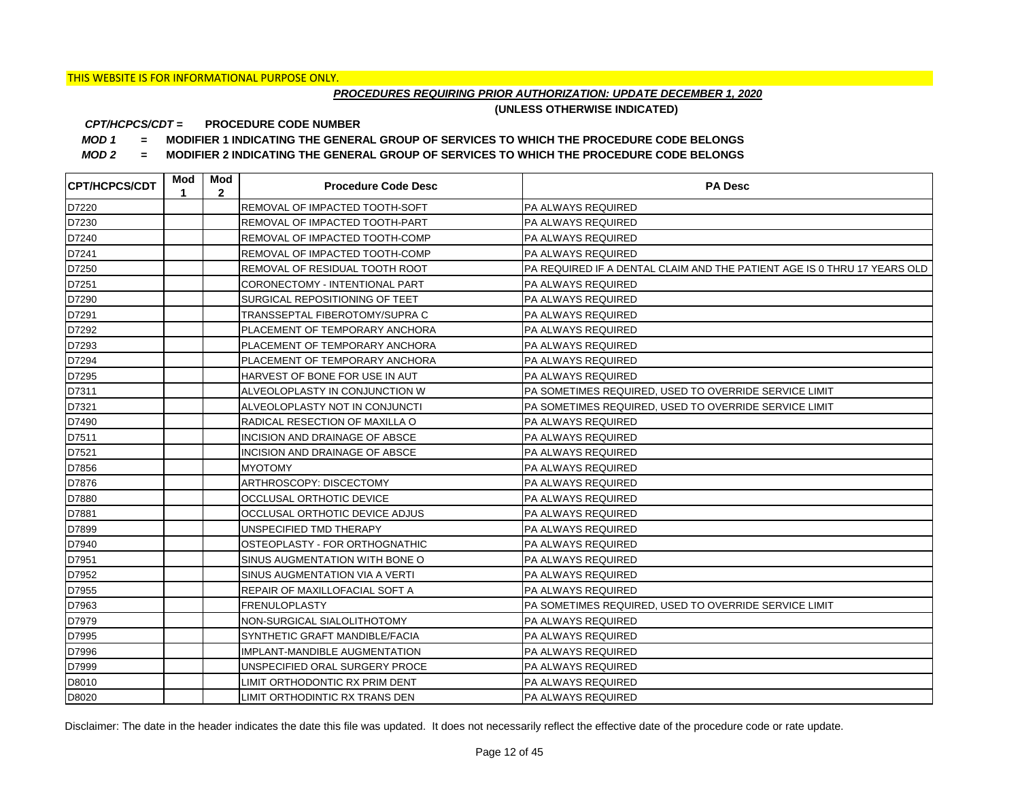## *PROCEDURES REQUIRING PRIOR AUTHORIZATION: UPDATE DECEMBER 1, 2020*

**(UNLESS OTHERWISE INDICATED)**

#### **PROCEDURE CODE NUMBER** *CPT/HCPCS/CDT =*

*MOD 1 =* **MODIFIER 1 INDICATING THE GENERAL GROUP OF SERVICES TO WHICH THE PROCEDURE CODE BELONGS**

*MOD 2 =* **MODIFIER 2 INDICATING THE GENERAL GROUP OF SERVICES TO WHICH THE PROCEDURE CODE BELONGS**

| <b>CPT/HCPCS/CDT</b> | Mod<br>1 | Mod<br>$\mathbf{2}$ | <b>Procedure Code Desc</b>     | <b>PA Desc</b>                                                           |
|----------------------|----------|---------------------|--------------------------------|--------------------------------------------------------------------------|
| D7220                |          |                     | REMOVAL OF IMPACTED TOOTH-SOFT | <b>PA ALWAYS REQUIRED</b>                                                |
| D7230                |          |                     | REMOVAL OF IMPACTED TOOTH-PART | <b>PA ALWAYS REQUIRED</b>                                                |
| D7240                |          |                     | REMOVAL OF IMPACTED TOOTH-COMP | PA ALWAYS REQUIRED                                                       |
| D7241                |          |                     | REMOVAL OF IMPACTED TOOTH-COMP | <b>PA ALWAYS REQUIRED</b>                                                |
| D7250                |          |                     | REMOVAL OF RESIDUAL TOOTH ROOT | PA REQUIRED IF A DENTAL CLAIM AND THE PATIENT AGE IS 0 THRU 17 YEARS OLD |
| D7251                |          |                     | CORONECTOMY - INTENTIONAL PART | PA ALWAYS REQUIRED                                                       |
| D7290                |          |                     | SURGICAL REPOSITIONING OF TEET | PA ALWAYS REQUIRED                                                       |
| D7291                |          |                     | TRANSSEPTAL FIBEROTOMY/SUPRA C | <b>PA ALWAYS REQUIRED</b>                                                |
| D7292                |          |                     | PLACEMENT OF TEMPORARY ANCHORA | <b>PA ALWAYS REQUIRED</b>                                                |
| D7293                |          |                     | PLACEMENT OF TEMPORARY ANCHORA | PA ALWAYS REQUIRED                                                       |
| D7294                |          |                     | PLACEMENT OF TEMPORARY ANCHORA | <b>PA ALWAYS REQUIRED</b>                                                |
| D7295                |          |                     | HARVEST OF BONE FOR USE IN AUT | PA ALWAYS REQUIRED                                                       |
| D7311                |          |                     | ALVEOLOPLASTY IN CONJUNCTION W | PA SOMETIMES REQUIRED, USED TO OVERRIDE SERVICE LIMIT                    |
| D7321                |          |                     | ALVEOLOPLASTY NOT IN CONJUNCTI | PA SOMETIMES REQUIRED, USED TO OVERRIDE SERVICE LIMIT                    |
| D7490                |          |                     | RADICAL RESECTION OF MAXILLA O | PA ALWAYS REQUIRED                                                       |
| D7511                |          |                     | INCISION AND DRAINAGE OF ABSCE | PA ALWAYS REQUIRED                                                       |
| D7521                |          |                     | INCISION AND DRAINAGE OF ABSCE | <b>PA ALWAYS REQUIRED</b>                                                |
| D7856                |          |                     | <b>MYOTOMY</b>                 | PA ALWAYS REQUIRED                                                       |
| D7876                |          |                     | ARTHROSCOPY: DISCECTOMY        | PA ALWAYS REQUIRED                                                       |
| D7880                |          |                     | OCCLUSAL ORTHOTIC DEVICE       | PA ALWAYS REQUIRED                                                       |
| D7881                |          |                     | OCCLUSAL ORTHOTIC DEVICE ADJUS | PA ALWAYS REQUIRED                                                       |
| D7899                |          |                     | UNSPECIFIED TMD THERAPY        | PA ALWAYS REQUIRED                                                       |
| D7940                |          |                     | OSTEOPLASTY - FOR ORTHOGNATHIC | PA ALWAYS REQUIRED                                                       |
| D7951                |          |                     | SINUS AUGMENTATION WITH BONE O | PA ALWAYS REQUIRED                                                       |
| D7952                |          |                     | SINUS AUGMENTATION VIA A VERTI | PA ALWAYS REQUIRED                                                       |
| D7955                |          |                     | REPAIR OF MAXILLOFACIAL SOFT A | PA ALWAYS REQUIRED                                                       |
| D7963                |          |                     | <b>FRENULOPLASTY</b>           | PA SOMETIMES REQUIRED, USED TO OVERRIDE SERVICE LIMIT                    |
| D7979                |          |                     | NON-SURGICAL SIALOLITHOTOMY    | PA ALWAYS REQUIRED                                                       |
| D7995                |          |                     | SYNTHETIC GRAFT MANDIBLE/FACIA | PA ALWAYS REQUIRED                                                       |
| D7996                |          |                     | IMPLANT-MANDIBLE AUGMENTATION  | PA ALWAYS REQUIRED                                                       |
| D7999                |          |                     | UNSPECIFIED ORAL SURGERY PROCE | PA ALWAYS REQUIRED                                                       |
| D8010                |          |                     | LIMIT ORTHODONTIC RX PRIM DENT | <b>PA ALWAYS REQUIRED</b>                                                |
| D8020                |          |                     | LIMIT ORTHODINTIC RX TRANS DEN | PA ALWAYS REQUIRED                                                       |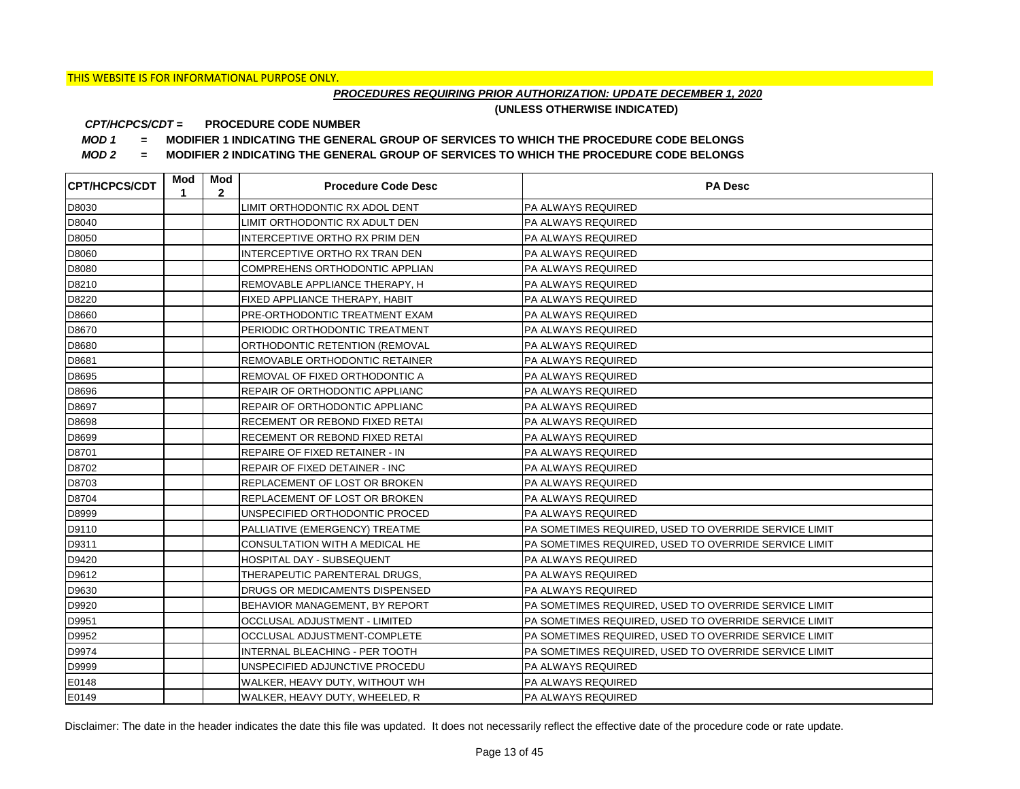## *PROCEDURES REQUIRING PRIOR AUTHORIZATION: UPDATE DECEMBER 1, 2020*

**(UNLESS OTHERWISE INDICATED)**

#### **PROCEDURE CODE NUMBER** *CPT/HCPCS/CDT =*

*MOD 1 =* **MODIFIER 1 INDICATING THE GENERAL GROUP OF SERVICES TO WHICH THE PROCEDURE CODE BELONGS**

*MOD 2 =* **MODIFIER 2 INDICATING THE GENERAL GROUP OF SERVICES TO WHICH THE PROCEDURE CODE BELONGS**

| <b>ICPT/HCPCS/CDT</b> | Mod<br>1 | Mod<br>$\mathbf{2}$ | <b>Procedure Code Desc</b>     | <b>PA Desc</b>                                        |
|-----------------------|----------|---------------------|--------------------------------|-------------------------------------------------------|
| D8030                 |          |                     | LIMIT ORTHODONTIC RX ADOL DENT | <b>PA ALWAYS REQUIRED</b>                             |
| D8040                 |          |                     | LIMIT ORTHODONTIC RX ADULT DEN | <b>PA ALWAYS REQUIRED</b>                             |
| D8050                 |          |                     | INTERCEPTIVE ORTHO RX PRIM DEN | <b>PA ALWAYS REQUIRED</b>                             |
| D8060                 |          |                     | INTERCEPTIVE ORTHO RX TRAN DEN | <b>PA ALWAYS REQUIRED</b>                             |
| D8080                 |          |                     | COMPREHENS ORTHODONTIC APPLIAN | PA ALWAYS REQUIRED                                    |
| D8210                 |          |                     | REMOVABLE APPLIANCE THERAPY, H | PA ALWAYS REQUIRED                                    |
| D8220                 |          |                     | FIXED APPLIANCE THERAPY, HABIT | PA ALWAYS REQUIRED                                    |
| D8660                 |          |                     | PRE-ORTHODONTIC TREATMENT EXAM | PA ALWAYS REQUIRED                                    |
| D8670                 |          |                     | PERIODIC ORTHODONTIC TREATMENT | <b>PA ALWAYS REQUIRED</b>                             |
| D8680                 |          |                     | ORTHODONTIC RETENTION (REMOVAL | PA ALWAYS REQUIRED                                    |
| D8681                 |          |                     | REMOVABLE ORTHODONTIC RETAINER | PA ALWAYS REQUIRED                                    |
| D8695                 |          |                     | REMOVAL OF FIXED ORTHODONTIC A | PA ALWAYS REQUIRED                                    |
| D8696                 |          |                     | REPAIR OF ORTHODONTIC APPLIANC | <b>PA ALWAYS REQUIRED</b>                             |
| D8697                 |          |                     | REPAIR OF ORTHODONTIC APPLIANC | PA ALWAYS REQUIRED                                    |
| D8698                 |          |                     | RECEMENT OR REBOND FIXED RETAI | <b>PA ALWAYS REQUIRED</b>                             |
| D8699                 |          |                     | RECEMENT OR REBOND FIXED RETAI | <b>PA ALWAYS REQUIRED</b>                             |
| D8701                 |          |                     | REPAIRE OF FIXED RETAINER - IN | <b>PA ALWAYS REQUIRED</b>                             |
| D8702                 |          |                     | REPAIR OF FIXED DETAINER - INC | <b>PA ALWAYS REQUIRED</b>                             |
| D8703                 |          |                     | REPLACEMENT OF LOST OR BROKEN  | PA ALWAYS REQUIRED                                    |
| D8704                 |          |                     | REPLACEMENT OF LOST OR BROKEN  | <b>PA ALWAYS REQUIRED</b>                             |
| D8999                 |          |                     | UNSPECIFIED ORTHODONTIC PROCED | <b>PA ALWAYS REQUIRED</b>                             |
| D9110                 |          |                     | PALLIATIVE (EMERGENCY) TREATME | PA SOMETIMES REQUIRED. USED TO OVERRIDE SERVICE LIMIT |
| D9311                 |          |                     | CONSULTATION WITH A MEDICAL HE | PA SOMETIMES REQUIRED, USED TO OVERRIDE SERVICE LIMIT |
| D9420                 |          |                     | HOSPITAL DAY - SUBSEQUENT      | <b>PA ALWAYS REQUIRED</b>                             |
| D9612                 |          |                     | THERAPEUTIC PARENTERAL DRUGS,  | <b>PA ALWAYS REQUIRED</b>                             |
| D9630                 |          |                     | DRUGS OR MEDICAMENTS DISPENSED | <b>PA ALWAYS REQUIRED</b>                             |
| D9920                 |          |                     | BEHAVIOR MANAGEMENT, BY REPORT | PA SOMETIMES REQUIRED, USED TO OVERRIDE SERVICE LIMIT |
| D9951                 |          |                     | OCCLUSAL ADJUSTMENT - LIMITED  | PA SOMETIMES REQUIRED, USED TO OVERRIDE SERVICE LIMIT |
| D9952                 |          |                     | OCCLUSAL ADJUSTMENT-COMPLETE   | PA SOMETIMES REQUIRED, USED TO OVERRIDE SERVICE LIMIT |
| D9974                 |          |                     | INTERNAL BLEACHING - PER TOOTH | PA SOMETIMES REQUIRED, USED TO OVERRIDE SERVICE LIMIT |
| D9999                 |          |                     | UNSPECIFIED ADJUNCTIVE PROCEDU | PA ALWAYS REQUIRED                                    |
| E0148                 |          |                     | WALKER, HEAVY DUTY, WITHOUT WH | <b>PA ALWAYS REQUIRED</b>                             |
| E0149                 |          |                     | WALKER, HEAVY DUTY, WHEELED, R | <b>PA ALWAYS REQUIRED</b>                             |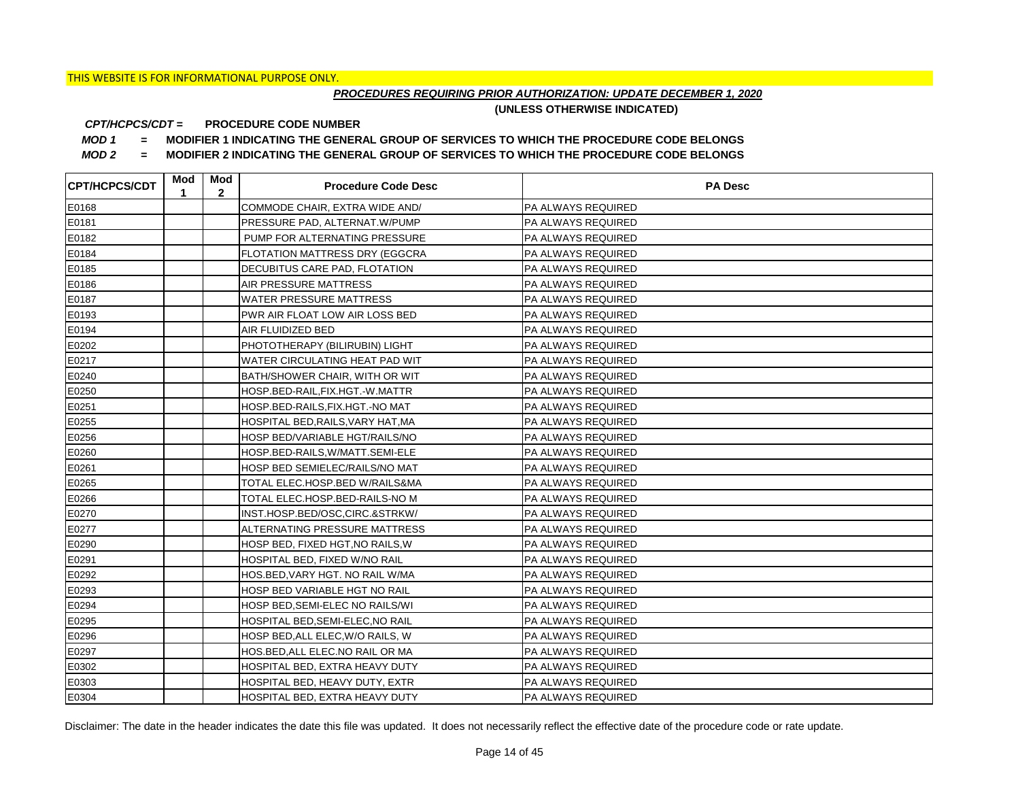## *PROCEDURES REQUIRING PRIOR AUTHORIZATION: UPDATE DECEMBER 1, 2020*

**(UNLESS OTHERWISE INDICATED)**

#### **PROCEDURE CODE NUMBER** *CPT/HCPCS/CDT =*

*MOD 1 =* **MODIFIER 1 INDICATING THE GENERAL GROUP OF SERVICES TO WHICH THE PROCEDURE CODE BELONGS**

*MOD 2 =* **MODIFIER 2 INDICATING THE GENERAL GROUP OF SERVICES TO WHICH THE PROCEDURE CODE BELONGS**

| <b>CPT/HCPCS/CDT</b> | Mod<br>1 | Mod<br>$\overline{2}$ | <b>Procedure Code Desc</b>            | <b>PA Desc</b>            |
|----------------------|----------|-----------------------|---------------------------------------|---------------------------|
| E0168                |          |                       | COMMODE CHAIR, EXTRA WIDE AND/        | PA ALWAYS REQUIRED        |
| E0181                |          |                       | PRESSURE PAD, ALTERNAT.W/PUMP         | PA ALWAYS REQUIRED        |
| E0182                |          |                       | PUMP FOR ALTERNATING PRESSURE         | PA ALWAYS REQUIRED        |
| E0184                |          |                       | FLOTATION MATTRESS DRY (EGGCRA        | PA ALWAYS REQUIRED        |
| E0185                |          |                       | DECUBITUS CARE PAD, FLOTATION         | PA ALWAYS REQUIRED        |
| E0186                |          |                       | <b>AIR PRESSURE MATTRESS</b>          | PA ALWAYS REQUIRED        |
| E0187                |          |                       | <b>WATER PRESSURE MATTRESS</b>        | <b>PA ALWAYS REQUIRED</b> |
| E0193                |          |                       | PWR AIR FLOAT LOW AIR LOSS BED        | PA ALWAYS REQUIRED        |
| E0194                |          |                       | AIR FLUIDIZED BED                     | PA ALWAYS REQUIRED        |
| E0202                |          |                       | PHOTOTHERAPY (BILIRUBIN) LIGHT        | <b>PA ALWAYS REQUIRED</b> |
| E0217                |          |                       | WATER CIRCULATING HEAT PAD WIT        | PA ALWAYS REQUIRED        |
| E0240                |          |                       | <b>BATH/SHOWER CHAIR, WITH OR WIT</b> | PA ALWAYS REQUIRED        |
| E0250                |          |                       | HOSP.BED-RAIL,FIX.HGT.-W.MATTR        | <b>PA ALWAYS REQUIRED</b> |
| E0251                |          |                       | HOSP.BED-RAILS,FIX.HGT.-NO MAT        | PA ALWAYS REQUIRED        |
| E0255                |          |                       | HOSPITAL BED, RAILS, VARY HAT, MA     | PA ALWAYS REQUIRED        |
| E0256                |          |                       | HOSP BED/VARIABLE HGT/RAILS/NO        | PA ALWAYS REQUIRED        |
| E0260                |          |                       | HOSP.BED-RAILS, W/MATT.SEMI-ELE       | PA ALWAYS REQUIRED        |
| E0261                |          |                       | HOSP BED SEMIELEC/RAILS/NO MAT        | PA ALWAYS REQUIRED        |
| E0265                |          |                       | TOTAL ELEC.HOSP.BED W/RAILS&MA        | PA ALWAYS REQUIRED        |
| E0266                |          |                       | TOTAL ELEC.HOSP.BED-RAILS-NO M        | <b>PA ALWAYS REQUIRED</b> |
| E0270                |          |                       | INST.HOSP.BED/OSC,CIRC.&STRKW/        | PA ALWAYS REQUIRED        |
| E0277                |          |                       | <b>ALTERNATING PRESSURE MATTRESS</b>  | PA ALWAYS REQUIRED        |
| E0290                |          |                       | HOSP BED, FIXED HGT, NO RAILS, W      | PA ALWAYS REQUIRED        |
| E0291                |          |                       | HOSPITAL BED, FIXED W/NO RAIL         | PA ALWAYS REQUIRED        |
| E0292                |          |                       | HOS.BED, VARY HGT. NO RAIL W/MA       | PA ALWAYS REQUIRED        |
| E0293                |          |                       | HOSP BED VARIABLE HGT NO RAIL         | PA ALWAYS REQUIRED        |
| E0294                |          |                       | HOSP BED, SEMI-ELEC NO RAILS/WI       | PA ALWAYS REQUIRED        |
| E0295                |          |                       | HOSPITAL BED.SEMI-ELEC.NO RAIL        | PA ALWAYS REQUIRED        |
| E0296                |          |                       | HOSP BED, ALL ELEC, W/O RAILS, W      | PA ALWAYS REQUIRED        |
| E0297                |          |                       | HOS.BED, ALL ELEC.NO RAIL OR MA       | PA ALWAYS REQUIRED        |
| E0302                |          |                       | HOSPITAL BED, EXTRA HEAVY DUTY        | PA ALWAYS REQUIRED        |
| E0303                |          |                       | HOSPITAL BED, HEAVY DUTY, EXTR        | PA ALWAYS REQUIRED        |
| E0304                |          |                       | HOSPITAL BED, EXTRA HEAVY DUTY        | <b>PA ALWAYS REQUIRED</b> |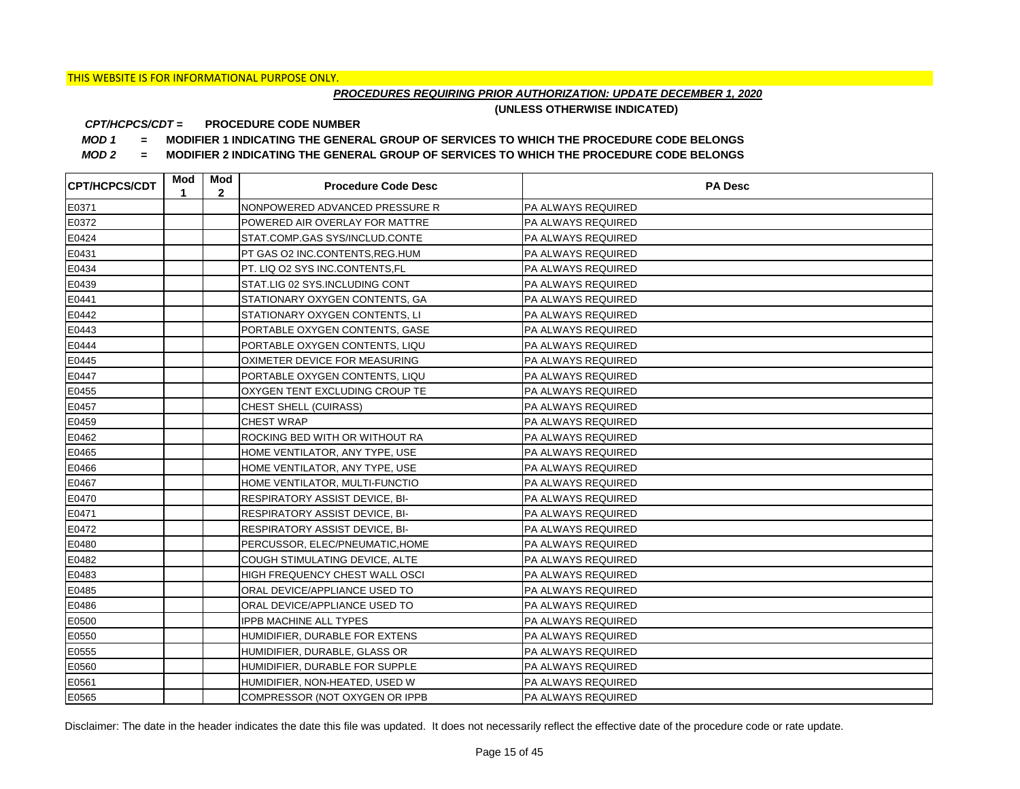## *PROCEDURES REQUIRING PRIOR AUTHORIZATION: UPDATE DECEMBER 1, 2020*

**(UNLESS OTHERWISE INDICATED)**

#### **PROCEDURE CODE NUMBER** *CPT/HCPCS/CDT =*

*MOD 1 =* **MODIFIER 1 INDICATING THE GENERAL GROUP OF SERVICES TO WHICH THE PROCEDURE CODE BELONGS**

*MOD 2 =* **MODIFIER 2 INDICATING THE GENERAL GROUP OF SERVICES TO WHICH THE PROCEDURE CODE BELONGS**

| <b>CPT/HCPCS/CDT</b> | Mod<br>1 | Mod<br>$\mathbf{2}$ | <b>Procedure Code Desc</b>      | <b>PA Desc</b>            |
|----------------------|----------|---------------------|---------------------------------|---------------------------|
| E0371                |          |                     | NONPOWERED ADVANCED PRESSURE R  | PA ALWAYS REQUIRED        |
| E0372                |          |                     | POWERED AIR OVERLAY FOR MATTRE  | <b>PA ALWAYS REQUIRED</b> |
| E0424                |          |                     | STAT.COMP.GAS SYS/INCLUD.CONTE  | <b>PA ALWAYS REQUIRED</b> |
| E0431                |          |                     | PT GAS O2 INC.CONTENTS, REG.HUM | <b>PA ALWAYS REQUIRED</b> |
| E0434                |          |                     | PT. LIQ O2 SYS INC.CONTENTS,FL  | PA ALWAYS REQUIRED        |
| E0439                |          |                     | STAT.LIG 02 SYS.INCLUDING CONT  | PA ALWAYS REQUIRED        |
| E0441                |          |                     | STATIONARY OXYGEN CONTENTS, GA  | PA ALWAYS REQUIRED        |
| E0442                |          |                     | STATIONARY OXYGEN CONTENTS, LI  | PA ALWAYS REQUIRED        |
| E0443                |          |                     | PORTABLE OXYGEN CONTENTS, GASE  | PA ALWAYS REQUIRED        |
| E0444                |          |                     | PORTABLE OXYGEN CONTENTS, LIQU  | PA ALWAYS REQUIRED        |
| E0445                |          |                     | OXIMETER DEVICE FOR MEASURING   | PA ALWAYS REQUIRED        |
| E0447                |          |                     | PORTABLE OXYGEN CONTENTS, LIQU  | PA ALWAYS REQUIRED        |
| E0455                |          |                     | OXYGEN TENT EXCLUDING CROUP TE  | PA ALWAYS REQUIRED        |
| E0457                |          |                     | <b>CHEST SHELL (CUIRASS)</b>    | <b>PA ALWAYS REQUIRED</b> |
| E0459                |          |                     | <b>CHEST WRAP</b>               | <b>PA ALWAYS REQUIRED</b> |
| E0462                |          |                     | ROCKING BED WITH OR WITHOUT RA  | <b>PA ALWAYS REQUIRED</b> |
| E0465                |          |                     | HOME VENTILATOR, ANY TYPE, USE  | PA ALWAYS REQUIRED        |
| E0466                |          |                     | HOME VENTILATOR, ANY TYPE, USE  | PA ALWAYS REQUIRED        |
| E0467                |          |                     | HOME VENTILATOR, MULTI-FUNCTIO  | <b>PA ALWAYS REQUIRED</b> |
| E0470                |          |                     | RESPIRATORY ASSIST DEVICE, BI-  | <b>PA ALWAYS REQUIRED</b> |
| E0471                |          |                     | RESPIRATORY ASSIST DEVICE, BI-  | <b>PA ALWAYS REQUIRED</b> |
| E0472                |          |                     | RESPIRATORY ASSIST DEVICE, BI-  | <b>PA ALWAYS REQUIRED</b> |
| E0480                |          |                     | PERCUSSOR, ELEC/PNEUMATIC, HOME | <b>PA ALWAYS REQUIRED</b> |
| E0482                |          |                     | COUGH STIMULATING DEVICE, ALTE  | PA ALWAYS REQUIRED        |
| E0483                |          |                     | HIGH FREQUENCY CHEST WALL OSCI  | <b>PA ALWAYS REQUIRED</b> |
| E0485                |          |                     | ORAL DEVICE/APPLIANCE USED TO   | <b>PA ALWAYS REQUIRED</b> |
| E0486                |          |                     | ORAL DEVICE/APPLIANCE USED TO   | <b>PA ALWAYS REQUIRED</b> |
| E0500                |          |                     | <b>IPPB MACHINE ALL TYPES</b>   | <b>PA ALWAYS REQUIRED</b> |
| E0550                |          |                     | HUMIDIFIER, DURABLE FOR EXTENS  | <b>PA ALWAYS REQUIRED</b> |
| E0555                |          |                     | HUMIDIFIER, DURABLE, GLASS OR   | PA ALWAYS REQUIRED        |
| E0560                |          |                     | HUMIDIFIER, DURABLE FOR SUPPLE  | PA ALWAYS REQUIRED        |
| E0561                |          |                     | HUMIDIFIER, NON-HEATED, USED W  | PA ALWAYS REQUIRED        |
| E0565                |          |                     | COMPRESSOR (NOT OXYGEN OR IPPB  | <b>PA ALWAYS REQUIRED</b> |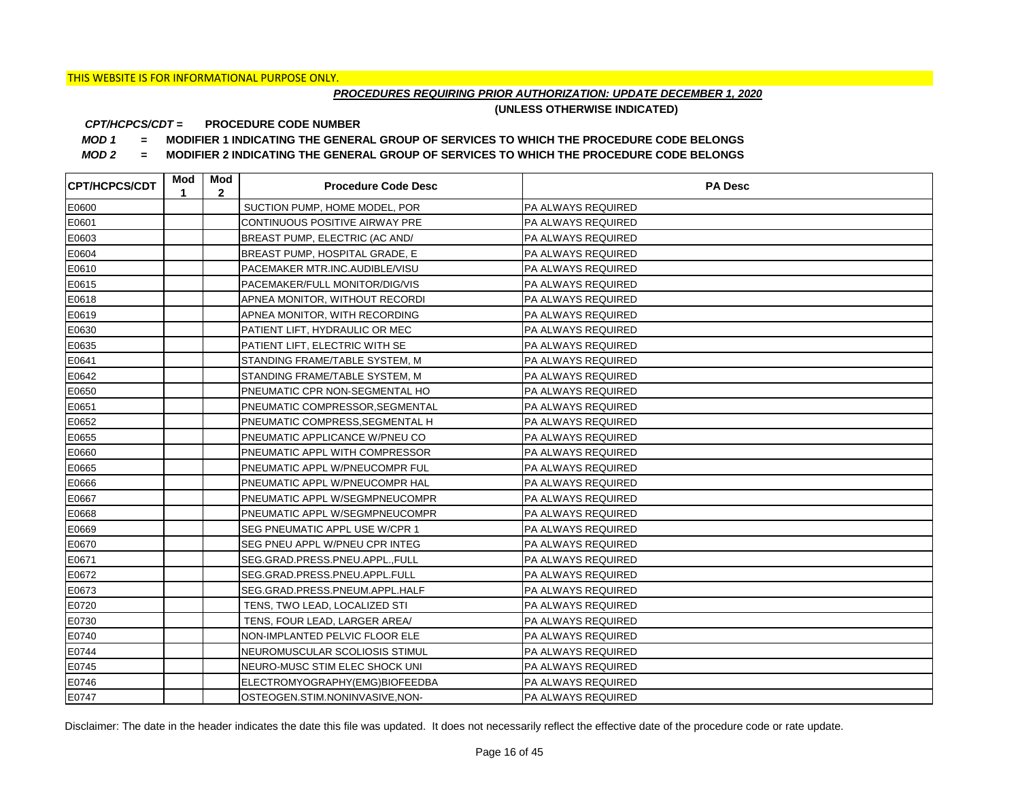## *PROCEDURES REQUIRING PRIOR AUTHORIZATION: UPDATE DECEMBER 1, 2020*

**(UNLESS OTHERWISE INDICATED)**

#### **PROCEDURE CODE NUMBER** *CPT/HCPCS/CDT =*

*MOD 1 =* **MODIFIER 1 INDICATING THE GENERAL GROUP OF SERVICES TO WHICH THE PROCEDURE CODE BELONGS**

*MOD 2 =* **MODIFIER 2 INDICATING THE GENERAL GROUP OF SERVICES TO WHICH THE PROCEDURE CODE BELONGS**

| <b>CPT/HCPCS/CDT</b> | Mod<br>1 | Mod<br>$\mathbf{2}$ | <b>Procedure Code Desc</b>      | <b>PA Desc</b>            |
|----------------------|----------|---------------------|---------------------------------|---------------------------|
| E0600                |          |                     | SUCTION PUMP, HOME MODEL, POR   | <b>PA ALWAYS REQUIRED</b> |
| E0601                |          |                     | CONTINUOUS POSITIVE AIRWAY PRE  | <b>PA ALWAYS REQUIRED</b> |
| E0603                |          |                     | BREAST PUMP, ELECTRIC (AC AND/  | <b>PA ALWAYS REQUIRED</b> |
| E0604                |          |                     | BREAST PUMP, HOSPITAL GRADE, E  | <b>PA ALWAYS REQUIRED</b> |
| E0610                |          |                     | PACEMAKER MTR.INC.AUDIBLE/VISU  | PA ALWAYS REQUIRED        |
| E0615                |          |                     | PACEMAKER/FULL MONITOR/DIG/VIS  | PA ALWAYS REQUIRED        |
| E0618                |          |                     | APNEA MONITOR, WITHOUT RECORDI  | <b>PA ALWAYS REQUIRED</b> |
| E0619                |          |                     | APNEA MONITOR, WITH RECORDING   | PA ALWAYS REQUIRED        |
| E0630                |          |                     | PATIENT LIFT, HYDRAULIC OR MEC  | <b>PA ALWAYS REQUIRED</b> |
| E0635                |          |                     | PATIENT LIFT, ELECTRIC WITH SE  | PA ALWAYS REQUIRED        |
| E0641                |          |                     | STANDING FRAME/TABLE SYSTEM, M  | PA ALWAYS REQUIRED        |
| E0642                |          |                     | STANDING FRAME/TABLE SYSTEM, M  | PA ALWAYS REQUIRED        |
| E0650                |          |                     | PNEUMATIC CPR NON-SEGMENTAL HO  | <b>PA ALWAYS REQUIRED</b> |
| E0651                |          |                     | PNEUMATIC COMPRESSOR, SEGMENTAL | <b>PA ALWAYS REQUIRED</b> |
| E0652                |          |                     | PNEUMATIC COMPRESS, SEGMENTAL H | PA ALWAYS REQUIRED        |
| E0655                |          |                     | PNEUMATIC APPLICANCE W/PNEU CO  | PA ALWAYS REQUIRED        |
| E0660                |          |                     | PNEUMATIC APPL WITH COMPRESSOR  | PA ALWAYS REQUIRED        |
| E0665                |          |                     | PNEUMATIC APPL W/PNEUCOMPR FUL  | PA ALWAYS REQUIRED        |
| E0666                |          |                     | PNEUMATIC APPL W/PNEUCOMPR HAL  | PA ALWAYS REQUIRED        |
| E0667                |          |                     | PNEUMATIC APPL W/SEGMPNEUCOMPR  | PA ALWAYS REQUIRED        |
| E0668                |          |                     | PNEUMATIC APPL W/SEGMPNEUCOMPR  | PA ALWAYS REQUIRED        |
| E0669                |          |                     | SEG PNEUMATIC APPL USE W/CPR 1  | PA ALWAYS REQUIRED        |
| E0670                |          |                     | SEG PNEU APPL W/PNEU CPR INTEG  | PA ALWAYS REQUIRED        |
| E0671                |          |                     | SEG.GRAD.PRESS.PNEU.APPL.,FULL  | PA ALWAYS REQUIRED        |
| E0672                |          |                     | SEG.GRAD.PRESS.PNEU.APPL.FULL   | PA ALWAYS REQUIRED        |
| E0673                |          |                     | SEG.GRAD.PRESS.PNEUM.APPL.HALF  | PA ALWAYS REQUIRED        |
| E0720                |          |                     | TENS, TWO LEAD, LOCALIZED STI   | PA ALWAYS REQUIRED        |
| E0730                |          |                     | TENS, FOUR LEAD, LARGER AREA/   | PA ALWAYS REQUIRED        |
| E0740                |          |                     | NON-IMPLANTED PELVIC FLOOR ELE  | PA ALWAYS REQUIRED        |
| E0744                |          |                     | NEUROMUSCULAR SCOLIOSIS STIMUL  | PA ALWAYS REQUIRED        |
| E0745                |          |                     | NEURO-MUSC STIM ELEC SHOCK UNI  | PA ALWAYS REQUIRED        |
| E0746                |          |                     | ELECTROMYOGRAPHY(EMG)BIOFEEDBA  | PA ALWAYS REQUIRED        |
| E0747                |          |                     | OSTEOGEN.STIM.NONINVASIVE,NON-  | <b>PA ALWAYS REQUIRED</b> |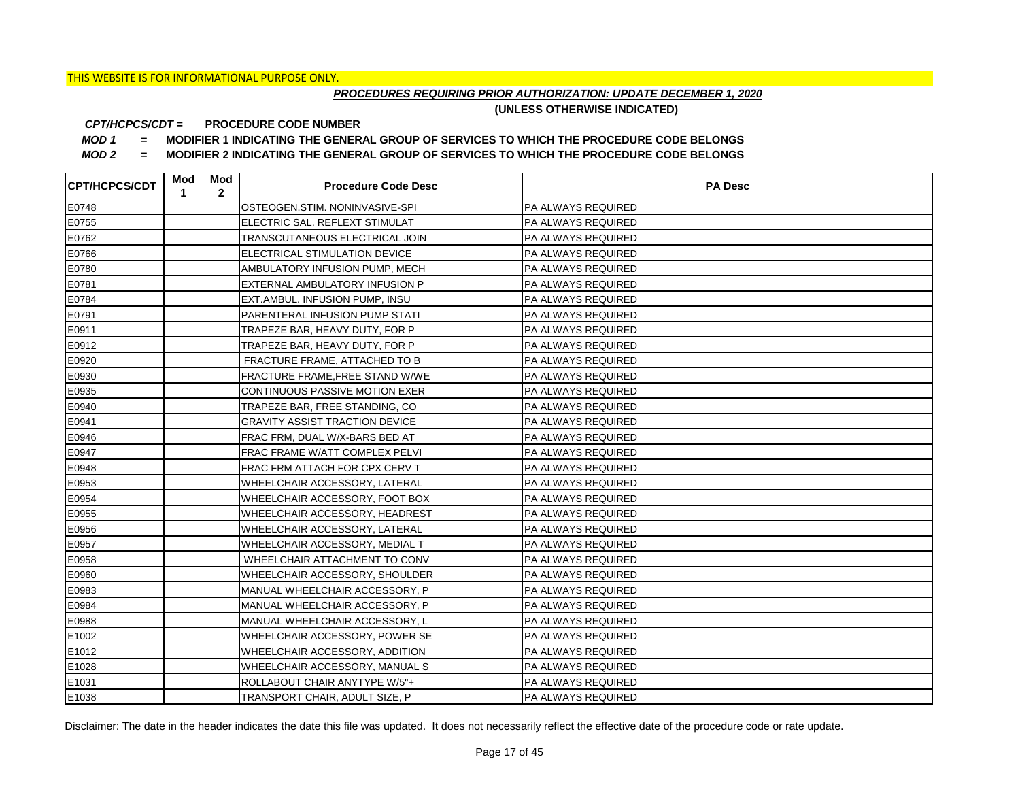## *PROCEDURES REQUIRING PRIOR AUTHORIZATION: UPDATE DECEMBER 1, 2020*

**(UNLESS OTHERWISE INDICATED)**

#### **PROCEDURE CODE NUMBER** *CPT/HCPCS/CDT =*

*MOD 1 =* **MODIFIER 1 INDICATING THE GENERAL GROUP OF SERVICES TO WHICH THE PROCEDURE CODE BELONGS**

*MOD 2 =* **MODIFIER 2 INDICATING THE GENERAL GROUP OF SERVICES TO WHICH THE PROCEDURE CODE BELONGS**

| <b>CPT/HCPCS/CDT</b> | Mod<br>1 | Mod<br>$\mathbf{2}$ | <b>Procedure Code Desc</b>             | <b>PA Desc</b>            |
|----------------------|----------|---------------------|----------------------------------------|---------------------------|
| E0748                |          |                     | OSTEOGEN.STIM. NONINVASIVE-SPI         | PA ALWAYS REQUIRED        |
| E0755                |          |                     | ELECTRIC SAL. REFLEXT STIMULAT         | PA ALWAYS REQUIRED        |
| E0762                |          |                     | TRANSCUTANEOUS ELECTRICAL JOIN         | PA ALWAYS REQUIRED        |
| E0766                |          |                     | ELECTRICAL STIMULATION DEVICE          | PA ALWAYS REQUIRED        |
| E0780                |          |                     | AMBULATORY INFUSION PUMP, MECH         | PA ALWAYS REQUIRED        |
| E0781                |          |                     | EXTERNAL AMBULATORY INFUSION P         | PA ALWAYS REQUIRED        |
| E0784                |          |                     | EXT.AMBUL. INFUSION PUMP, INSU         | PA ALWAYS REQUIRED        |
| E0791                |          |                     | PARENTERAL INFUSION PUMP STATI         | PA ALWAYS REQUIRED        |
| E0911                |          |                     | TRAPEZE BAR, HEAVY DUTY, FOR P         | PA ALWAYS REQUIRED        |
| E0912                |          |                     | TRAPEZE BAR, HEAVY DUTY, FOR P         | PA ALWAYS REQUIRED        |
| E0920                |          |                     | FRACTURE FRAME, ATTACHED TO B          | PA ALWAYS REQUIRED        |
| E0930                |          |                     | <b>FRACTURE FRAME, FREE STAND W/WE</b> | PA ALWAYS REQUIRED        |
| E0935                |          |                     | CONTINUOUS PASSIVE MOTION EXER         | PA ALWAYS REQUIRED        |
| E0940                |          |                     | TRAPEZE BAR, FREE STANDING, CO         | PA ALWAYS REQUIRED        |
| E0941                |          |                     | <b>GRAVITY ASSIST TRACTION DEVICE</b>  | PA ALWAYS REQUIRED        |
| E0946                |          |                     | FRAC FRM, DUAL W/X-BARS BED AT         | PA ALWAYS REQUIRED        |
| E0947                |          |                     | FRAC FRAME W/ATT COMPLEX PELVI         | PA ALWAYS REQUIRED        |
| E0948                |          |                     | FRAC FRM ATTACH FOR CPX CERV T         | PA ALWAYS REQUIRED        |
| E0953                |          |                     | WHEELCHAIR ACCESSORY, LATERAL          | PA ALWAYS REQUIRED        |
| E0954                |          |                     | WHEELCHAIR ACCESSORY, FOOT BOX         | PA ALWAYS REQUIRED        |
| E0955                |          |                     | WHEELCHAIR ACCESSORY, HEADREST         | PA ALWAYS REQUIRED        |
| E0956                |          |                     | WHEELCHAIR ACCESSORY, LATERAL          | PA ALWAYS REQUIRED        |
| E0957                |          |                     | WHEELCHAIR ACCESSORY, MEDIAL T         | PA ALWAYS REQUIRED        |
| E0958                |          |                     | WHEELCHAIR ATTACHMENT TO CONV          | PA ALWAYS REQUIRED        |
| E0960                |          |                     | WHEELCHAIR ACCESSORY, SHOULDER         | PA ALWAYS REQUIRED        |
| E0983                |          |                     | MANUAL WHEELCHAIR ACCESSORY, P         | PA ALWAYS REQUIRED        |
| E0984                |          |                     | MANUAL WHEELCHAIR ACCESSORY, P         | PA ALWAYS REQUIRED        |
| E0988                |          |                     | MANUAL WHEELCHAIR ACCESSORY, L         | PA ALWAYS REQUIRED        |
| E1002                |          |                     | WHEELCHAIR ACCESSORY, POWER SE         | <b>PA ALWAYS REQUIRED</b> |
| E1012                |          |                     | WHEELCHAIR ACCESSORY, ADDITION         | PA ALWAYS REQUIRED        |
| E1028                |          |                     | WHEELCHAIR ACCESSORY, MANUAL S         | PA ALWAYS REQUIRED        |
| E1031                |          |                     | ROLLABOUT CHAIR ANYTYPE W/5"+          | PA ALWAYS REQUIRED        |
| E1038                |          |                     | TRANSPORT CHAIR, ADULT SIZE, P         | <b>PA ALWAYS REQUIRED</b> |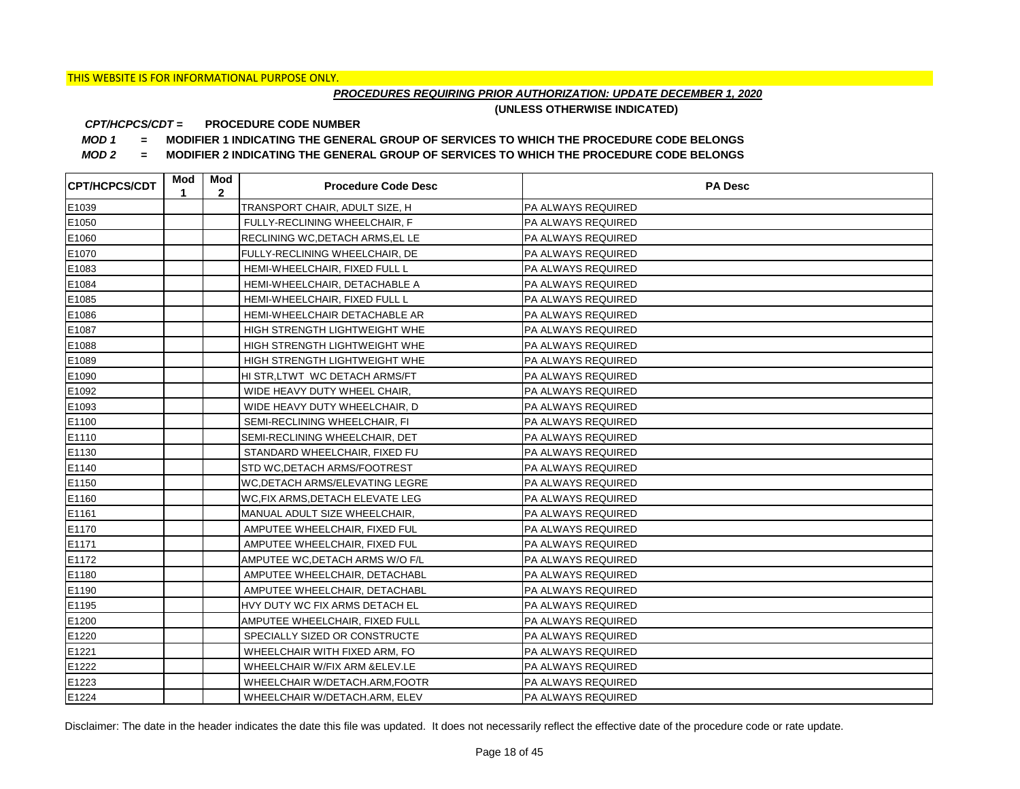## *PROCEDURES REQUIRING PRIOR AUTHORIZATION: UPDATE DECEMBER 1, 2020*

**(UNLESS OTHERWISE INDICATED)**

#### **PROCEDURE CODE NUMBER** *CPT/HCPCS/CDT =*

*MOD 1 =* **MODIFIER 1 INDICATING THE GENERAL GROUP OF SERVICES TO WHICH THE PROCEDURE CODE BELONGS**

*MOD 2 =* **MODIFIER 2 INDICATING THE GENERAL GROUP OF SERVICES TO WHICH THE PROCEDURE CODE BELONGS**

| <b>CPT/HCPCS/CDT</b> | Mod<br>1 | Mod<br>$\mathbf{2}$ | <b>Procedure Code Desc</b>             | <b>PA Desc</b>            |
|----------------------|----------|---------------------|----------------------------------------|---------------------------|
| E1039                |          |                     | TRANSPORT CHAIR, ADULT SIZE, H         | PA ALWAYS REQUIRED        |
| E1050                |          |                     | FULLY-RECLINING WHEELCHAIR, F          | PA ALWAYS REQUIRED        |
| E1060                |          |                     | RECLINING WC, DETACH ARMS, EL LE       | PA ALWAYS REQUIRED        |
| E1070                |          |                     | FULLY-RECLINING WHEELCHAIR, DE         | PA ALWAYS REQUIRED        |
| E1083                |          |                     | HEMI-WHEELCHAIR, FIXED FULL L          | PA ALWAYS REQUIRED        |
| E1084                |          |                     | HEMI-WHEELCHAIR, DETACHABLE A          | PA ALWAYS REQUIRED        |
| E1085                |          |                     | HEMI-WHEELCHAIR, FIXED FULL L          | PA ALWAYS REQUIRED        |
| E1086                |          |                     | HEMI-WHEELCHAIR DETACHABLE AR          | PA ALWAYS REQUIRED        |
| E1087                |          |                     | HIGH STRENGTH LIGHTWEIGHT WHE          | PA ALWAYS REQUIRED        |
| E1088                |          |                     | HIGH STRENGTH LIGHTWEIGHT WHE          | PA ALWAYS REQUIRED        |
| E1089                |          |                     | HIGH STRENGTH LIGHTWEIGHT WHE          | PA ALWAYS REQUIRED        |
| E1090                |          |                     | HI STR, LTWT WC DETACH ARMS/FT         | PA ALWAYS REQUIRED        |
| E1092                |          |                     | WIDE HEAVY DUTY WHEEL CHAIR,           | PA ALWAYS REQUIRED        |
| E1093                |          |                     | WIDE HEAVY DUTY WHEELCHAIR, D          | PA ALWAYS REQUIRED        |
| E1100                |          |                     | SEMI-RECLINING WHEELCHAIR, FI          | PA ALWAYS REQUIRED        |
| E1110                |          |                     | SEMI-RECLINING WHEELCHAIR, DET         | PA ALWAYS REQUIRED        |
| E1130                |          |                     | STANDARD WHEELCHAIR, FIXED FU          | PA ALWAYS REQUIRED        |
| E1140                |          |                     | STD WC, DETACH ARMS/FOOTREST           | PA ALWAYS REQUIRED        |
| E1150                |          |                     | <b>WC, DETACH ARMS/ELEVATING LEGRE</b> | PA ALWAYS REQUIRED        |
| E1160                |          |                     | WC.FIX ARMS, DETACH ELEVATE LEG        | PA ALWAYS REQUIRED        |
| E1161                |          |                     | MANUAL ADULT SIZE WHEELCHAIR,          | PA ALWAYS REQUIRED        |
| E1170                |          |                     | AMPUTEE WHEELCHAIR, FIXED FUL          | PA ALWAYS REQUIRED        |
| E1171                |          |                     | AMPUTEE WHEELCHAIR, FIXED FUL          | PA ALWAYS REQUIRED        |
| E1172                |          |                     | AMPUTEE WC, DETACH ARMS W/O F/L        | PA ALWAYS REQUIRED        |
| E1180                |          |                     | AMPUTEE WHEELCHAIR, DETACHABL          | PA ALWAYS REQUIRED        |
| E1190                |          |                     | AMPUTEE WHEELCHAIR, DETACHABL          | PA ALWAYS REQUIRED        |
| E1195                |          |                     | HVY DUTY WC FIX ARMS DETACH EL         | PA ALWAYS REQUIRED        |
| E1200                |          |                     | AMPUTEE WHEELCHAIR, FIXED FULL         | PA ALWAYS REQUIRED        |
| E1220                |          |                     | SPECIALLY SIZED OR CONSTRUCTE          | PA ALWAYS REQUIRED        |
| E1221                |          |                     | WHEELCHAIR WITH FIXED ARM, FO          | PA ALWAYS REQUIRED        |
| E1222                |          |                     | WHEELCHAIR W/FIX ARM &ELEV.LE          | PA ALWAYS REQUIRED        |
| E1223                |          |                     | WHEELCHAIR W/DETACH.ARM, FOOTR         | PA ALWAYS REQUIRED        |
| E1224                |          |                     | WHEELCHAIR W/DETACH.ARM, ELEV          | <b>PA ALWAYS REQUIRED</b> |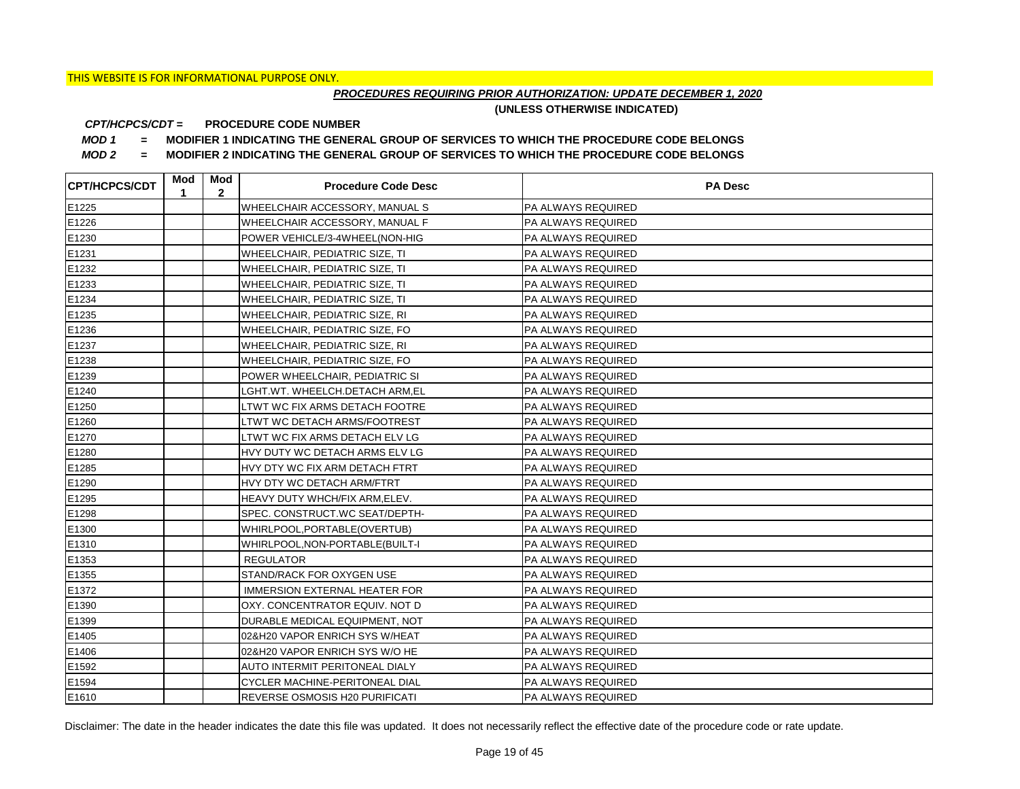## *PROCEDURES REQUIRING PRIOR AUTHORIZATION: UPDATE DECEMBER 1, 2020*

**(UNLESS OTHERWISE INDICATED)**

#### **PROCEDURE CODE NUMBER** *CPT/HCPCS/CDT =*

*MOD 1 =* **MODIFIER 1 INDICATING THE GENERAL GROUP OF SERVICES TO WHICH THE PROCEDURE CODE BELONGS**

*MOD 2 =* **MODIFIER 2 INDICATING THE GENERAL GROUP OF SERVICES TO WHICH THE PROCEDURE CODE BELONGS**

| <b>CPT/HCPCS/CDT</b> | Mod<br>1 | Mod<br>$\mathbf{2}$ | <b>Procedure Code Desc</b>            | <b>PA Desc</b>            |
|----------------------|----------|---------------------|---------------------------------------|---------------------------|
| E1225                |          |                     | WHEELCHAIR ACCESSORY, MANUAL S        | PA ALWAYS REQUIRED        |
| E1226                |          |                     | WHEELCHAIR ACCESSORY, MANUAL F        | PA ALWAYS REQUIRED        |
| E1230                |          |                     | POWER VEHICLE/3-4WHEEL(NON-HIG        | PA ALWAYS REQUIRED        |
| E1231                |          |                     | WHEELCHAIR, PEDIATRIC SIZE, TI        | PA ALWAYS REQUIRED        |
| E1232                |          |                     | WHEELCHAIR, PEDIATRIC SIZE, TI        | PA ALWAYS REQUIRED        |
| E1233                |          |                     | WHEELCHAIR, PEDIATRIC SIZE, TI        | PA ALWAYS REQUIRED        |
| E1234                |          |                     | WHEELCHAIR, PEDIATRIC SIZE, TI        | PA ALWAYS REQUIRED        |
| E1235                |          |                     | WHEELCHAIR, PEDIATRIC SIZE, RI        | PA ALWAYS REQUIRED        |
| E1236                |          |                     | WHEELCHAIR, PEDIATRIC SIZE, FO        | PA ALWAYS REQUIRED        |
| E1237                |          |                     | WHEELCHAIR, PEDIATRIC SIZE, RI        | PA ALWAYS REQUIRED        |
| E1238                |          |                     | WHEELCHAIR, PEDIATRIC SIZE, FO        | PA ALWAYS REQUIRED        |
| E1239                |          |                     | POWER WHEELCHAIR, PEDIATRIC SI        | PA ALWAYS REQUIRED        |
| E1240                |          |                     | LGHT.WT. WHEELCH.DETACH ARM,EL        | PA ALWAYS REQUIRED        |
| E1250                |          |                     | LTWT WC FIX ARMS DETACH FOOTRE        | PA ALWAYS REQUIRED        |
| E1260                |          |                     | LTWT WC DETACH ARMS/FOOTREST          | PA ALWAYS REQUIRED        |
| E1270                |          |                     | LTWT WC FIX ARMS DETACH ELV LG        | PA ALWAYS REQUIRED        |
| E1280                |          |                     | HVY DUTY WC DETACH ARMS ELV LG        | PA ALWAYS REQUIRED        |
| E1285                |          |                     | HVY DTY WC FIX ARM DETACH FTRT        | PA ALWAYS REQUIRED        |
| E1290                |          |                     | HVY DTY WC DETACH ARM/FTRT            | PA ALWAYS REQUIRED        |
| E1295                |          |                     | HEAVY DUTY WHCH/FIX ARM, ELEV.        | PA ALWAYS REQUIRED        |
| E1298                |          |                     | SPEC. CONSTRUCT.WC SEAT/DEPTH-        | PA ALWAYS REQUIRED        |
| E1300                |          |                     | WHIRLPOOL, PORTABLE (OVERTUB)         | PA ALWAYS REQUIRED        |
| E1310                |          |                     | WHIRLPOOL, NON-PORTABLE (BUILT-I      | PA ALWAYS REQUIRED        |
| E1353                |          |                     | <b>REGULATOR</b>                      | PA ALWAYS REQUIRED        |
| E1355                |          |                     | STAND/RACK FOR OXYGEN USE             | PA ALWAYS REQUIRED        |
| E1372                |          |                     | <b>IMMERSION EXTERNAL HEATER FOR</b>  | PA ALWAYS REQUIRED        |
| E1390                |          |                     | OXY. CONCENTRATOR EQUIV. NOT D        | PA ALWAYS REQUIRED        |
| E1399                |          |                     | DURABLE MEDICAL EQUIPMENT, NOT        | PA ALWAYS REQUIRED        |
| E1405                |          |                     | 02&H20 VAPOR ENRICH SYS W/HEAT        | <b>PA ALWAYS REQUIRED</b> |
| E1406                |          |                     | 02&H20 VAPOR ENRICH SYS W/O HE        | PA ALWAYS REQUIRED        |
| E1592                |          |                     | AUTO INTERMIT PERITONEAL DIALY        | PA ALWAYS REQUIRED        |
| E1594                |          |                     | CYCLER MACHINE-PERITONEAL DIAL        | PA ALWAYS REQUIRED        |
| E1610                |          |                     | <b>REVERSE OSMOSIS H20 PURIFICATI</b> | <b>PA ALWAYS REQUIRED</b> |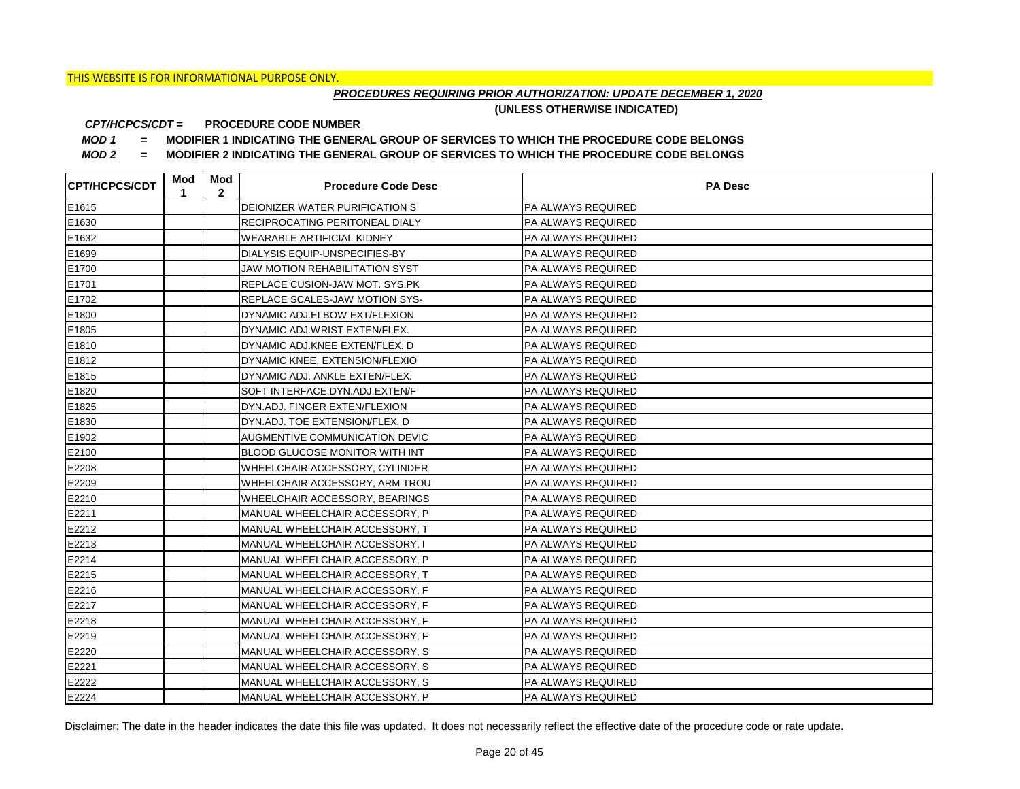## *PROCEDURES REQUIRING PRIOR AUTHORIZATION: UPDATE DECEMBER 1, 2020*

**(UNLESS OTHERWISE INDICATED)**

#### **PROCEDURE CODE NUMBER** *CPT/HCPCS/CDT =*

*MOD 1 =* **MODIFIER 1 INDICATING THE GENERAL GROUP OF SERVICES TO WHICH THE PROCEDURE CODE BELONGS**

*MOD 2 =* **MODIFIER 2 INDICATING THE GENERAL GROUP OF SERVICES TO WHICH THE PROCEDURE CODE BELONGS**

| <b>CPT/HCPCS/CDT</b> | Mod<br>1 | Mod<br>$\mathbf{2}$ | <b>Procedure Code Desc</b>            | <b>PA Desc</b>            |
|----------------------|----------|---------------------|---------------------------------------|---------------------------|
| E1615                |          |                     | DEIONIZER WATER PURIFICATION S        | PA ALWAYS REQUIRED        |
| E1630                |          |                     | <b>RECIPROCATING PERITONEAL DIALY</b> | PA ALWAYS REQUIRED        |
| E1632                |          |                     | <b>WEARABLE ARTIFICIAL KIDNEY</b>     | PA ALWAYS REQUIRED        |
| E1699                |          |                     | DIALYSIS EQUIP-UNSPECIFIES-BY         | PA ALWAYS REQUIRED        |
| E1700                |          |                     | <b>JAW MOTION REHABILITATION SYST</b> | PA ALWAYS REQUIRED        |
| E1701                |          |                     | <b>REPLACE CUSION-JAW MOT. SYS.PK</b> | PA ALWAYS REQUIRED        |
| E1702                |          |                     | <b>REPLACE SCALES-JAW MOTION SYS-</b> | PA ALWAYS REQUIRED        |
| E1800                |          |                     | DYNAMIC ADJ.ELBOW EXT/FLEXION         | PA ALWAYS REQUIRED        |
| E1805                |          |                     | DYNAMIC ADJ.WRIST EXTEN/FLEX.         | PA ALWAYS REQUIRED        |
| E1810                |          |                     | DYNAMIC ADJ.KNEE EXTEN/FLEX. D        | PA ALWAYS REQUIRED        |
| E1812                |          |                     | DYNAMIC KNEE, EXTENSION/FLEXIO        | PA ALWAYS REQUIRED        |
| E1815                |          |                     | DYNAMIC ADJ. ANKLE EXTEN/FLEX.        | PA ALWAYS REQUIRED        |
| E1820                |          |                     | SOFT INTERFACE, DYN.ADJ.EXTEN/F       | PA ALWAYS REQUIRED        |
| E1825                |          |                     | DYN.ADJ. FINGER EXTEN/FLEXION         | <b>PA ALWAYS REQUIRED</b> |
| E1830                |          |                     | DYN.ADJ. TOE EXTENSION/FLEX. D        | PA ALWAYS REQUIRED        |
| E1902                |          |                     | AUGMENTIVE COMMUNICATION DEVIC        | PA ALWAYS REQUIRED        |
| E2100                |          |                     | BLOOD GLUCOSE MONITOR WITH INT        | PA ALWAYS REQUIRED        |
| E2208                |          |                     | WHEELCHAIR ACCESSORY, CYLINDER        | PA ALWAYS REQUIRED        |
| E2209                |          |                     | WHEELCHAIR ACCESSORY, ARM TROU        | PA ALWAYS REQUIRED        |
| E2210                |          |                     | <b>WHEELCHAIR ACCESSORY, BEARINGS</b> | PA ALWAYS REQUIRED        |
| E2211                |          |                     | MANUAL WHEELCHAIR ACCESSORY, P        | PA ALWAYS REQUIRED        |
| E2212                |          |                     | MANUAL WHEELCHAIR ACCESSORY, T        | PA ALWAYS REQUIRED        |
| E2213                |          |                     | MANUAL WHEELCHAIR ACCESSORY, I        | PA ALWAYS REQUIRED        |
| E2214                |          |                     | MANUAL WHEELCHAIR ACCESSORY, P        | PA ALWAYS REQUIRED        |
| E2215                |          |                     | MANUAL WHEELCHAIR ACCESSORY, T        | PA ALWAYS REQUIRED        |
| E2216                |          |                     | MANUAL WHEELCHAIR ACCESSORY, F        | PA ALWAYS REQUIRED        |
| E2217                |          |                     | MANUAL WHEELCHAIR ACCESSORY, F        | PA ALWAYS REQUIRED        |
| E2218                |          |                     | MANUAL WHEELCHAIR ACCESSORY, F        | PA ALWAYS REQUIRED        |
| E2219                |          |                     | MANUAL WHEELCHAIR ACCESSORY, F        | <b>PA ALWAYS REQUIRED</b> |
| E2220                |          |                     | MANUAL WHEELCHAIR ACCESSORY, S        | PA ALWAYS REQUIRED        |
| E2221                |          |                     | MANUAL WHEELCHAIR ACCESSORY, S        | PA ALWAYS REQUIRED        |
| E2222                |          |                     | MANUAL WHEELCHAIR ACCESSORY, S        | PA ALWAYS REQUIRED        |
| E2224                |          |                     | MANUAL WHEELCHAIR ACCESSORY, P        | <b>PA ALWAYS REQUIRED</b> |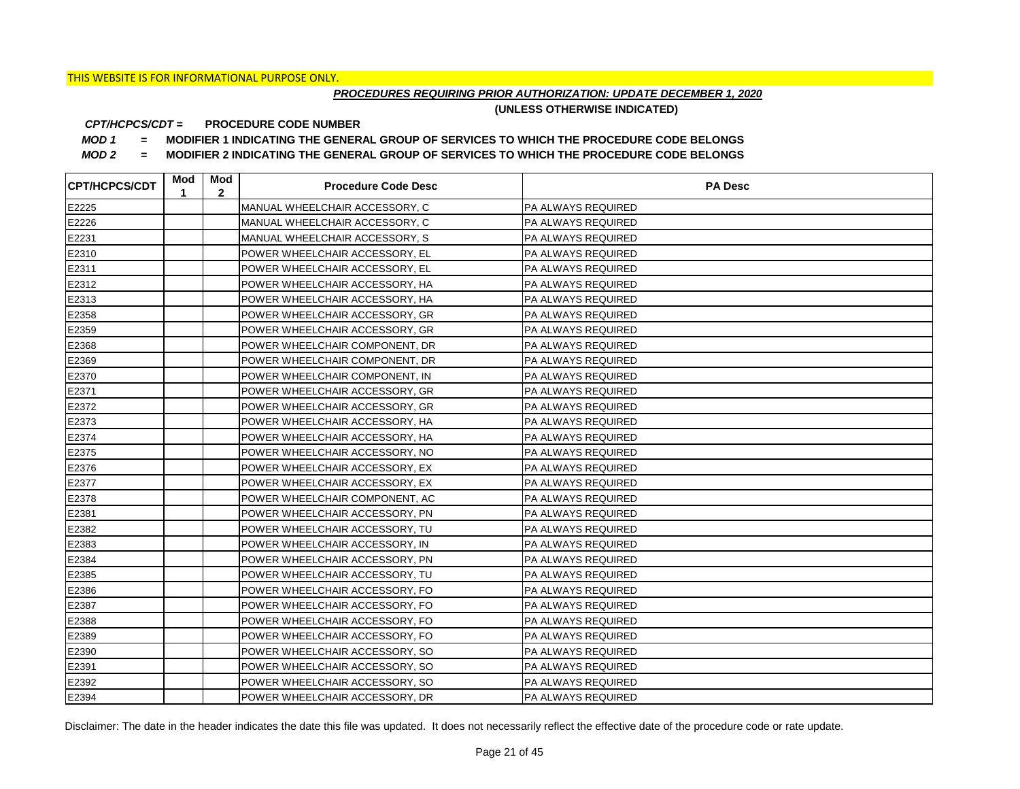## *PROCEDURES REQUIRING PRIOR AUTHORIZATION: UPDATE DECEMBER 1, 2020*

**(UNLESS OTHERWISE INDICATED)**

#### **PROCEDURE CODE NUMBER** *CPT/HCPCS/CDT =*

*MOD 1 =* **MODIFIER 1 INDICATING THE GENERAL GROUP OF SERVICES TO WHICH THE PROCEDURE CODE BELONGS**

*MOD 2 =* **MODIFIER 2 INDICATING THE GENERAL GROUP OF SERVICES TO WHICH THE PROCEDURE CODE BELONGS**

| <b>CPT/HCPCS/CDT</b> | Mod<br>1 | Mod<br>$\mathbf{2}$ | <b>Procedure Code Desc</b>     | <b>PA Desc</b>            |
|----------------------|----------|---------------------|--------------------------------|---------------------------|
| E2225                |          |                     | MANUAL WHEELCHAIR ACCESSORY, C | PA ALWAYS REQUIRED        |
| E2226                |          |                     | MANUAL WHEELCHAIR ACCESSORY, C | <b>PA ALWAYS REQUIRED</b> |
| E2231                |          |                     | MANUAL WHEELCHAIR ACCESSORY, S | <b>PA ALWAYS REQUIRED</b> |
| E2310                |          |                     | POWER WHEELCHAIR ACCESSORY, EL | <b>PA ALWAYS REQUIRED</b> |
| E2311                |          |                     | POWER WHEELCHAIR ACCESSORY, EL | PA ALWAYS REQUIRED        |
| E2312                |          |                     | POWER WHEELCHAIR ACCESSORY, HA | PA ALWAYS REQUIRED        |
| E2313                |          |                     | POWER WHEELCHAIR ACCESSORY, HA | PA ALWAYS REQUIRED        |
| E2358                |          |                     | POWER WHEELCHAIR ACCESSORY, GR | PA ALWAYS REQUIRED        |
| E2359                |          |                     | POWER WHEELCHAIR ACCESSORY, GR | PA ALWAYS REQUIRED        |
| E2368                |          |                     | POWER WHEELCHAIR COMPONENT, DR | PA ALWAYS REQUIRED        |
| E2369                |          |                     | POWER WHEELCHAIR COMPONENT, DR | PA ALWAYS REQUIRED        |
| E2370                |          |                     | POWER WHEELCHAIR COMPONENT, IN | PA ALWAYS REQUIRED        |
| E2371                |          |                     | POWER WHEELCHAIR ACCESSORY, GR | PA ALWAYS REQUIRED        |
| E2372                |          |                     | POWER WHEELCHAIR ACCESSORY, GR | <b>PA ALWAYS REQUIRED</b> |
| E2373                |          |                     | POWER WHEELCHAIR ACCESSORY, HA | <b>PA ALWAYS REQUIRED</b> |
| E2374                |          |                     | POWER WHEELCHAIR ACCESSORY, HA | <b>PA ALWAYS REQUIRED</b> |
| E2375                |          |                     | POWER WHEELCHAIR ACCESSORY, NO | <b>PA ALWAYS REQUIRED</b> |
| E2376                |          |                     | POWER WHEELCHAIR ACCESSORY, EX | PA ALWAYS REQUIRED        |
| E2377                |          |                     | POWER WHEELCHAIR ACCESSORY, EX | <b>PA ALWAYS REQUIRED</b> |
| E2378                |          |                     | POWER WHEELCHAIR COMPONENT, AC | <b>PA ALWAYS REQUIRED</b> |
| E2381                |          |                     | POWER WHEELCHAIR ACCESSORY, PN | <b>PA ALWAYS REQUIRED</b> |
| E2382                |          |                     | POWER WHEELCHAIR ACCESSORY, TU | <b>PA ALWAYS REQUIRED</b> |
| E2383                |          |                     | POWER WHEELCHAIR ACCESSORY, IN | <b>PA ALWAYS REQUIRED</b> |
| E2384                |          |                     | POWER WHEELCHAIR ACCESSORY, PN | PA ALWAYS REQUIRED        |
| E2385                |          |                     | POWER WHEELCHAIR ACCESSORY, TU | <b>PA ALWAYS REQUIRED</b> |
| E2386                |          |                     | POWER WHEELCHAIR ACCESSORY, FO | <b>PA ALWAYS REQUIRED</b> |
| E2387                |          |                     | POWER WHEELCHAIR ACCESSORY, FO | <b>PA ALWAYS REQUIRED</b> |
| E2388                |          |                     | POWER WHEELCHAIR ACCESSORY, FO | <b>PA ALWAYS REQUIRED</b> |
| E2389                |          |                     | POWER WHEELCHAIR ACCESSORY, FO | <b>PA ALWAYS REQUIRED</b> |
| E2390                |          |                     | POWER WHEELCHAIR ACCESSORY, SO | PA ALWAYS REQUIRED        |
| E2391                |          |                     | POWER WHEELCHAIR ACCESSORY, SO | PA ALWAYS REQUIRED        |
| E2392                |          |                     | POWER WHEELCHAIR ACCESSORY, SO | PA ALWAYS REQUIRED        |
| E2394                |          |                     | POWER WHEELCHAIR ACCESSORY, DR | <b>PA ALWAYS REQUIRED</b> |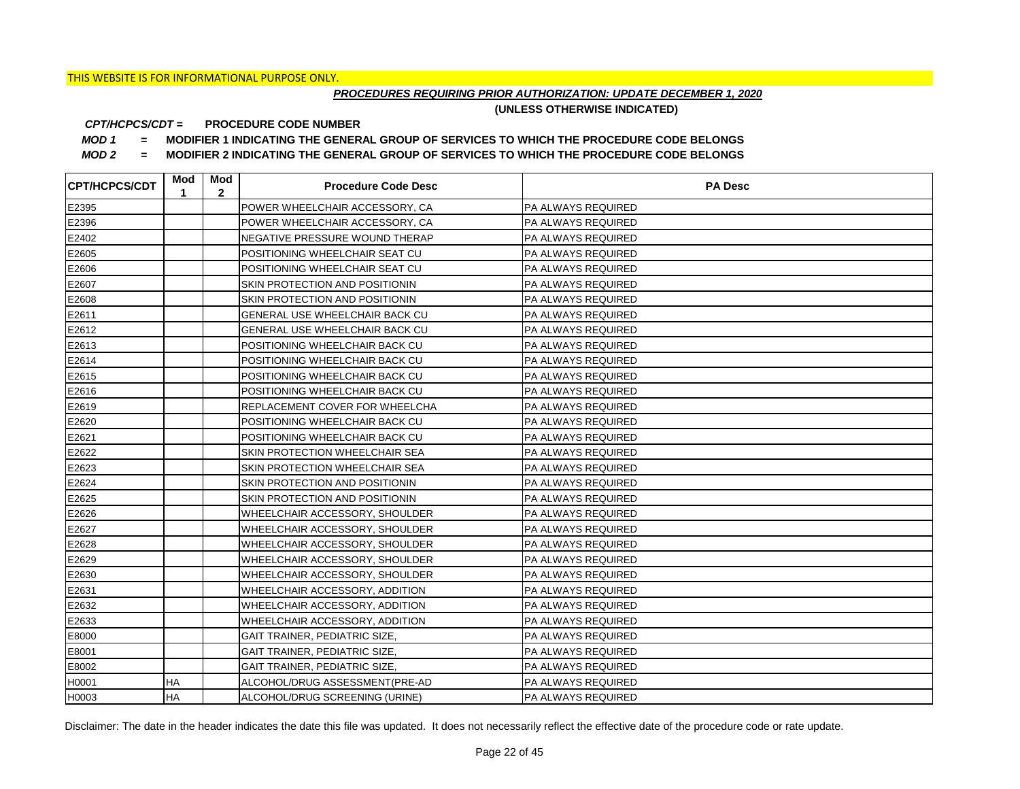## *PROCEDURES REQUIRING PRIOR AUTHORIZATION: UPDATE DECEMBER 1, 2020*

**(UNLESS OTHERWISE INDICATED)**

#### **PROCEDURE CODE NUMBER** *CPT/HCPCS/CDT =*

*MOD 1 =* **MODIFIER 1 INDICATING THE GENERAL GROUP OF SERVICES TO WHICH THE PROCEDURE CODE BELONGS**

*MOD 2 =* **MODIFIER 2 INDICATING THE GENERAL GROUP OF SERVICES TO WHICH THE PROCEDURE CODE BELONGS**

| <b>CPT/HCPCS/CDT</b> | Mod<br>1  | Mod<br>$\mathbf{2}$ | <b>Procedure Code Desc</b>            | <b>PA Desc</b>            |
|----------------------|-----------|---------------------|---------------------------------------|---------------------------|
| E2395                |           |                     | POWER WHEELCHAIR ACCESSORY, CA        | <b>PA ALWAYS REQUIRED</b> |
| E2396                |           |                     | POWER WHEELCHAIR ACCESSORY, CA        | <b>PA ALWAYS REQUIRED</b> |
| E2402                |           |                     | NEGATIVE PRESSURE WOUND THERAP        | <b>PA ALWAYS REQUIRED</b> |
| E2605                |           |                     | POSITIONING WHEELCHAIR SEAT CU        | <b>PA ALWAYS REQUIRED</b> |
| E2606                |           |                     | POSITIONING WHEELCHAIR SEAT CU        | PA ALWAYS REQUIRED        |
| E2607                |           |                     | SKIN PROTECTION AND POSITIONIN        | PA ALWAYS REQUIRED        |
| E2608                |           |                     | SKIN PROTECTION AND POSITIONIN        | <b>PA ALWAYS REQUIRED</b> |
| E2611                |           |                     | <b>GENERAL USE WHEELCHAIR BACK CU</b> | <b>PA ALWAYS REQUIRED</b> |
| E2612                |           |                     | GENERAL USE WHEELCHAIR BACK CU        | <b>PA ALWAYS REQUIRED</b> |
| E2613                |           |                     | POSITIONING WHEELCHAIR BACK CU        | <b>PA ALWAYS REQUIRED</b> |
| E2614                |           |                     | POSITIONING WHEELCHAIR BACK CU        | PA ALWAYS REQUIRED        |
| E2615                |           |                     | POSITIONING WHEELCHAIR BACK CU        | <b>PA ALWAYS REQUIRED</b> |
| E2616                |           |                     | POSITIONING WHEELCHAIR BACK CU        | <b>PA ALWAYS REQUIRED</b> |
| E2619                |           |                     | REPLACEMENT COVER FOR WHEELCHA        | <b>PA ALWAYS REQUIRED</b> |
| E2620                |           |                     | POSITIONING WHEELCHAIR BACK CU        | PA ALWAYS REQUIRED        |
| E2621                |           |                     | POSITIONING WHEELCHAIR BACK CU        | PA ALWAYS REQUIRED        |
| E2622                |           |                     | SKIN PROTECTION WHEELCHAIR SEA        | PA ALWAYS REQUIRED        |
| E2623                |           |                     | SKIN PROTECTION WHEELCHAIR SEA        | PA ALWAYS REQUIRED        |
| E2624                |           |                     | SKIN PROTECTION AND POSITIONIN        | PA ALWAYS REQUIRED        |
| E2625                |           |                     | SKIN PROTECTION AND POSITIONIN        | <b>PA ALWAYS REQUIRED</b> |
| E2626                |           |                     | WHEELCHAIR ACCESSORY, SHOULDER        | PA ALWAYS REQUIRED        |
| E2627                |           |                     | WHEELCHAIR ACCESSORY, SHOULDER        | PA ALWAYS REQUIRED        |
| E2628                |           |                     | WHEELCHAIR ACCESSORY, SHOULDER        | PA ALWAYS REQUIRED        |
| E2629                |           |                     | WHEELCHAIR ACCESSORY, SHOULDER        | PA ALWAYS REQUIRED        |
| E2630                |           |                     | WHEELCHAIR ACCESSORY, SHOULDER        | <b>PA ALWAYS REQUIRED</b> |
| E2631                |           |                     | WHEELCHAIR ACCESSORY, ADDITION        | <b>PA ALWAYS REQUIRED</b> |
| E2632                |           |                     | WHEELCHAIR ACCESSORY, ADDITION        | PA ALWAYS REQUIRED        |
| E2633                |           |                     | WHEELCHAIR ACCESSORY, ADDITION        | PA ALWAYS REQUIRED        |
| E8000                |           |                     | GAIT TRAINER, PEDIATRIC SIZE,         | PA ALWAYS REQUIRED        |
| E8001                |           |                     | GAIT TRAINER, PEDIATRIC SIZE,         | PA ALWAYS REQUIRED        |
| E8002                |           |                     | GAIT TRAINER, PEDIATRIC SIZE,         | PA ALWAYS REQUIRED        |
| H0001                | HA        |                     | ALCOHOL/DRUG ASSESSMENT(PRE-AD        | PA ALWAYS REQUIRED        |
| H0003                | <b>HA</b> |                     | ALCOHOL/DRUG SCREENING (URINE)        | <b>PA ALWAYS REQUIRED</b> |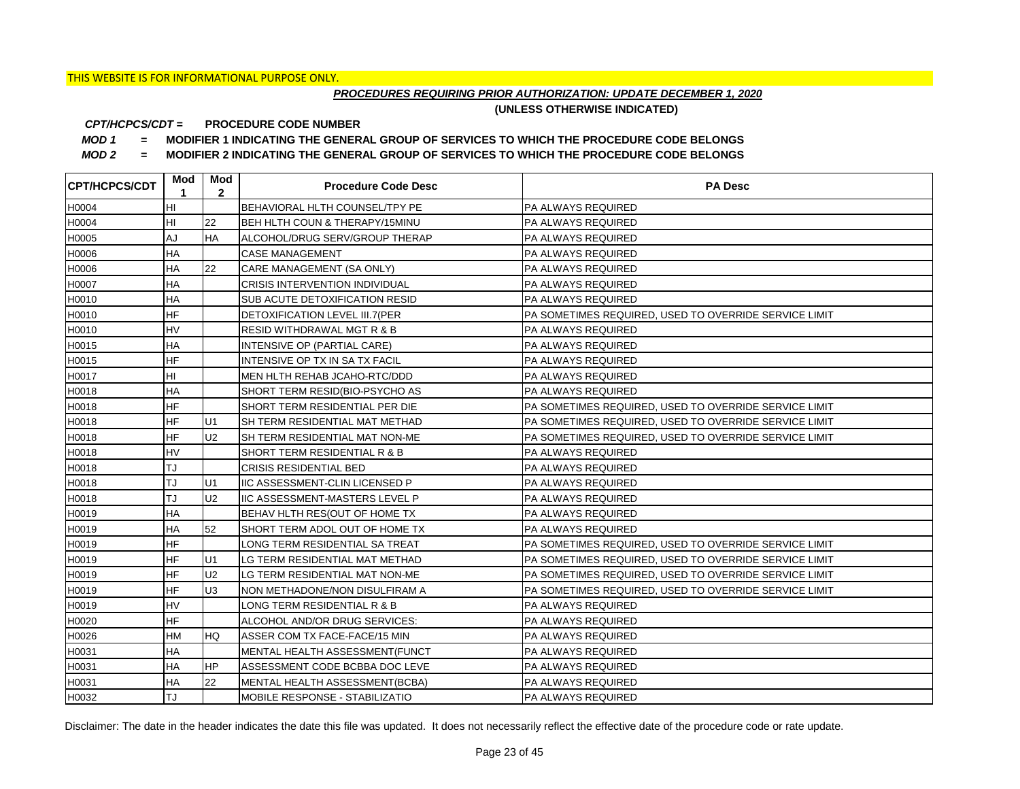## *PROCEDURES REQUIRING PRIOR AUTHORIZATION: UPDATE DECEMBER 1, 2020*

**(UNLESS OTHERWISE INDICATED)**

#### **PROCEDURE CODE NUMBER** *CPT/HCPCS/CDT =*

*MOD 1 =* **MODIFIER 1 INDICATING THE GENERAL GROUP OF SERVICES TO WHICH THE PROCEDURE CODE BELONGS**

*MOD 2 =* **MODIFIER 2 INDICATING THE GENERAL GROUP OF SERVICES TO WHICH THE PROCEDURE CODE BELONGS**

| <b>ICPT/HCPCS/CDT</b> | Mod<br>1  | Mod<br>$\mathbf{2}$ | <b>Procedure Code Desc</b>            | <b>PA Desc</b>                                        |
|-----------------------|-----------|---------------------|---------------------------------------|-------------------------------------------------------|
| H0004                 | HI        |                     | BEHAVIORAL HLTH COUNSEL/TPY PE        | <b>PA ALWAYS REQUIRED</b>                             |
| H0004                 | HI        | 22                  | BEH HLTH COUN & THERAPY/15MINU        | PA ALWAYS REQUIRED                                    |
| H0005                 | AJ        | <b>HA</b>           | ALCOHOL/DRUG SERV/GROUP THERAP        | PA ALWAYS REQUIRED                                    |
| H0006                 | <b>HA</b> |                     | <b>CASE MANAGEMENT</b>                | PA ALWAYS REQUIRED                                    |
| H0006                 | <b>HA</b> | 22                  | CARE MANAGEMENT (SA ONLY)             | PA ALWAYS REQUIRED                                    |
| H0007                 | <b>HA</b> |                     | <b>CRISIS INTERVENTION INDIVIDUAL</b> | <b>PA ALWAYS REQUIRED</b>                             |
| H0010                 | HA        |                     | SUB ACUTE DETOXIFICATION RESID        | PA ALWAYS REQUIRED                                    |
| H0010                 | <b>HF</b> |                     | DETOXIFICATION LEVEL III.7(PER        | PA SOMETIMES REQUIRED, USED TO OVERRIDE SERVICE LIMIT |
| H0010                 | HV        |                     | <b>RESID WITHDRAWAL MGT R &amp; B</b> | PA ALWAYS REQUIRED                                    |
| H0015                 | HA        |                     | INTENSIVE OP (PARTIAL CARE)           | <b>PA ALWAYS REQUIRED</b>                             |
| H0015                 | HF        |                     | INTENSIVE OP TX IN SA TX FACIL        | PA ALWAYS REQUIRED                                    |
| H0017                 | HI        |                     | MEN HLTH REHAB JCAHO-RTC/DDD          | PA ALWAYS REQUIRED                                    |
| H0018                 | HA        |                     | SHORT TERM RESID(BIO-PSYCHO AS        | PA ALWAYS REQUIRED                                    |
| H0018                 | <b>HF</b> |                     | SHORT TERM RESIDENTIAL PER DIE        | PA SOMETIMES REQUIRED, USED TO OVERRIDE SERVICE LIMIT |
| H0018                 | <b>HF</b> | U <sub>1</sub>      | SH TERM RESIDENTIAL MAT METHAD        | PA SOMETIMES REQUIRED, USED TO OVERRIDE SERVICE LIMIT |
| H0018                 | <b>HF</b> | U <sub>2</sub>      | SH TERM RESIDENTIAL MAT NON-ME        | PA SOMETIMES REQUIRED, USED TO OVERRIDE SERVICE LIMIT |
| H0018                 | <b>HV</b> |                     | SHORT TERM RESIDENTIAL R & B          | <b>PA ALWAYS REQUIRED</b>                             |
| H0018                 | TJ        |                     | <b>CRISIS RESIDENTIAL BED</b>         | PA ALWAYS REQUIRED                                    |
| H0018                 | TJ        | U1                  | <b>IIC ASSESSMENT-CLIN LICENSED P</b> | PA ALWAYS REQUIRED                                    |
| H0018                 | TJ        | U <sub>2</sub>      | <b>IIC ASSESSMENT-MASTERS LEVEL P</b> | <b>PA ALWAYS REQUIRED</b>                             |
| H0019                 | <b>HA</b> |                     | BEHAV HLTH RES(OUT OF HOME TX         | <b>PA ALWAYS REQUIRED</b>                             |
| H0019                 | HA        | 52                  | SHORT TERM ADOL OUT OF HOME TX        | PA ALWAYS REQUIRED                                    |
| H0019                 | <b>HF</b> |                     | LONG TERM RESIDENTIAL SA TREAT        | PA SOMETIMES REQUIRED, USED TO OVERRIDE SERVICE LIMIT |
| H0019                 | HF        | U <sub>1</sub>      | LG TERM RESIDENTIAL MAT METHAD        | PA SOMETIMES REQUIRED, USED TO OVERRIDE SERVICE LIMIT |
| H0019                 | <b>HF</b> | U <sub>2</sub>      | LG TERM RESIDENTIAL MAT NON-ME        | PA SOMETIMES REQUIRED, USED TO OVERRIDE SERVICE LIMIT |
| H0019                 | <b>HF</b> | U <sub>3</sub>      | NON METHADONE/NON DISULFIRAM A        | PA SOMETIMES REQUIRED, USED TO OVERRIDE SERVICE LIMIT |
| H0019                 | <b>HV</b> |                     | LONG TERM RESIDENTIAL R & B           | PA ALWAYS REQUIRED                                    |
| H0020                 | <b>HF</b> |                     | ALCOHOL AND/OR DRUG SERVICES:         | PA ALWAYS REQUIRED                                    |
| H0026                 | <b>HM</b> | <b>HQ</b>           | ASSER COM TX FACE-FACE/15 MIN         | <b>PA ALWAYS REQUIRED</b>                             |
| H0031                 | <b>HA</b> |                     | MENTAL HEALTH ASSESSMENT(FUNCT        | <b>PA ALWAYS REQUIRED</b>                             |
| H0031                 | HA        | <b>HP</b>           | ASSESSMENT CODE BCBBA DOC LEVE        | PA ALWAYS REQUIRED                                    |
| H0031                 | <b>HA</b> | 22                  | MENTAL HEALTH ASSESSMENT(BCBA)        | PA ALWAYS REQUIRED                                    |
| H0032                 | TJ        |                     | MOBILE RESPONSE - STABILIZATIO        | <b>PA ALWAYS REQUIRED</b>                             |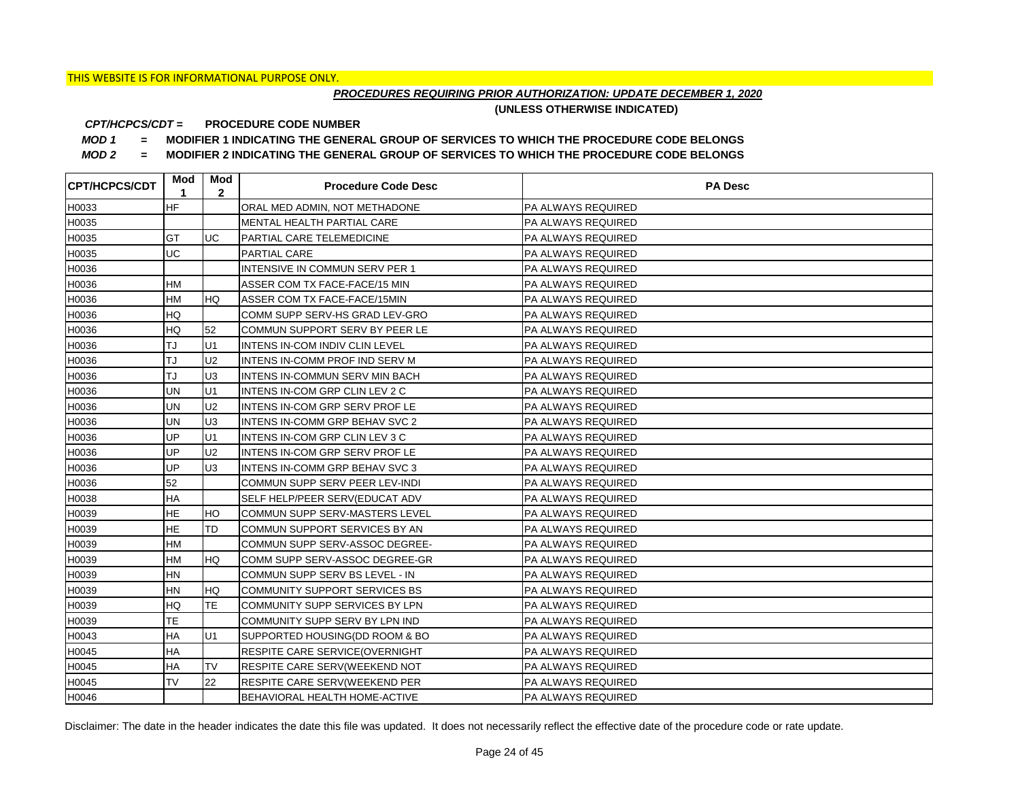## *PROCEDURES REQUIRING PRIOR AUTHORIZATION: UPDATE DECEMBER 1, 2020*

**(UNLESS OTHERWISE INDICATED)**

#### **PROCEDURE CODE NUMBER** *CPT/HCPCS/CDT =*

*MOD 1 =* **MODIFIER 1 INDICATING THE GENERAL GROUP OF SERVICES TO WHICH THE PROCEDURE CODE BELONGS**

*MOD 2 =* **MODIFIER 2 INDICATING THE GENERAL GROUP OF SERVICES TO WHICH THE PROCEDURE CODE BELONGS**

| <b>CPT/HCPCS/CDT</b> | Mod<br>1  | Mod<br>$\mathbf{2}$ | <b>Procedure Code Desc</b>            | <b>PA Desc</b>            |
|----------------------|-----------|---------------------|---------------------------------------|---------------------------|
| H0033                | <b>HF</b> |                     | ORAL MED ADMIN, NOT METHADONE         | <b>PA ALWAYS REQUIRED</b> |
| H0035                |           |                     | MENTAL HEALTH PARTIAL CARE            | PA ALWAYS REQUIRED        |
| H0035                | <b>GT</b> | <b>UC</b>           | <b>PARTIAL CARE TELEMEDICINE</b>      | <b>PA ALWAYS REQUIRED</b> |
| H0035                | UC        |                     | PARTIAL CARE                          | PA ALWAYS REQUIRED        |
| H0036                |           |                     | INTENSIVE IN COMMUN SERV PER 1        | PA ALWAYS REQUIRED        |
| H0036                | <b>HM</b> |                     | ASSER COM TX FACE-FACE/15 MIN         | <b>PA ALWAYS REQUIRED</b> |
| H0036                | <b>HM</b> | <b>HQ</b>           | ASSER COM TX FACE-FACE/15MIN          | PA ALWAYS REQUIRED        |
| H0036                | HQ        |                     | COMM SUPP SERV-HS GRAD LEV-GRO        | PA ALWAYS REQUIRED        |
| H0036                | HQ        | 52                  | COMMUN SUPPORT SERV BY PEER LE        | PA ALWAYS REQUIRED        |
| H0036                | TJ        | U <sub>1</sub>      | INTENS IN-COM INDIV CLIN LEVEL        | PA ALWAYS REQUIRED        |
| H0036                | TJ        | U <sub>2</sub>      | INTENS IN-COMM PROF IND SERV M        | PA ALWAYS REQUIRED        |
| H0036                | TJ        | U <sub>3</sub>      | INTENS IN-COMMUN SERV MIN BACH        | PA ALWAYS REQUIRED        |
| H0036                | <b>UN</b> | U1                  | INTENS IN-COM GRP CLIN LEV 2 C        | <b>PA ALWAYS REQUIRED</b> |
| H0036                | <b>UN</b> | U <sub>2</sub>      | <b>INTENS IN-COM GRP SERV PROF LE</b> | PA ALWAYS REQUIRED        |
| H0036                | <b>UN</b> | U <sub>3</sub>      | <b>INTENS IN-COMM GRP BEHAV SVC 2</b> | <b>PA ALWAYS REQUIRED</b> |
| H0036                | UP        | U <sub>1</sub>      | INTENS IN-COM GRP CLIN LEV 3 C        | PA ALWAYS REQUIRED        |
| H0036                | UP        | U <sub>2</sub>      | <b>INTENS IN-COM GRP SERV PROF LE</b> | <b>PA ALWAYS REQUIRED</b> |
| H0036                | UP        | <b>U</b> З          | <b>INTENS IN-COMM GRP BEHAV SVC 3</b> | PA ALWAYS REQUIRED        |
| H0036                | 52        |                     | COMMUN SUPP SERV PEER LEV-INDI        | PA ALWAYS REQUIRED        |
| H0038                | <b>HA</b> |                     | SELF HELP/PEER SERV(EDUCAT ADV        | <b>PA ALWAYS REQUIRED</b> |
| H0039                | <b>HE</b> | <b>HO</b>           | COMMUN SUPP SERV-MASTERS LEVEL        | <b>PA ALWAYS REQUIRED</b> |
| H0039                | HE        | TD                  | COMMUN SUPPORT SERVICES BY AN         | PA ALWAYS REQUIRED        |
| H0039                | <b>HM</b> |                     | COMMUN SUPP SERV-ASSOC DEGREE-        | PA ALWAYS REQUIRED        |
| H0039                | <b>HM</b> | <b>HQ</b>           | COMM SUPP SERV-ASSOC DEGREE-GR        | <b>PA ALWAYS REQUIRED</b> |
| H0039                | ΗN        |                     | COMMUN SUPP SERV BS LEVEL - IN        | PA ALWAYS REQUIRED        |
| H0039                | <b>HN</b> | <b>HQ</b>           | COMMUNITY SUPPORT SERVICES BS         | <b>PA ALWAYS REQUIRED</b> |
| H0039                | HQ        | <b>TE</b>           | COMMUNITY SUPP SERVICES BY LPN        | <b>PA ALWAYS REQUIRED</b> |
| H0039                | ТE        |                     | COMMUNITY SUPP SERV BY LPN IND        | PA ALWAYS REQUIRED        |
| H0043                | ΗA        | IU1                 | SUPPORTED HOUSING(DD ROOM & BO        | <b>PA ALWAYS REQUIRED</b> |
| H0045                | <b>HA</b> |                     | <b>RESPITE CARE SERVICE(OVERNIGHT</b> | <b>PA ALWAYS REQUIRED</b> |
| H0045                | HA        | <b>TV</b>           | RESPITE CARE SERV(WEEKEND NOT         | PA ALWAYS REQUIRED        |
| H0045                | <b>TV</b> | 22                  | RESPITE CARE SERV(WEEKEND PER         | PA ALWAYS REQUIRED        |
| H0046                |           |                     | BEHAVIORAL HEALTH HOME-ACTIVE         | PA ALWAYS REQUIRED        |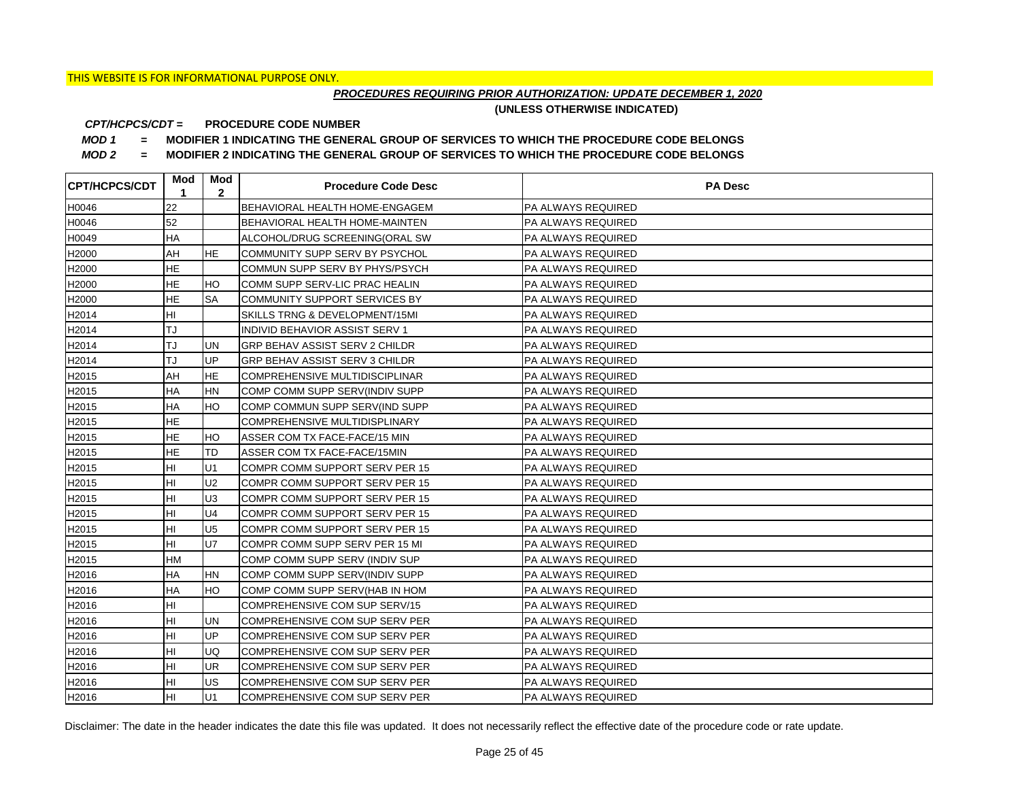## *PROCEDURES REQUIRING PRIOR AUTHORIZATION: UPDATE DECEMBER 1, 2020*

**(UNLESS OTHERWISE INDICATED)**

#### **PROCEDURE CODE NUMBER** *CPT/HCPCS/CDT =*

*MOD 1 =* **MODIFIER 1 INDICATING THE GENERAL GROUP OF SERVICES TO WHICH THE PROCEDURE CODE BELONGS**

*MOD 2 =* **MODIFIER 2 INDICATING THE GENERAL GROUP OF SERVICES TO WHICH THE PROCEDURE CODE BELONGS**

| <b>CPT/HCPCS/CDT</b> | Mod<br>1  | Mod<br>$\mathbf{2}$ | <b>Procedure Code Desc</b>     | <b>PA Desc</b>            |
|----------------------|-----------|---------------------|--------------------------------|---------------------------|
| H0046                | 22        |                     | BEHAVIORAL HEALTH HOME-ENGAGEM | <b>PA ALWAYS REQUIRED</b> |
| H0046                | 52        |                     | BEHAVIORAL HEALTH HOME-MAINTEN | PA ALWAYS REQUIRED        |
| H0049                | HA        |                     | ALCOHOL/DRUG SCREENING(ORAL SW | PA ALWAYS REQUIRED        |
| H2000                | AH        | <b>HE</b>           | COMMUNITY SUPP SERV BY PSYCHOL | PA ALWAYS REQUIRED        |
| H2000                | <b>HE</b> |                     | COMMUN SUPP SERV BY PHYS/PSYCH | PA ALWAYS REQUIRED        |
| H2000                | <b>HE</b> | HO                  | COMM SUPP SERV-LIC PRAC HEALIN | <b>PA ALWAYS REQUIRED</b> |
| H2000                | <b>HE</b> | <b>SA</b>           | COMMUNITY SUPPORT SERVICES BY  | PA ALWAYS REQUIRED        |
| H2014                | HI        |                     | SKILLS TRNG & DEVELOPMENT/15MI | PA ALWAYS REQUIRED        |
| H2014                | TJ        |                     | INDIVID BEHAVIOR ASSIST SERV 1 | PA ALWAYS REQUIRED        |
| H2014                | TJ        | UN                  | GRP BEHAV ASSIST SERV 2 CHILDR | PA ALWAYS REQUIRED        |
| H2014                | TJ        | <b>UP</b>           | GRP BEHAV ASSIST SERV 3 CHILDR | PA ALWAYS REQUIRED        |
| H2015                | AH        | <b>HE</b>           | COMPREHENSIVE MULTIDISCIPLINAR | PA ALWAYS REQUIRED        |
| H2015                | HA        | <b>HN</b>           | COMP COMM SUPP SERV(INDIV SUPP | <b>PA ALWAYS REQUIRED</b> |
| H2015                | HA        | HO                  | COMP COMMUN SUPP SERV(IND SUPP | PA ALWAYS REQUIRED        |
| H2015                | HE        |                     | COMPREHENSIVE MULTIDISPLINARY  | PA ALWAYS REQUIRED        |
| H2015                | HE        | HO                  | ASSER COM TX FACE-FACE/15 MIN  | PA ALWAYS REQUIRED        |
| H2015                | <b>HE</b> | TD                  | ASSER COM TX FACE-FACE/15MIN   | PA ALWAYS REQUIRED        |
| H2015                | HI        | U1                  | COMPR COMM SUPPORT SERV PER 15 | PA ALWAYS REQUIRED        |
| H2015                | HI        | U <sub>2</sub>      | COMPR COMM SUPPORT SERV PER 15 | PA ALWAYS REQUIRED        |
| H2015                | HI        | U <sub>3</sub>      | COMPR COMM SUPPORT SERV PER 15 | PA ALWAYS REQUIRED        |
| H2015                | HI        | U <sub>4</sub>      | COMPR COMM SUPPORT SERV PER 15 | PA ALWAYS REQUIRED        |
| H2015                | HI        | U <sub>5</sub>      | COMPR COMM SUPPORT SERV PER 15 | PA ALWAYS REQUIRED        |
| H2015                | HI        | U7                  | COMPR COMM SUPP SERV PER 15 MI | PA ALWAYS REQUIRED        |
| H2015                | <b>HM</b> |                     | COMP COMM SUPP SERV (INDIV SUP | PA ALWAYS REQUIRED        |
| H2016                | HA        | <b>HN</b>           | COMP COMM SUPP SERV(INDIV SUPP | PA ALWAYS REQUIRED        |
| H2016                | HA        | HO                  | COMP COMM SUPP SERV(HAB IN HOM | PA ALWAYS REQUIRED        |
| H2016                | HI        |                     | COMPREHENSIVE COM SUP SERV/15  | PA ALWAYS REQUIRED        |
| H2016                | HI        | <b>UN</b>           | COMPREHENSIVE COM SUP SERV PER | PA ALWAYS REQUIRED        |
| H2016                | HI        | <b>UP</b>           | COMPREHENSIVE COM SUP SERV PER | PA ALWAYS REQUIRED        |
| H2016                | HI        | UQ                  | COMPREHENSIVE COM SUP SERV PER | PA ALWAYS REQUIRED        |
| H2016                | HI        | <b>UR</b>           | COMPREHENSIVE COM SUP SERV PER | PA ALWAYS REQUIRED        |
| H2016                | HI        | <b>US</b>           | COMPREHENSIVE COM SUP SERV PER | PA ALWAYS REQUIRED        |
| H2016                | HI        | U1                  | COMPREHENSIVE COM SUP SERV PER | PA ALWAYS REQUIRED        |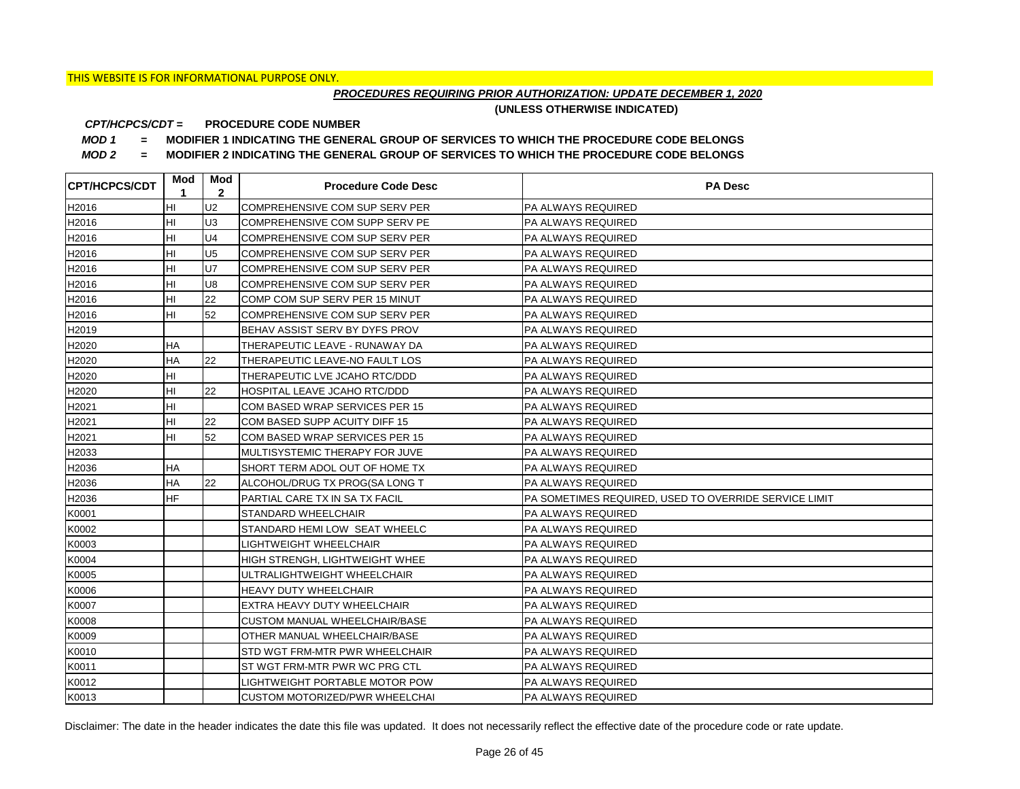## *PROCEDURES REQUIRING PRIOR AUTHORIZATION: UPDATE DECEMBER 1, 2020*

**(UNLESS OTHERWISE INDICATED)**

#### **PROCEDURE CODE NUMBER** *CPT/HCPCS/CDT =*

*MOD 1 =* **MODIFIER 1 INDICATING THE GENERAL GROUP OF SERVICES TO WHICH THE PROCEDURE CODE BELONGS**

*MOD 2 =* **MODIFIER 2 INDICATING THE GENERAL GROUP OF SERVICES TO WHICH THE PROCEDURE CODE BELONGS**

| <b>CPT/HCPCS/CDT</b> | Mod l<br>1 | Mod<br>$\mathbf{2}$ | <b>Procedure Code Desc</b>     | <b>PA Desc</b>                                        |
|----------------------|------------|---------------------|--------------------------------|-------------------------------------------------------|
| H2016                | HI         | U <sub>2</sub>      | COMPREHENSIVE COM SUP SERV PER | <b>PA ALWAYS REQUIRED</b>                             |
| H2016                | HI         | U <sub>3</sub>      | COMPREHENSIVE COM SUPP SERV PE | PA ALWAYS REQUIRED                                    |
| H2016                | HI         | U <sub>4</sub>      | COMPREHENSIVE COM SUP SERV PER | <b>PA ALWAYS REQUIRED</b>                             |
| H2016                | HI         | U <sub>5</sub>      | COMPREHENSIVE COM SUP SERV PER | PA ALWAYS REQUIRED                                    |
| H2016                | HI         | U7                  | COMPREHENSIVE COM SUP SERV PER | PA ALWAYS REQUIRED                                    |
| H2016                | HI         | U <sub>8</sub>      | COMPREHENSIVE COM SUP SERV PER | <b>PA ALWAYS REQUIRED</b>                             |
| H2016                | HI         | 22                  | COMP COM SUP SERV PER 15 MINUT | <b>PA ALWAYS REQUIRED</b>                             |
| H2016                | HI         | 52                  | COMPREHENSIVE COM SUP SERV PER | PA ALWAYS REQUIRED                                    |
| H2019                |            |                     | BEHAV ASSIST SERV BY DYFS PROV | <b>PA ALWAYS REQUIRED</b>                             |
| H2020                | HA         |                     | THERAPEUTIC LEAVE - RUNAWAY DA | PA ALWAYS REQUIRED                                    |
| H2020                | HA         | 22                  | THERAPEUTIC LEAVE-NO FAULT LOS | PA ALWAYS REQUIRED                                    |
| H2020                | HI         |                     | THERAPEUTIC LVE JCAHO RTC/DDD  | <b>PA ALWAYS REQUIRED</b>                             |
| H2020                | HI         | 22                  | HOSPITAL LEAVE JCAHO RTC/DDD   | <b>PA ALWAYS REQUIRED</b>                             |
| H2021                | HI         |                     | COM BASED WRAP SERVICES PER 15 | PA ALWAYS REQUIRED                                    |
| H2021                | HI         | 22                  | COM BASED SUPP ACUITY DIFF 15  | PA ALWAYS REQUIRED                                    |
| H2021                | HI         | 52                  | COM BASED WRAP SERVICES PER 15 | PA ALWAYS REQUIRED                                    |
| H2033                |            |                     | MULTISYSTEMIC THERAPY FOR JUVE | PA ALWAYS REQUIRED                                    |
| H2036                | HA         |                     | SHORT TERM ADOL OUT OF HOME TX | PA ALWAYS REQUIRED                                    |
| H2036                | <b>HA</b>  | 22                  | ALCOHOL/DRUG TX PROG(SA LONG T | PA ALWAYS REQUIRED                                    |
| H2036                | <b>HF</b>  |                     | PARTIAL CARE TX IN SA TX FACIL | PA SOMETIMES REQUIRED, USED TO OVERRIDE SERVICE LIMIT |
| K0001                |            |                     | STANDARD WHEELCHAIR            | PA ALWAYS REQUIRED                                    |
| K0002                |            |                     | STANDARD HEMI LOW SEAT WHEELC  | PA ALWAYS REQUIRED                                    |
| K0003                |            |                     | <b>LIGHTWEIGHT WHEELCHAIR</b>  | PA ALWAYS REQUIRED                                    |
| K0004                |            |                     | HIGH STRENGH, LIGHTWEIGHT WHEE | PA ALWAYS REQUIRED                                    |
| K0005                |            |                     | ULTRALIGHTWEIGHT WHEELCHAIR    | <b>PA ALWAYS REQUIRED</b>                             |
| K0006                |            |                     | HEAVY DUTY WHEELCHAIR          | PA ALWAYS REQUIRED                                    |
| K0007                |            |                     | EXTRA HEAVY DUTY WHEELCHAIR    | PA ALWAYS REQUIRED                                    |
| K0008                |            |                     | CUSTOM MANUAL WHEELCHAIR/BASE  | PA ALWAYS REQUIRED                                    |
| K0009                |            |                     | OTHER MANUAL WHEELCHAIR/BASE   | PA ALWAYS REQUIRED                                    |
| K0010                |            |                     | STD WGT FRM-MTR PWR WHEELCHAIR | PA ALWAYS REQUIRED                                    |
| K0011                |            |                     | ST WGT FRM-MTR PWR WC PRG CTL  | PA ALWAYS REQUIRED                                    |
| K0012                |            |                     | LIGHTWEIGHT PORTABLE MOTOR POW | PA ALWAYS REQUIRED                                    |
| K0013                |            |                     | CUSTOM MOTORIZED/PWR WHEELCHAI | PA ALWAYS REQUIRED                                    |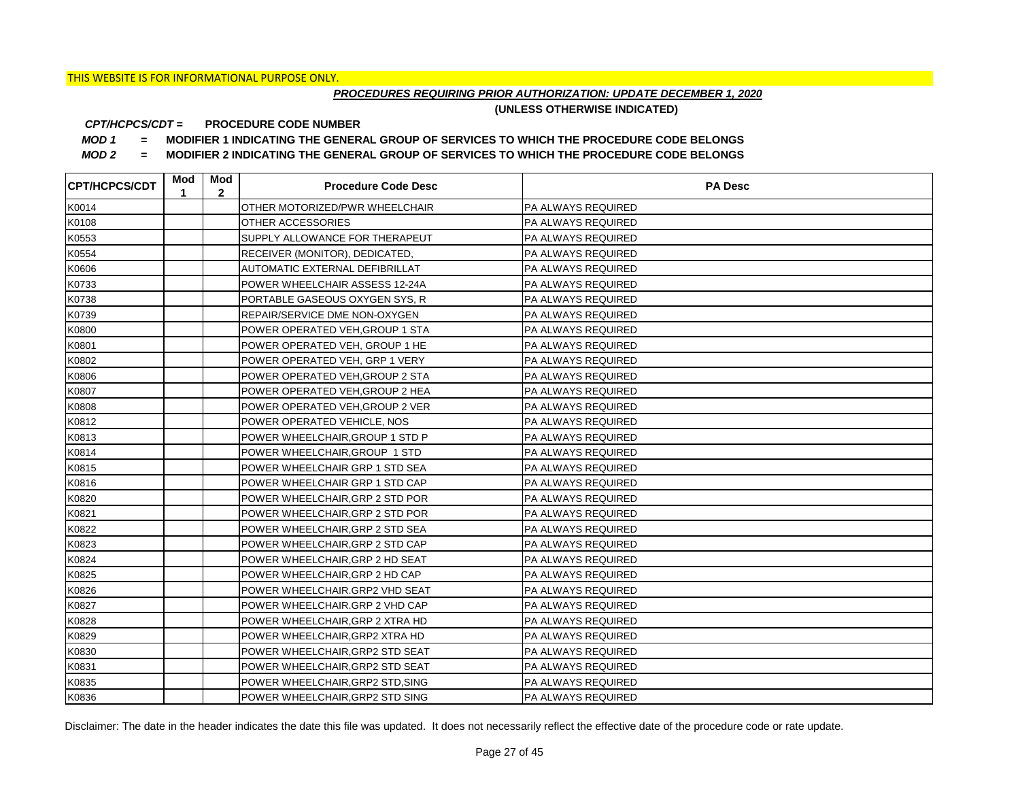## *PROCEDURES REQUIRING PRIOR AUTHORIZATION: UPDATE DECEMBER 1, 2020*

**(UNLESS OTHERWISE INDICATED)**

#### **PROCEDURE CODE NUMBER** *CPT/HCPCS/CDT =*

*MOD 1 =* **MODIFIER 1 INDICATING THE GENERAL GROUP OF SERVICES TO WHICH THE PROCEDURE CODE BELONGS**

*MOD 2 =* **MODIFIER 2 INDICATING THE GENERAL GROUP OF SERVICES TO WHICH THE PROCEDURE CODE BELONGS**

| <b>CPT/HCPCS/CDT</b> | Mod<br>1 | Mod<br>$\mathbf{2}$ | <b>Procedure Code Desc</b>       | <b>PA Desc</b>            |
|----------------------|----------|---------------------|----------------------------------|---------------------------|
| K0014                |          |                     | OTHER MOTORIZED/PWR WHEELCHAIR   | PA ALWAYS REQUIRED        |
| K0108                |          |                     | OTHER ACCESSORIES                | <b>PA ALWAYS REQUIRED</b> |
| K0553                |          |                     | SUPPLY ALLOWANCE FOR THERAPEUT   | <b>PA ALWAYS REQUIRED</b> |
| K0554                |          |                     | RECEIVER (MONITOR), DEDICATED,   | <b>PA ALWAYS REQUIRED</b> |
| K0606                |          |                     | AUTOMATIC EXTERNAL DEFIBRILLAT   | PA ALWAYS REQUIRED        |
| K0733                |          |                     | POWER WHEELCHAIR ASSESS 12-24A   | PA ALWAYS REQUIRED        |
| K0738                |          |                     | PORTABLE GASEOUS OXYGEN SYS, R   | PA ALWAYS REQUIRED        |
| K0739                |          |                     | REPAIR/SERVICE DME NON-OXYGEN    | PA ALWAYS REQUIRED        |
| K0800                |          |                     | POWER OPERATED VEH, GROUP 1 STA  | PA ALWAYS REQUIRED        |
| K0801                |          |                     | POWER OPERATED VEH, GROUP 1 HE   | <b>PA ALWAYS REQUIRED</b> |
| K0802                |          |                     | POWER OPERATED VEH, GRP 1 VERY   | PA ALWAYS REQUIRED        |
| K0806                |          |                     | POWER OPERATED VEH, GROUP 2 STA  | PA ALWAYS REQUIRED        |
| K0807                |          |                     | POWER OPERATED VEH, GROUP 2 HEA  | PA ALWAYS REQUIRED        |
| K0808                |          |                     | POWER OPERATED VEH, GROUP 2 VER  | <b>PA ALWAYS REQUIRED</b> |
| K0812                |          |                     | POWER OPERATED VEHICLE, NOS      | <b>PA ALWAYS REQUIRED</b> |
| K0813                |          |                     | POWER WHEELCHAIR, GROUP 1 STD P  | <b>PA ALWAYS REQUIRED</b> |
| K0814                |          |                     | POWER WHEELCHAIR, GROUP 1 STD    | PA ALWAYS REQUIRED        |
| K0815                |          |                     | POWER WHEELCHAIR GRP 1 STD SEA   | PA ALWAYS REQUIRED        |
| K0816                |          |                     | POWER WHEELCHAIR GRP 1 STD CAP   | <b>PA ALWAYS REQUIRED</b> |
| K0820                |          |                     | POWER WHEELCHAIR, GRP 2 STD POR  | <b>PA ALWAYS REQUIRED</b> |
| K0821                |          |                     | POWER WHEELCHAIR, GRP 2 STD POR  | <b>PA ALWAYS REQUIRED</b> |
| K0822                |          |                     | POWER WHEELCHAIR, GRP 2 STD SEA  | <b>PA ALWAYS REQUIRED</b> |
| K0823                |          |                     | POWER WHEELCHAIR, GRP 2 STD CAP  | <b>PA ALWAYS REQUIRED</b> |
| K0824                |          |                     | POWER WHEELCHAIR, GRP 2 HD SEAT  | <b>PA ALWAYS REQUIRED</b> |
| K0825                |          |                     | POWER WHEELCHAIR, GRP 2 HD CAP   | <b>PA ALWAYS REQUIRED</b> |
| K0826                |          |                     | POWER WHEELCHAIR.GRP2 VHD SEAT   | <b>PA ALWAYS REQUIRED</b> |
| K0827                |          |                     | POWER WHEELCHAIR.GRP 2 VHD CAP   | <b>PA ALWAYS REQUIRED</b> |
| K0828                |          |                     | POWER WHEELCHAIR, GRP 2 XTRA HD  | <b>PA ALWAYS REQUIRED</b> |
| K0829                |          |                     | POWER WHEELCHAIR, GRP2 XTRA HD   | <b>PA ALWAYS REQUIRED</b> |
| K0830                |          |                     | POWER WHEELCHAIR, GRP2 STD SEAT  | <b>PA ALWAYS REQUIRED</b> |
| K0831                |          |                     | POWER WHEELCHAIR, GRP2 STD SEAT  | PA ALWAYS REQUIRED        |
| K0835                |          |                     | POWER WHEELCHAIR, GRP2 STD, SING | PA ALWAYS REQUIRED        |
| K0836                |          |                     | POWER WHEELCHAIR, GRP2 STD SING  | <b>PA ALWAYS REQUIRED</b> |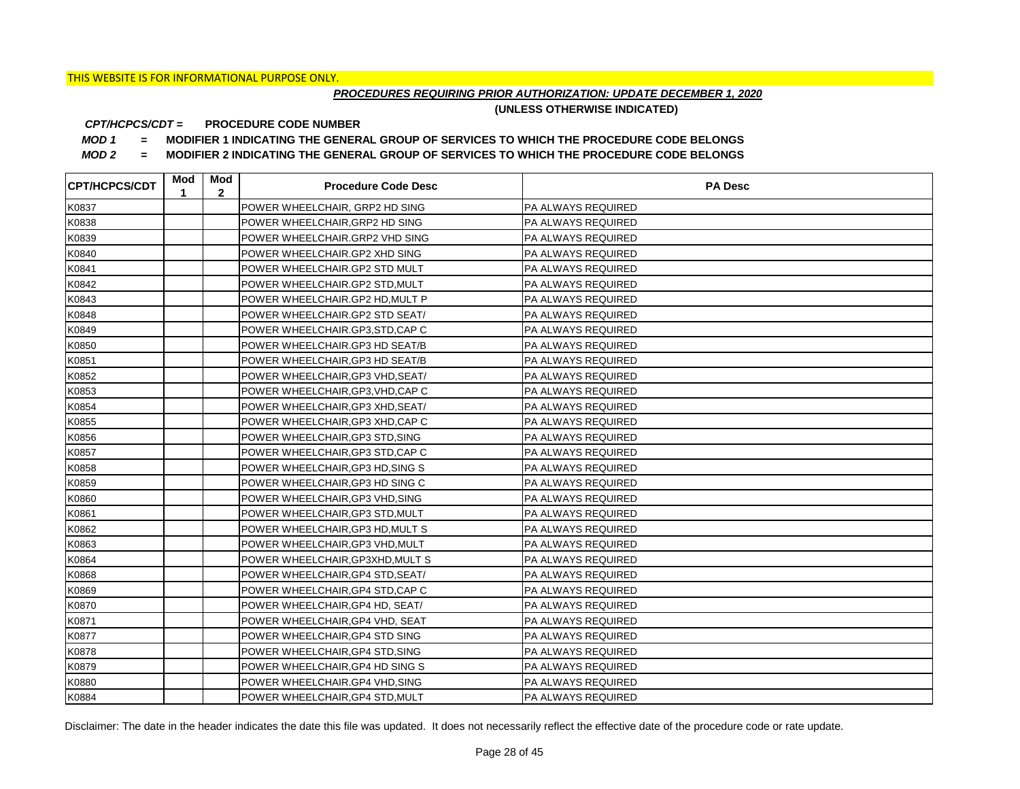## *PROCEDURES REQUIRING PRIOR AUTHORIZATION: UPDATE DECEMBER 1, 2020*

**(UNLESS OTHERWISE INDICATED)**

#### **PROCEDURE CODE NUMBER** *CPT/HCPCS/CDT =*

*MOD 1 =* **MODIFIER 1 INDICATING THE GENERAL GROUP OF SERVICES TO WHICH THE PROCEDURE CODE BELONGS**

*MOD 2 =* **MODIFIER 2 INDICATING THE GENERAL GROUP OF SERVICES TO WHICH THE PROCEDURE CODE BELONGS**

| <b>CPT/HCPCS/CDT</b> | Mod<br>1 | Mod<br>$\mathbf{2}$ | <b>Procedure Code Desc</b>        | <b>PA Desc</b>            |
|----------------------|----------|---------------------|-----------------------------------|---------------------------|
| K0837                |          |                     | POWER WHEELCHAIR, GRP2 HD SING    | PA ALWAYS REQUIRED        |
| K0838                |          |                     | POWER WHEELCHAIR, GRP2 HD SING    | <b>PA ALWAYS REQUIRED</b> |
| K0839                |          |                     | POWER WHEELCHAIR.GRP2 VHD SING    | <b>PA ALWAYS REQUIRED</b> |
| K0840                |          |                     | POWER WHEELCHAIR.GP2 XHD SING     | <b>PA ALWAYS REQUIRED</b> |
| K0841                |          |                     | POWER WHEELCHAIR.GP2 STD MULT     | PA ALWAYS REQUIRED        |
| K0842                |          |                     | POWER WHEELCHAIR.GP2 STD, MULT    | PA ALWAYS REQUIRED        |
| K0843                |          |                     | POWER WHEELCHAIR.GP2 HD, MULT P   | PA ALWAYS REQUIRED        |
| K0848                |          |                     | POWER WHEELCHAIR.GP2 STD SEAT/    | PA ALWAYS REQUIRED        |
| K0849                |          |                     | POWER WHEELCHAIR.GP3,STD,CAP C    | PA ALWAYS REQUIRED        |
| K0850                |          |                     | POWER WHEELCHAIR.GP3 HD SEAT/B    | PA ALWAYS REQUIRED        |
| K0851                |          |                     | POWER WHEELCHAIR, GP3 HD SEAT/B   | PA ALWAYS REQUIRED        |
| K0852                |          |                     | POWER WHEELCHAIR, GP3 VHD, SEAT/  | PA ALWAYS REQUIRED        |
| K0853                |          |                     | POWER WHEELCHAIR, GP3, VHD, CAP C | PA ALWAYS REQUIRED        |
| K0854                |          |                     | POWER WHEELCHAIR, GP3 XHD, SEAT/  | <b>PA ALWAYS REQUIRED</b> |
| K0855                |          |                     | POWER WHEELCHAIR, GP3 XHD, CAP C  | IPA ALWAYS REQUIRED       |
| K0856                |          |                     | POWER WHEELCHAIR, GP3 STD, SING   | <b>PA ALWAYS REQUIRED</b> |
| K0857                |          |                     | POWER WHEELCHAIR, GP3 STD, CAP C  | <b>PA ALWAYS REQUIRED</b> |
| K0858                |          |                     | POWER WHEELCHAIR, GP3 HD, SING S  | PA ALWAYS REQUIRED        |
| K0859                |          |                     | POWER WHEELCHAIR, GP3 HD SING C   | <b>PA ALWAYS REQUIRED</b> |
| K0860                |          |                     | POWER WHEELCHAIR, GP3 VHD, SING   | <b>PA ALWAYS REQUIRED</b> |
| K0861                |          |                     | POWER WHEELCHAIR, GP3 STD, MULT   | <b>PA ALWAYS REQUIRED</b> |
| K0862                |          |                     | POWER WHEELCHAIR, GP3 HD, MULT S  | <b>PA ALWAYS REQUIRED</b> |
| K0863                |          |                     | POWER WHEELCHAIR, GP3 VHD, MULT   | <b>PA ALWAYS REQUIRED</b> |
| K0864                |          |                     | POWER WHEELCHAIR, GP3XHD, MULT S  | <b>PA ALWAYS REQUIRED</b> |
| K0868                |          |                     | POWER WHEELCHAIR, GP4 STD, SEAT/  | <b>PA ALWAYS REQUIRED</b> |
| K0869                |          |                     | POWER WHEELCHAIR, GP4 STD, CAP C  | <b>PA ALWAYS REQUIRED</b> |
| K0870                |          |                     | POWER WHEELCHAIR, GP4 HD, SEAT/   | <b>PA ALWAYS REQUIRED</b> |
| K0871                |          |                     | POWER WHEELCHAIR, GP4 VHD, SEAT   | <b>PA ALWAYS REQUIRED</b> |
| K0877                |          |                     | POWER WHEELCHAIR, GP4 STD SING    | <b>PA ALWAYS REQUIRED</b> |
| K0878                |          |                     | POWER WHEELCHAIR, GP4 STD, SING   | <b>PA ALWAYS REQUIRED</b> |
| K0879                |          |                     | POWER WHEELCHAIR, GP4 HD SING S   | PA ALWAYS REQUIRED        |
| K0880                |          |                     | POWER WHEELCHAIR.GP4 VHD, SING    | PA ALWAYS REQUIRED        |
| K0884                |          |                     | POWER WHEELCHAIR, GP4 STD, MULT   | <b>PA ALWAYS REQUIRED</b> |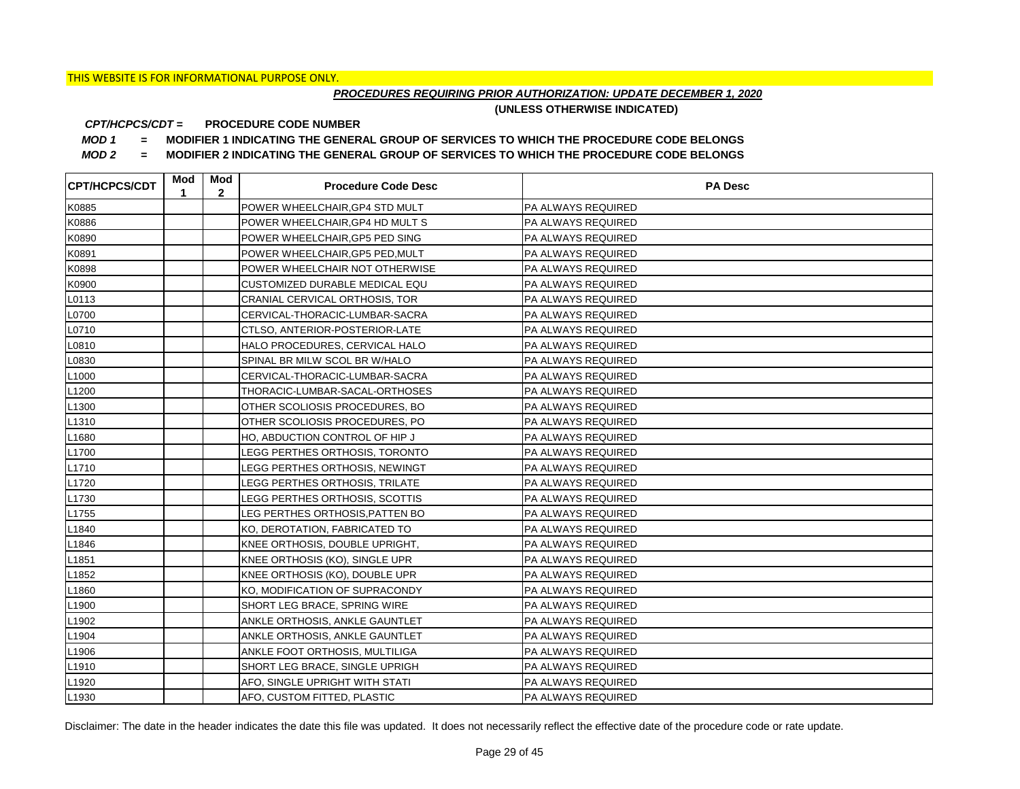## *PROCEDURES REQUIRING PRIOR AUTHORIZATION: UPDATE DECEMBER 1, 2020*

**(UNLESS OTHERWISE INDICATED)**

#### **PROCEDURE CODE NUMBER** *CPT/HCPCS/CDT =*

*MOD 1 =* **MODIFIER 1 INDICATING THE GENERAL GROUP OF SERVICES TO WHICH THE PROCEDURE CODE BELONGS**

*MOD 2 =* **MODIFIER 2 INDICATING THE GENERAL GROUP OF SERVICES TO WHICH THE PROCEDURE CODE BELONGS**

| <b>CPT/HCPCS/CDT</b> | Mod<br>1 | Mod<br>$\mathbf{2}$ | <b>Procedure Code Desc</b>      | <b>PA Desc</b>            |
|----------------------|----------|---------------------|---------------------------------|---------------------------|
| K0885                |          |                     | POWER WHEELCHAIR, GP4 STD MULT  | PA ALWAYS REQUIRED        |
| K0886                |          |                     | POWER WHEELCHAIR, GP4 HD MULT S | <b>PA ALWAYS REQUIRED</b> |
| K0890                |          |                     | POWER WHEELCHAIR, GP5 PED SING  | <b>PA ALWAYS REQUIRED</b> |
| K0891                |          |                     | POWER WHEELCHAIR, GP5 PED, MULT | <b>PA ALWAYS REQUIRED</b> |
| K0898                |          |                     | POWER WHEELCHAIR NOT OTHERWISE  | PA ALWAYS REQUIRED        |
| K0900                |          |                     | CUSTOMIZED DURABLE MEDICAL EQU  | PA ALWAYS REQUIRED        |
| L0113                |          |                     | CRANIAL CERVICAL ORTHOSIS, TOR  | PA ALWAYS REQUIRED        |
| L0700                |          |                     | CERVICAL-THORACIC-LUMBAR-SACRA  | PA ALWAYS REQUIRED        |
| L0710                |          |                     | CTLSO, ANTERIOR-POSTERIOR-LATE  | PA ALWAYS REQUIRED        |
| L0810                |          |                     | HALO PROCEDURES, CERVICAL HALO  | <b>PA ALWAYS REQUIRED</b> |
| L0830                |          |                     | SPINAL BR MILW SCOL BR W/HALO   | PA ALWAYS REQUIRED        |
| L <sub>1000</sub>    |          |                     | CERVICAL-THORACIC-LUMBAR-SACRA  | PA ALWAYS REQUIRED        |
| L <sub>1200</sub>    |          |                     | THORACIC-LUMBAR-SACAL-ORTHOSES  | PA ALWAYS REQUIRED        |
| L <sub>1300</sub>    |          |                     | OTHER SCOLIOSIS PROCEDURES, BO  | <b>PA ALWAYS REQUIRED</b> |
| L <sub>1310</sub>    |          |                     | OTHER SCOLIOSIS PROCEDURES, PO  | <b>PA ALWAYS REQUIRED</b> |
| L1680                |          |                     | HO. ABDUCTION CONTROL OF HIP J  | <b>PA ALWAYS REQUIRED</b> |
| L1700                |          |                     | LEGG PERTHES ORTHOSIS, TORONTO  | PA ALWAYS REQUIRED        |
| L1710                |          |                     | LEGG PERTHES ORTHOSIS, NEWINGT  | PA ALWAYS REQUIRED        |
| L1720                |          |                     | LEGG PERTHES ORTHOSIS, TRILATE  | <b>PA ALWAYS REQUIRED</b> |
| L <sub>1730</sub>    |          |                     | LEGG PERTHES ORTHOSIS, SCOTTIS  | <b>PA ALWAYS REQUIRED</b> |
| L1755                |          |                     | LEG PERTHES ORTHOSIS, PATTEN BO | <b>PA ALWAYS REQUIRED</b> |
| L1840                |          |                     | KO, DEROTATION, FABRICATED TO   | <b>PA ALWAYS REQUIRED</b> |
| L1846                |          |                     | KNEE ORTHOSIS, DOUBLE UPRIGHT,  | PA ALWAYS REQUIRED        |
| L <sub>1851</sub>    |          |                     | KNEE ORTHOSIS (KO), SINGLE UPR  | PA ALWAYS REQUIRED        |
| L1852                |          |                     | KNEE ORTHOSIS (KO), DOUBLE UPR  | <b>PA ALWAYS REQUIRED</b> |
| L1860                |          |                     | KO, MODIFICATION OF SUPRACONDY  | <b>PA ALWAYS REQUIRED</b> |
| L <sub>1900</sub>    |          |                     | SHORT LEG BRACE, SPRING WIRE    | <b>PA ALWAYS REQUIRED</b> |
| L <sub>1902</sub>    |          |                     | ANKLE ORTHOSIS, ANKLE GAUNTLET  | <b>PA ALWAYS REQUIRED</b> |
| L1904                |          |                     | ANKLE ORTHOSIS, ANKLE GAUNTLET  | <b>PA ALWAYS REQUIRED</b> |
| L1906                |          |                     | ANKLE FOOT ORTHOSIS, MULTILIGA  | PA ALWAYS REQUIRED        |
| L1910                |          |                     | SHORT LEG BRACE, SINGLE UPRIGH  | PA ALWAYS REQUIRED        |
| L <sub>1920</sub>    |          |                     | AFO, SINGLE UPRIGHT WITH STATI  | PA ALWAYS REQUIRED        |
| L <sub>1930</sub>    |          |                     | AFO, CUSTOM FITTED, PLASTIC     | <b>PA ALWAYS REQUIRED</b> |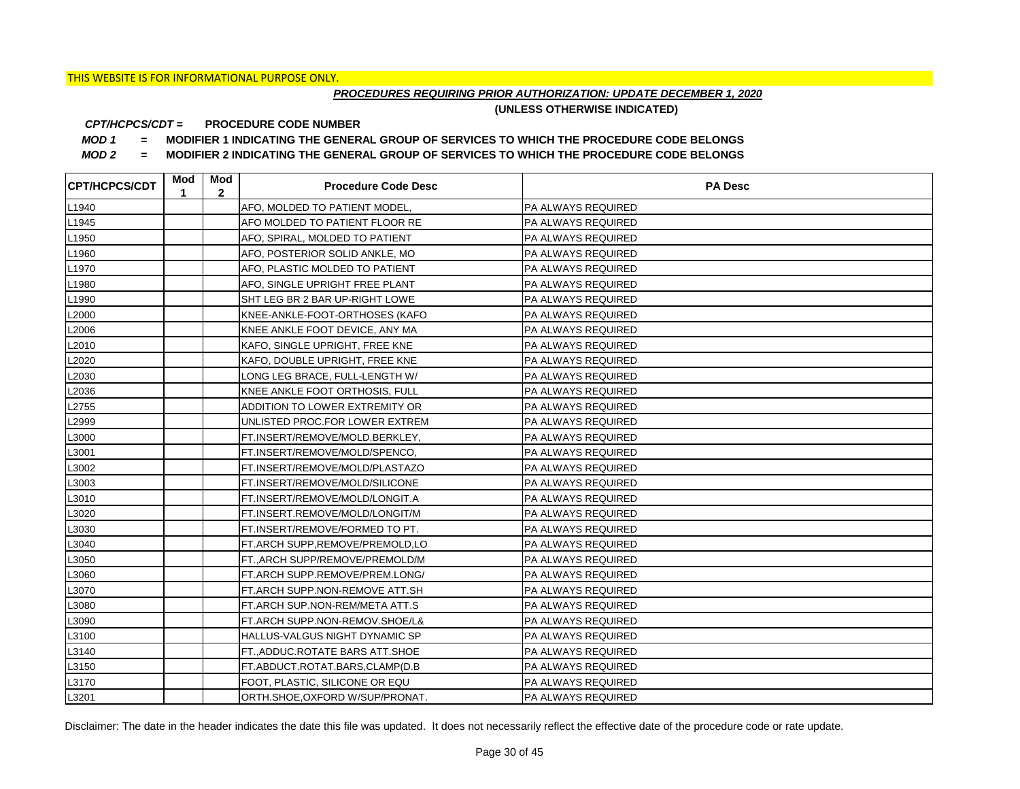## *PROCEDURES REQUIRING PRIOR AUTHORIZATION: UPDATE DECEMBER 1, 2020*

**(UNLESS OTHERWISE INDICATED)**

#### **PROCEDURE CODE NUMBER** *CPT/HCPCS/CDT =*

*MOD 1 =* **MODIFIER 1 INDICATING THE GENERAL GROUP OF SERVICES TO WHICH THE PROCEDURE CODE BELONGS**

*MOD 2 =* **MODIFIER 2 INDICATING THE GENERAL GROUP OF SERVICES TO WHICH THE PROCEDURE CODE BELONGS**

| <b>CPT/HCPCS/CDT</b> | Mod<br>1 | Mod<br>$\mathbf{2}$ | <b>Procedure Code Desc</b>      | <b>PA Desc</b>            |
|----------------------|----------|---------------------|---------------------------------|---------------------------|
| L1940                |          |                     | AFO, MOLDED TO PATIENT MODEL,   | PA ALWAYS REQUIRED        |
| L <sub>1945</sub>    |          |                     | AFO MOLDED TO PATIENT FLOOR RE  | PA ALWAYS REQUIRED        |
| L1950                |          |                     | AFO, SPIRAL, MOLDED TO PATIENT  | PA ALWAYS REQUIRED        |
| L1960                |          |                     | AFO, POSTERIOR SOLID ANKLE, MO  | PA ALWAYS REQUIRED        |
| L <sub>1970</sub>    |          |                     | AFO, PLASTIC MOLDED TO PATIENT  | PA ALWAYS REQUIRED        |
| L1980                |          |                     | AFO, SINGLE UPRIGHT FREE PLANT  | PA ALWAYS REQUIRED        |
| L1990                |          |                     | SHT LEG BR 2 BAR UP-RIGHT LOWE  | PA ALWAYS REQUIRED        |
| L2000                |          |                     | KNEE-ANKLE-FOOT-ORTHOSES (KAFO  | PA ALWAYS REQUIRED        |
| L2006                |          |                     | KNEE ANKLE FOOT DEVICE, ANY MA  | PA ALWAYS REQUIRED        |
| L2010                |          |                     | KAFO, SINGLE UPRIGHT, FREE KNE  | PA ALWAYS REQUIRED        |
| L2020                |          |                     | KAFO, DOUBLE UPRIGHT, FREE KNE  | PA ALWAYS REQUIRED        |
| L2030                |          |                     | LONG LEG BRACE, FULL-LENGTH W/  | PA ALWAYS REQUIRED        |
| L2036                |          |                     | KNEE ANKLE FOOT ORTHOSIS, FULL  | PA ALWAYS REQUIRED        |
| L2755                |          |                     | ADDITION TO LOWER EXTREMITY OR  | <b>PA ALWAYS REQUIRED</b> |
| L2999                |          |                     | UNLISTED PROC.FOR LOWER EXTREM  | PA ALWAYS REQUIRED        |
| L3000                |          |                     | FT.INSERT/REMOVE/MOLD.BERKLEY.  | PA ALWAYS REQUIRED        |
| L3001                |          |                     | FT.INSERT/REMOVE/MOLD/SPENCO,   | PA ALWAYS REQUIRED        |
| L3002                |          |                     | FT.INSERT/REMOVE/MOLD/PLASTAZO  | PA ALWAYS REQUIRED        |
| L3003                |          |                     | FT.INSERT/REMOVE/MOLD/SILICONE  | PA ALWAYS REQUIRED        |
| L3010                |          |                     | FT.INSERT/REMOVE/MOLD/LONGIT.A  | PA ALWAYS REQUIRED        |
| L3020                |          |                     | FT.INSERT.REMOVE/MOLD/LONGIT/M  | PA ALWAYS REQUIRED        |
| L3030                |          |                     | FT.INSERT/REMOVE/FORMED TO PT.  | PA ALWAYS REQUIRED        |
| L3040                |          |                     | FT.ARCH SUPP,REMOVE/PREMOLD,LO  | PA ALWAYS REQUIRED        |
| L3050                |          |                     | FT., ARCH SUPP/REMOVE/PREMOLD/M | PA ALWAYS REQUIRED        |
| L3060                |          |                     | FT.ARCH SUPP.REMOVE/PREM.LONG/  | PA ALWAYS REQUIRED        |
| L3070                |          |                     | FT.ARCH SUPP.NON-REMOVE ATT.SH  | PA ALWAYS REQUIRED        |
| L3080                |          |                     | FT.ARCH SUP.NON-REM/META ATT.S  | PA ALWAYS REQUIRED        |
| L3090                |          |                     | FT.ARCH SUPP.NON-REMOV.SHOE/L&  | PA ALWAYS REQUIRED        |
| L3100                |          |                     | HALLUS-VALGUS NIGHT DYNAMIC SP  | PA ALWAYS REQUIRED        |
| L3140                |          |                     | FT.,ADDUC.ROTATE BARS ATT.SHOE  | PA ALWAYS REQUIRED        |
| L3150                |          |                     | FT.ABDUCT.ROTAT.BARS,CLAMP(D.B  | PA ALWAYS REQUIRED        |
| L3170                |          |                     | FOOT, PLASTIC, SILICONE OR EQU  | PA ALWAYS REQUIRED        |
| L3201                |          |                     | ORTH.SHOE, OXFORD W/SUP/PRONAT. | <b>PA ALWAYS REQUIRED</b> |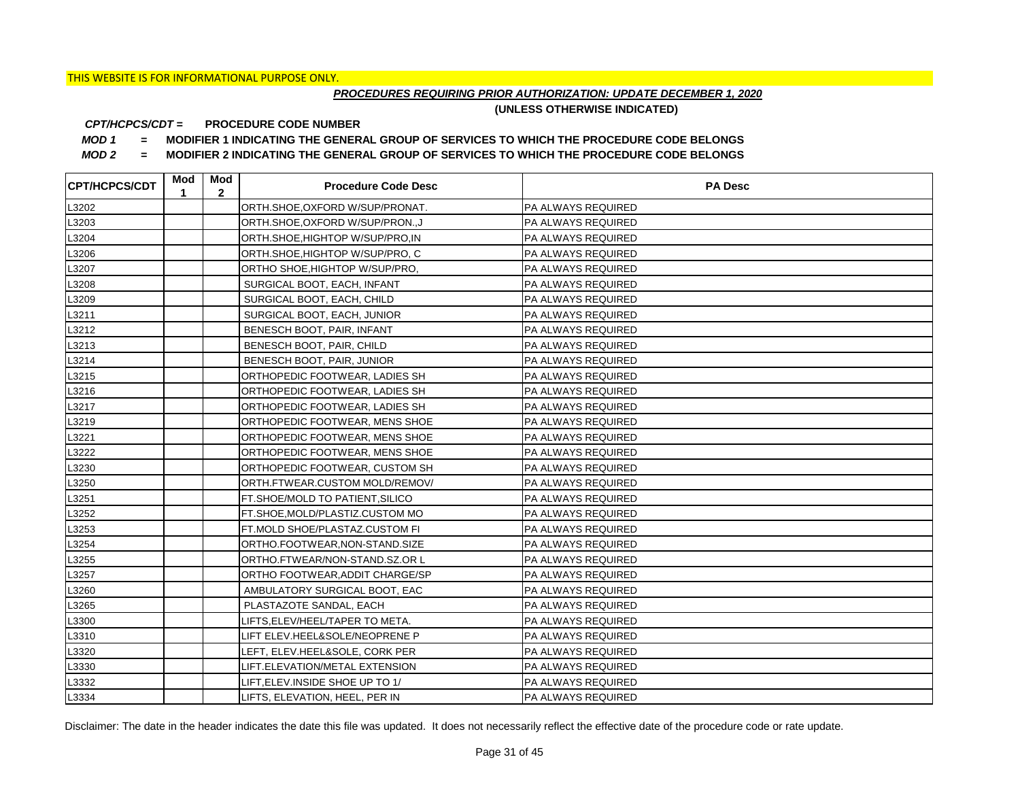## *PROCEDURES REQUIRING PRIOR AUTHORIZATION: UPDATE DECEMBER 1, 2020*

**(UNLESS OTHERWISE INDICATED)**

#### **PROCEDURE CODE NUMBER** *CPT/HCPCS/CDT =*

*MOD 1 =* **MODIFIER 1 INDICATING THE GENERAL GROUP OF SERVICES TO WHICH THE PROCEDURE CODE BELONGS**

*MOD 2 =* **MODIFIER 2 INDICATING THE GENERAL GROUP OF SERVICES TO WHICH THE PROCEDURE CODE BELONGS**

| <b>CPT/HCPCS/CDT</b> | Mod<br>1 | Mod<br>$\mathbf{2}$ | <b>Procedure Code Desc</b>       | <b>PA Desc</b>            |
|----------------------|----------|---------------------|----------------------------------|---------------------------|
| L3202                |          |                     | ORTH.SHOE, OXFORD W/SUP/PRONAT.  | PA ALWAYS REQUIRED        |
| L3203                |          |                     | ORTH.SHOE, OXFORD W/SUP/PRON., J | PA ALWAYS REQUIRED        |
| L3204                |          |                     | ORTH.SHOE, HIGHTOP W/SUP/PRO, IN | PA ALWAYS REQUIRED        |
| L3206                |          |                     | ORTH.SHOE, HIGHTOP W/SUP/PRO, C  | PA ALWAYS REQUIRED        |
| L3207                |          |                     | ORTHO SHOE, HIGHTOP W/SUP/PRO,   | PA ALWAYS REQUIRED        |
| L3208                |          |                     | SURGICAL BOOT, EACH, INFANT      | PA ALWAYS REQUIRED        |
| L3209                |          |                     | SURGICAL BOOT, EACH, CHILD       | PA ALWAYS REQUIRED        |
| L3211                |          |                     | SURGICAL BOOT, EACH, JUNIOR      | PA ALWAYS REQUIRED        |
| L3212                |          |                     | BENESCH BOOT, PAIR, INFANT       | PA ALWAYS REQUIRED        |
| L3213                |          |                     | BENESCH BOOT, PAIR, CHILD        | PA ALWAYS REQUIRED        |
| L3214                |          |                     | BENESCH BOOT, PAIR, JUNIOR       | PA ALWAYS REQUIRED        |
| L3215                |          |                     | ORTHOPEDIC FOOTWEAR, LADIES SH   | PA ALWAYS REQUIRED        |
| L3216                |          |                     | ORTHOPEDIC FOOTWEAR, LADIES SH   | PA ALWAYS REQUIRED        |
| L3217                |          |                     | ORTHOPEDIC FOOTWEAR, LADIES SH   | PA ALWAYS REQUIRED        |
| L3219                |          |                     | ORTHOPEDIC FOOTWEAR, MENS SHOE   | PA ALWAYS REQUIRED        |
| L3221                |          |                     | ORTHOPEDIC FOOTWEAR, MENS SHOE   | PA ALWAYS REQUIRED        |
| L3222                |          |                     | ORTHOPEDIC FOOTWEAR, MENS SHOE   | PA ALWAYS REQUIRED        |
| L3230                |          |                     | ORTHOPEDIC FOOTWEAR, CUSTOM SH   | PA ALWAYS REQUIRED        |
| L3250                |          |                     | ORTH.FTWEAR.CUSTOM MOLD/REMOV/   | PA ALWAYS REQUIRED        |
| L3251                |          |                     | FT.SHOE/MOLD TO PATIENT, SILICO  | PA ALWAYS REQUIRED        |
| L3252                |          |                     | FT.SHOE, MOLD/PLASTIZ.CUSTOM MO  | PA ALWAYS REQUIRED        |
| L3253                |          |                     | FT.MOLD SHOE/PLASTAZ.CUSTOM FI   | PA ALWAYS REQUIRED        |
| L3254                |          |                     | ORTHO.FOOTWEAR, NON-STAND.SIZE   | PA ALWAYS REQUIRED        |
| L3255                |          |                     | ORTHO.FTWEAR/NON-STAND.SZ.OR L   | PA ALWAYS REQUIRED        |
| L3257                |          |                     | ORTHO FOOTWEAR, ADDIT CHARGE/SP  | PA ALWAYS REQUIRED        |
| L3260                |          |                     | AMBULATORY SURGICAL BOOT, EAC    | PA ALWAYS REQUIRED        |
| L3265                |          |                     | PLASTAZOTE SANDAL, EACH          | PA ALWAYS REQUIRED        |
| L3300                |          |                     | LIFTS.ELEV/HEEL/TAPER TO META.   | PA ALWAYS REQUIRED        |
| L3310                |          |                     | LIFT ELEV.HEEL&SOLE/NEOPRENE P   | PA ALWAYS REQUIRED        |
| L3320                |          |                     | LEFT, ELEV.HEEL&SOLE, CORK PER   | PA ALWAYS REQUIRED        |
| L3330                |          |                     | LIFT.ELEVATION/METAL EXTENSION   | PA ALWAYS REQUIRED        |
| L3332                |          |                     | LIFT, ELEV. INSIDE SHOE UP TO 1/ | PA ALWAYS REQUIRED        |
| L3334                |          |                     | LIFTS, ELEVATION, HEEL, PER IN   | <b>PA ALWAYS REQUIRED</b> |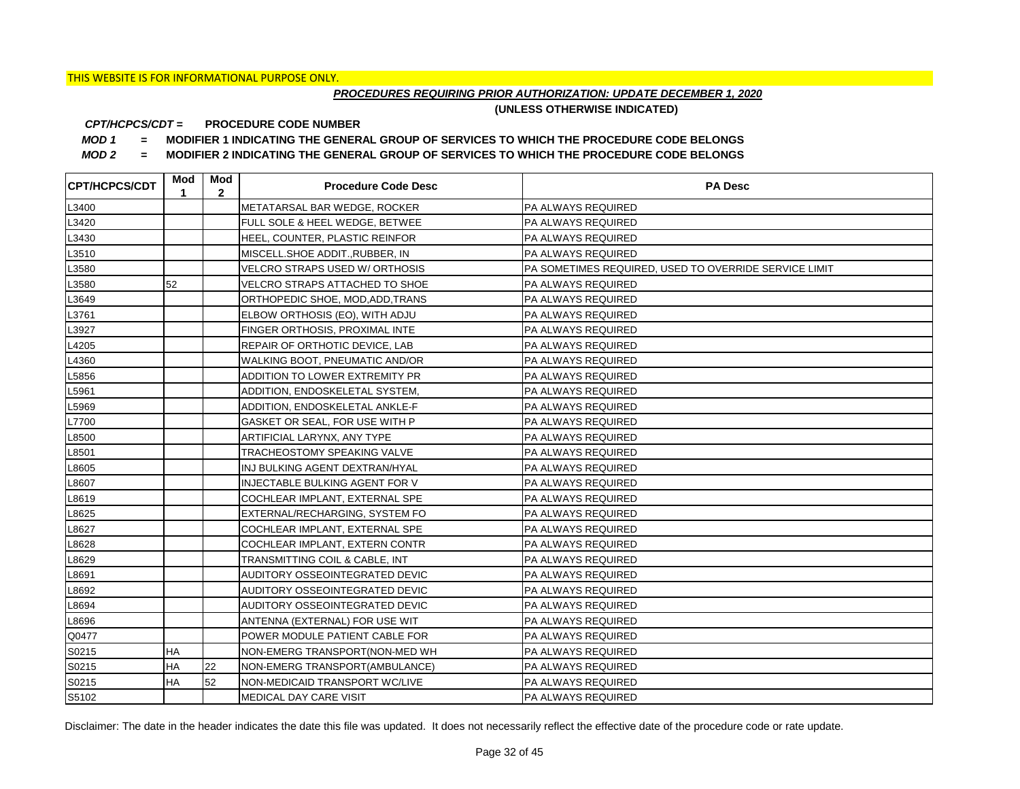## *PROCEDURES REQUIRING PRIOR AUTHORIZATION: UPDATE DECEMBER 1, 2020*

**(UNLESS OTHERWISE INDICATED)**

#### **PROCEDURE CODE NUMBER** *CPT/HCPCS/CDT =*

*MOD 1 =* **MODIFIER 1 INDICATING THE GENERAL GROUP OF SERVICES TO WHICH THE PROCEDURE CODE BELONGS**

*MOD 2 =* **MODIFIER 2 INDICATING THE GENERAL GROUP OF SERVICES TO WHICH THE PROCEDURE CODE BELONGS**

| <b>CPT/HCPCS/CDT</b> | Mod<br>1  | Mod<br>$\mathbf{2}$ | <b>Procedure Code Desc</b>            | <b>PA Desc</b>                                        |
|----------------------|-----------|---------------------|---------------------------------------|-------------------------------------------------------|
| L3400                |           |                     | METATARSAL BAR WEDGE, ROCKER          | PA ALWAYS REQUIRED                                    |
| L3420                |           |                     | FULL SOLE & HEEL WEDGE, BETWEE        | PA ALWAYS REQUIRED                                    |
| L3430                |           |                     | HEEL, COUNTER, PLASTIC REINFOR        | PA ALWAYS REQUIRED                                    |
| L3510                |           |                     | MISCELL.SHOE ADDIT., RUBBER, IN       | PA ALWAYS REQUIRED                                    |
| L3580                |           |                     | <b>VELCRO STRAPS USED W/ ORTHOSIS</b> | PA SOMETIMES REQUIRED, USED TO OVERRIDE SERVICE LIMIT |
| L3580                | 52        |                     | VELCRO STRAPS ATTACHED TO SHOE        | PA ALWAYS REQUIRED                                    |
| L3649                |           |                     | ORTHOPEDIC SHOE, MOD, ADD, TRANS      | PA ALWAYS REQUIRED                                    |
| L3761                |           |                     | ELBOW ORTHOSIS (EO), WITH ADJU        | PA ALWAYS REQUIRED                                    |
| L3927                |           |                     | FINGER ORTHOSIS, PROXIMAL INTE        | PA ALWAYS REQUIRED                                    |
| L4205                |           |                     | REPAIR OF ORTHOTIC DEVICE, LAB        | PA ALWAYS REQUIRED                                    |
| L4360                |           |                     | WALKING BOOT, PNEUMATIC AND/OR        | PA ALWAYS REQUIRED                                    |
| L5856                |           |                     | ADDITION TO LOWER EXTREMITY PR        | PA ALWAYS REQUIRED                                    |
| L5961                |           |                     | ADDITION, ENDOSKELETAL SYSTEM,        | PA ALWAYS REQUIRED                                    |
| L5969                |           |                     | ADDITION, ENDOSKELETAL ANKLE-F        | PA ALWAYS REQUIRED                                    |
| L7700                |           |                     | GASKET OR SEAL, FOR USE WITH P        | PA ALWAYS REQUIRED                                    |
| L8500                |           |                     | ARTIFICIAL LARYNX, ANY TYPE           | PA ALWAYS REQUIRED                                    |
| L8501                |           |                     | TRACHEOSTOMY SPEAKING VALVE           | PA ALWAYS REQUIRED                                    |
| L8605                |           |                     | INJ BULKING AGENT DEXTRAN/HYAL        | PA ALWAYS REQUIRED                                    |
| L8607                |           |                     | INJECTABLE BULKING AGENT FOR V        | PA ALWAYS REQUIRED                                    |
| L8619                |           |                     | COCHLEAR IMPLANT, EXTERNAL SPE        | PA ALWAYS REQUIRED                                    |
| L8625                |           |                     | EXTERNAL/RECHARGING, SYSTEM FO        | PA ALWAYS REQUIRED                                    |
| L8627                |           |                     | COCHLEAR IMPLANT, EXTERNAL SPE        | PA ALWAYS REQUIRED                                    |
| L8628                |           |                     | COCHLEAR IMPLANT, EXTERN CONTR        | PA ALWAYS REQUIRED                                    |
| L8629                |           |                     | TRANSMITTING COIL & CABLE, INT        | PA ALWAYS REQUIRED                                    |
| L8691                |           |                     | AUDITORY OSSEOINTEGRATED DEVIC        | PA ALWAYS REQUIRED                                    |
| L8692                |           |                     | AUDITORY OSSEOINTEGRATED DEVIC        | PA ALWAYS REQUIRED                                    |
| L8694                |           |                     | AUDITORY OSSEOINTEGRATED DEVIC        | PA ALWAYS REQUIRED                                    |
| L8696                |           |                     | ANTENNA (EXTERNAL) FOR USE WIT        | PA ALWAYS REQUIRED                                    |
| Q0477                |           |                     | POWER MODULE PATIENT CABLE FOR        | <b>PA ALWAYS REQUIRED</b>                             |
| S0215                | <b>HA</b> |                     | NON-EMERG TRANSPORT(NON-MED WH        | PA ALWAYS REQUIRED                                    |
| S0215                | <b>HA</b> | 22                  | NON-EMERG TRANSPORT(AMBULANCE)        | PA ALWAYS REQUIRED                                    |
| S0215                | <b>HA</b> | 52                  | NON-MEDICAID TRANSPORT WC/LIVE        | PA ALWAYS REQUIRED                                    |
| S5102                |           |                     | <b>MEDICAL DAY CARE VISIT</b>         | PA ALWAYS REQUIRED                                    |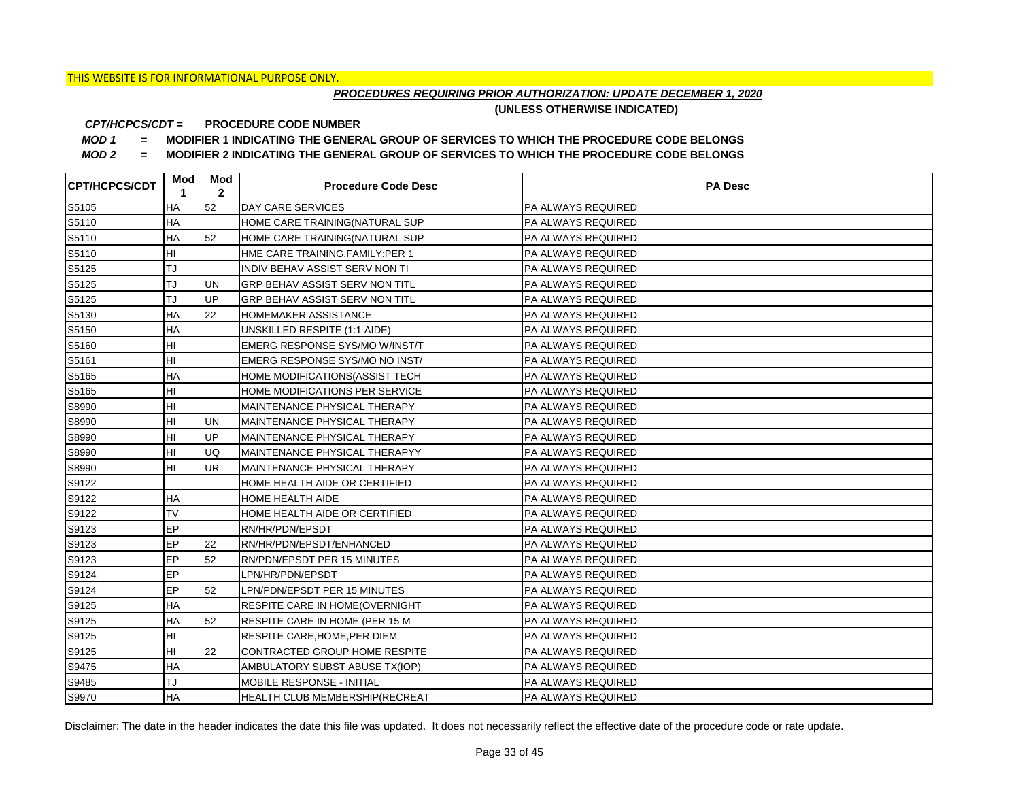## *PROCEDURES REQUIRING PRIOR AUTHORIZATION: UPDATE DECEMBER 1, 2020*

**(UNLESS OTHERWISE INDICATED)**

#### **PROCEDURE CODE NUMBER** *CPT/HCPCS/CDT =*

*MOD 1 =* **MODIFIER 1 INDICATING THE GENERAL GROUP OF SERVICES TO WHICH THE PROCEDURE CODE BELONGS**

*MOD 2 =* **MODIFIER 2 INDICATING THE GENERAL GROUP OF SERVICES TO WHICH THE PROCEDURE CODE BELONGS**

| <b>CPT/HCPCS/CDT</b> | Mod<br>1  | Mod<br>$\mathbf{2}$ | <b>Procedure Code Desc</b>            | <b>PA Desc</b>            |
|----------------------|-----------|---------------------|---------------------------------------|---------------------------|
| S5105                | HA        | 52                  | DAY CARE SERVICES                     | PA ALWAYS REQUIRED        |
| S5110                | HA        |                     | HOME CARE TRAINING(NATURAL SUP        | <b>PA ALWAYS REQUIRED</b> |
| S5110                | HA        | 52                  | HOME CARE TRAINING(NATURAL SUP        | <b>PA ALWAYS REQUIRED</b> |
| S5110                | HI        |                     | HME CARE TRAINING, FAMILY: PER 1      | PA ALWAYS REQUIRED        |
| S5125                | TJ        |                     | INDIV BEHAV ASSIST SERV NON TI        | PA ALWAYS REQUIRED        |
| S5125                | TJ        | <b>UN</b>           | GRP BEHAV ASSIST SERV NON TITL        | PA ALWAYS REQUIRED        |
| S5125                | TJ        | UP                  | GRP BEHAV ASSIST SERV NON TITL        | PA ALWAYS REQUIRED        |
| S5130                | HA        | 22                  | HOMEMAKER ASSISTANCE                  | PA ALWAYS REQUIRED        |
| S5150                | HA        |                     | UNSKILLED RESPITE (1:1 AIDE)          | PA ALWAYS REQUIRED        |
| S5160                | HI        |                     | EMERG RESPONSE SYS/MO W/INST/T        | PA ALWAYS REQUIRED        |
| S5161                | HI        |                     | EMERG RESPONSE SYS/MO NO INST/        | PA ALWAYS REQUIRED        |
| S5165                | HA        |                     | HOME MODIFICATIONS (ASSIST TECH       | PA ALWAYS REQUIRED        |
| S5165                | HI        |                     | HOME MODIFICATIONS PER SERVICE        | <b>PA ALWAYS REQUIRED</b> |
| S8990                | HI        |                     | MAINTENANCE PHYSICAL THERAPY          | <b>PA ALWAYS REQUIRED</b> |
| S8990                | HI        | <b>UN</b>           | MAINTENANCE PHYSICAL THERAPY          | <b>PA ALWAYS REQUIRED</b> |
| S8990                | HI        | UP                  | MAINTENANCE PHYSICAL THERAPY          | PA ALWAYS REQUIRED        |
| S8990                | HI        | UQ                  | MAINTENANCE PHYSICAL THERAPYY         | PA ALWAYS REQUIRED        |
| S8990                | HI        | <b>UR</b>           | MAINTENANCE PHYSICAL THERAPY          | PA ALWAYS REQUIRED        |
| S9122                |           |                     | HOME HEALTH AIDE OR CERTIFIED         | <b>PA ALWAYS REQUIRED</b> |
| S9122                | <b>HA</b> |                     | HOME HEALTH AIDE                      | <b>PA ALWAYS REQUIRED</b> |
| S9122                | <b>TV</b> |                     | HOME HEALTH AIDE OR CERTIFIED         | <b>PA ALWAYS REQUIRED</b> |
| S9123                | EP        |                     | RN/HR/PDN/EPSDT                       | PA ALWAYS REQUIRED        |
| S9123                | EP        | 22                  | RN/HR/PDN/EPSDT/ENHANCED              | PA ALWAYS REQUIRED        |
| S9123                | EP        | 52                  | RN/PDN/EPSDT PER 15 MINUTES           | <b>PA ALWAYS REQUIRED</b> |
| S9124                | EP        |                     | LPN/HR/PDN/EPSDT                      | <b>PA ALWAYS REQUIRED</b> |
| S9124                | EP        | 52                  | LPN/PDN/EPSDT PER 15 MINUTES          | <b>PA ALWAYS REQUIRED</b> |
| S9125                | <b>HA</b> |                     | RESPITE CARE IN HOME(OVERNIGHT        | <b>PA ALWAYS REQUIRED</b> |
| S9125                | HA        | 52                  | RESPITE CARE IN HOME (PER 15 M        | PA ALWAYS REQUIRED        |
| S9125                | HI        |                     | RESPITE CARE, HOME, PER DIEM          | PA ALWAYS REQUIRED        |
| S9125                | HI        | 22                  | CONTRACTED GROUP HOME RESPITE         | <b>PA ALWAYS REQUIRED</b> |
| S9475                | HA        |                     | AMBULATORY SUBST ABUSE TX(IOP)        | PA ALWAYS REQUIRED        |
| S9485                | TJ        |                     | MOBILE RESPONSE - INITIAL             | PA ALWAYS REQUIRED        |
| S9970                | <b>HA</b> |                     | <b>HEALTH CLUB MEMBERSHIP(RECREAT</b> | PA ALWAYS REQUIRED        |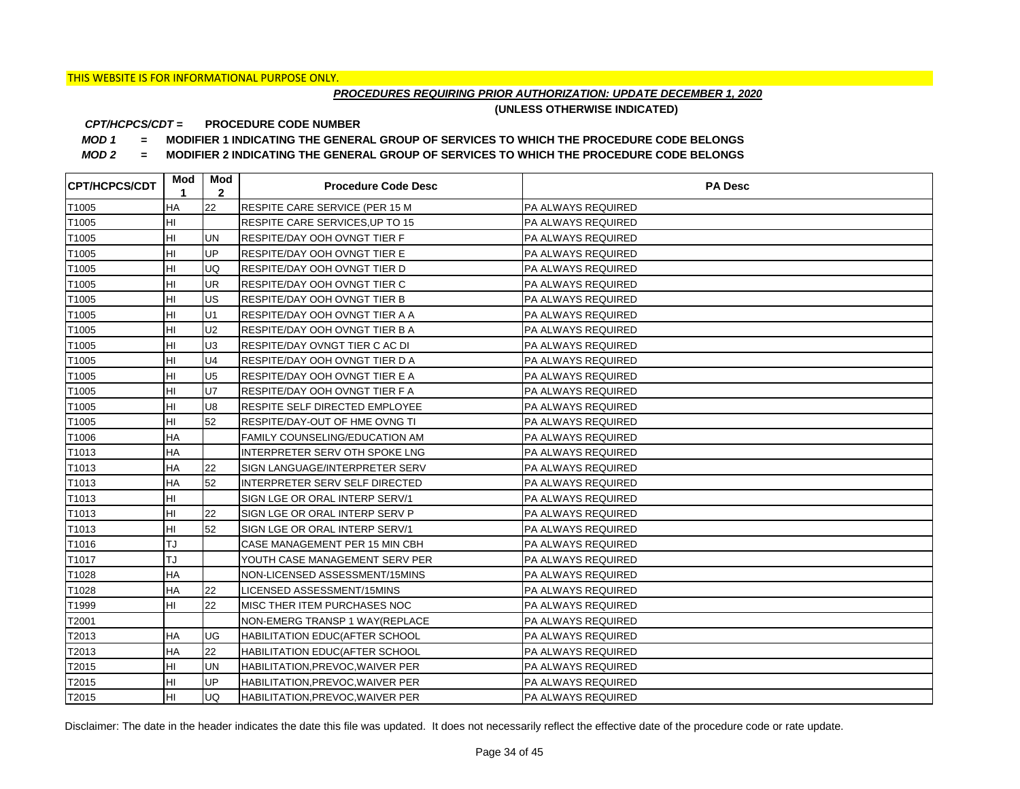## *PROCEDURES REQUIRING PRIOR AUTHORIZATION: UPDATE DECEMBER 1, 2020*

**(UNLESS OTHERWISE INDICATED)**

#### **PROCEDURE CODE NUMBER** *CPT/HCPCS/CDT =*

*MOD 1 =* **MODIFIER 1 INDICATING THE GENERAL GROUP OF SERVICES TO WHICH THE PROCEDURE CODE BELONGS**

*MOD 2 =* **MODIFIER 2 INDICATING THE GENERAL GROUP OF SERVICES TO WHICH THE PROCEDURE CODE BELONGS**

| <b>CPT/HCPCS/CDT</b> | Mod<br>1  | Mod<br>$\mathbf{2}$ | <b>Procedure Code Desc</b>       | <b>PA Desc</b>            |
|----------------------|-----------|---------------------|----------------------------------|---------------------------|
| T1005                | HA        | 22                  | RESPITE CARE SERVICE (PER 15 M   | PA ALWAYS REQUIRED        |
| T1005                | HI        |                     | RESPITE CARE SERVICES, UP TO 15  | <b>PA ALWAYS REQUIRED</b> |
| T1005                | HI        | <b>UN</b>           | RESPITE/DAY OOH OVNGT TIER F     | <b>PA ALWAYS REQUIRED</b> |
| T1005                | HI        | UP                  | RESPITE/DAY OOH OVNGT TIER E     | PA ALWAYS REQUIRED        |
| T1005                | HI        | UQ                  | RESPITE/DAY OOH OVNGT TIER D     | PA ALWAYS REQUIRED        |
| T1005                | HI        | <b>UR</b>           | RESPITE/DAY OOH OVNGT TIER C     | PA ALWAYS REQUIRED        |
| T1005                | HI        | US                  | RESPITE/DAY OOH OVNGT TIER B     | PA ALWAYS REQUIRED        |
| T1005                | HI        | U1                  | RESPITE/DAY OOH OVNGT TIER A A   | PA ALWAYS REQUIRED        |
| T1005                | HI        | U <sub>2</sub>      | RESPITE/DAY OOH OVNGT TIER B A   | PA ALWAYS REQUIRED        |
| T1005                | HI        | U <sub>3</sub>      | RESPITE/DAY OVNGT TIER C AC DI   | PA ALWAYS REQUIRED        |
| T1005                | HI        | U <sub>4</sub>      | RESPITE/DAY OOH OVNGT TIER D A   | PA ALWAYS REQUIRED        |
| T1005                | HI        | U <sub>5</sub>      | RESPITE/DAY OOH OVNGT TIER E A   | PA ALWAYS REQUIRED        |
| T1005                | HI        | <b>U7</b>           | RESPITE/DAY OOH OVNGT TIER F A   | <b>PA ALWAYS REQUIRED</b> |
| T1005                | HI        | U <sub>8</sub>      | RESPITE SELF DIRECTED EMPLOYEE   | <b>PA ALWAYS REQUIRED</b> |
| T1005                | HI        | 52                  | RESPITE/DAY-OUT OF HME OVNG TI   | <b>PA ALWAYS REQUIRED</b> |
| T1006                | <b>HA</b> |                     | FAMILY COUNSELING/EDUCATION AM   | PA ALWAYS REQUIRED        |
| T1013                | НA        |                     | INTERPRETER SERV OTH SPOKE LNG   | PA ALWAYS REQUIRED        |
| T1013                | <b>HA</b> | 22                  | SIGN LANGUAGE/INTERPRETER SERV   | PA ALWAYS REQUIRED        |
| T1013                | HA        | 52                  | INTERPRETER SERV SELF DIRECTED   | <b>PA ALWAYS REQUIRED</b> |
| T1013                | HI        |                     | SIGN LGE OR ORAL INTERP SERV/1   | PA ALWAYS REQUIRED        |
| T1013                | HI        | 22                  | SIGN LGE OR ORAL INTERP SERV P   | <b>PA ALWAYS REQUIRED</b> |
| T1013                | HI        | 52                  | SIGN LGE OR ORAL INTERP SERV/1   | PA ALWAYS REQUIRED        |
| T1016                | TJ        |                     | CASE MANAGEMENT PER 15 MIN CBH   | PA ALWAYS REQUIRED        |
| T1017                | TJ        |                     | YOUTH CASE MANAGEMENT SERV PER   | <b>PA ALWAYS REQUIRED</b> |
| T1028                | НA        |                     | NON-LICENSED ASSESSMENT/15MINS   | <b>PA ALWAYS REQUIRED</b> |
| T1028                | HA        | 22                  | LICENSED ASSESSMENT/15MINS       | <b>PA ALWAYS REQUIRED</b> |
| T1999                | HI        | 22                  | MISC THER ITEM PURCHASES NOC     | <b>PA ALWAYS REQUIRED</b> |
| T2001                |           |                     | NON-EMERG TRANSP 1 WAY(REPLACE   | PA ALWAYS REQUIRED        |
| T2013                | ΗA        | UG                  | HABILITATION EDUC(AFTER SCHOOL   | PA ALWAYS REQUIRED        |
| T2013                | HA        | 22                  | HABILITATION EDUC(AFTER SCHOOL   | PA ALWAYS REQUIRED        |
| T2015                | HI        | <b>UN</b>           | HABILITATION, PREVOC, WAIVER PER | PA ALWAYS REQUIRED        |
| T2015                | HI        | UP                  | HABILITATION, PREVOC, WAIVER PER | PA ALWAYS REQUIRED        |
| T2015                | HI        | <b>UQ</b>           | HABILITATION, PREVOC, WAIVER PER | PA ALWAYS REQUIRED        |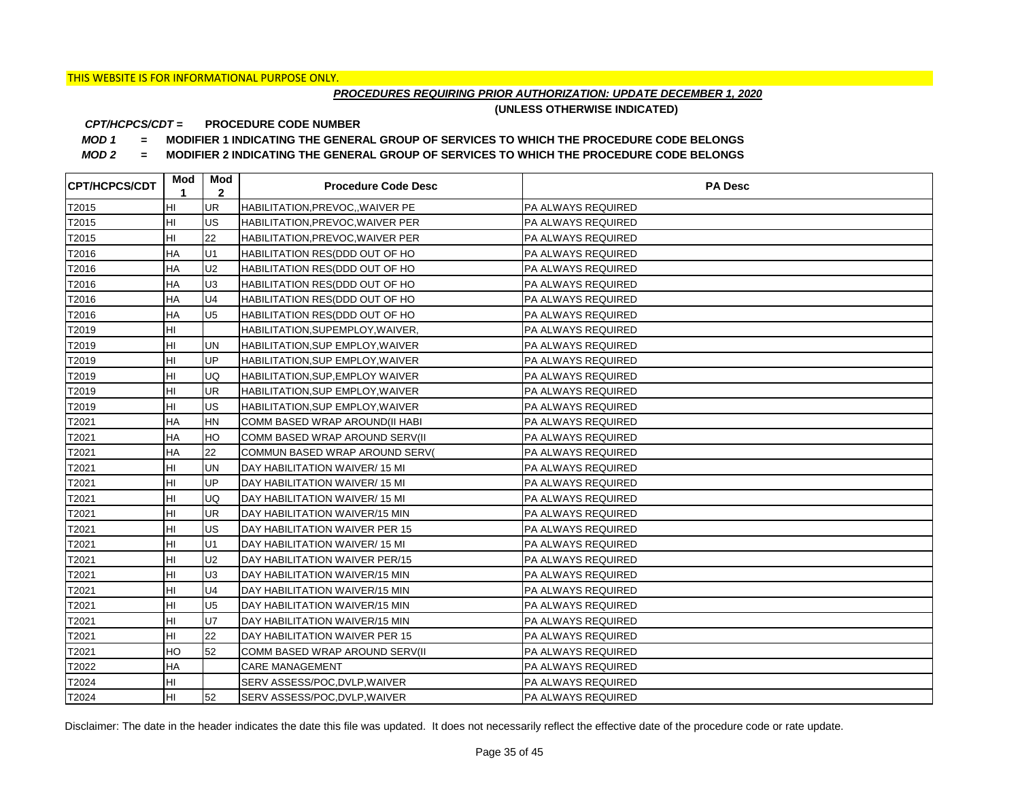## *PROCEDURES REQUIRING PRIOR AUTHORIZATION: UPDATE DECEMBER 1, 2020*

**(UNLESS OTHERWISE INDICATED)**

#### **PROCEDURE CODE NUMBER** *CPT/HCPCS/CDT =*

*MOD 1 =* **MODIFIER 1 INDICATING THE GENERAL GROUP OF SERVICES TO WHICH THE PROCEDURE CODE BELONGS**

*MOD 2 =* **MODIFIER 2 INDICATING THE GENERAL GROUP OF SERVICES TO WHICH THE PROCEDURE CODE BELONGS**

| <b>CPT/HCPCS/CDT</b> | Mod<br>1  | Mod<br>$\mathbf{2}$ | <b>Procedure Code Desc</b>        | <b>PA Desc</b>            |
|----------------------|-----------|---------------------|-----------------------------------|---------------------------|
| T2015                | HI        | <b>UR</b>           | HABILITATION, PREVOC, , WAIVER PE | <b>PA ALWAYS REQUIRED</b> |
| T2015                | HI        | <b>US</b>           | HABILITATION, PREVOC, WAIVER PER  | PA ALWAYS REQUIRED        |
| T2015                | HI        | 22                  | HABILITATION, PREVOC, WAIVER PER  | PA ALWAYS REQUIRED        |
| T2016                | НA        | U1                  | HABILITATION RES(DDD OUT OF HO    | PA ALWAYS REQUIRED        |
| T2016                | HA        | U <sub>2</sub>      | HABILITATION RES(DDD OUT OF HO    | PA ALWAYS REQUIRED        |
| T2016                | HA        | U <sub>3</sub>      | HABILITATION RES(DDD OUT OF HO    | <b>PA ALWAYS REQUIRED</b> |
| T2016                | <b>HA</b> | U <sub>4</sub>      | HABILITATION RES(DDD OUT OF HO    | PA ALWAYS REQUIRED        |
| T2016                | HA        | U <sub>5</sub>      | HABILITATION RES(DDD OUT OF HO    | PA ALWAYS REQUIRED        |
| T2019                | HI        |                     | HABILITATION, SUPEMPLOY, WAIVER,  | PA ALWAYS REQUIRED        |
| T2019                | HI        | <b>UN</b>           | HABILITATION, SUP EMPLOY, WAIVER  | PA ALWAYS REQUIRED        |
| T2019                | HI        | <b>UP</b>           | HABILITATION, SUP EMPLOY, WAIVER  | PA ALWAYS REQUIRED        |
| T2019                | HI        | <b>UQ</b>           | HABILITATION, SUP, EMPLOY WAIVER  | PA ALWAYS REQUIRED        |
| T2019                | HI        | <b>UR</b>           | HABILITATION, SUP EMPLOY, WAIVER  | PA ALWAYS REQUIRED        |
| T2019                | HI        | US                  | HABILITATION, SUP EMPLOY, WAIVER  | PA ALWAYS REQUIRED        |
| T2021                | HA        | <b>HN</b>           | COMM BASED WRAP AROUND(II HABI    | PA ALWAYS REQUIRED        |
| T2021                | HA        | HO                  | COMM BASED WRAP AROUND SERV(II    | PA ALWAYS REQUIRED        |
| T2021                | HA        | 22                  | COMMUN BASED WRAP AROUND SERV(    | PA ALWAYS REQUIRED        |
| T2021                | HI        | <b>UN</b>           | DAY HABILITATION WAIVER/15 MI     | PA ALWAYS REQUIRED        |
| T2021                | HI        | UP                  | DAY HABILITATION WAIVER/15 MI     | PA ALWAYS REQUIRED        |
| T2021                | HI        | UQ                  | DAY HABILITATION WAIVER/15 MI     | PA ALWAYS REQUIRED        |
| T2021                | HI        | UR                  | DAY HABILITATION WAIVER/15 MIN    | PA ALWAYS REQUIRED        |
| T2021                | HI        | US                  | DAY HABILITATION WAIVER PER 15    | PA ALWAYS REQUIRED        |
| T2021                | HI        | U1                  | DAY HABILITATION WAIVER/15 MI     | PA ALWAYS REQUIRED        |
| T2021                | HI        | U <sub>2</sub>      | DAY HABILITATION WAIVER PER/15    | PA ALWAYS REQUIRED        |
| T2021                | HI        | U <sub>3</sub>      | DAY HABILITATION WAIVER/15 MIN    | PA ALWAYS REQUIRED        |
| T2021                | HI        | U <sub>4</sub>      | DAY HABILITATION WAIVER/15 MIN    | PA ALWAYS REQUIRED        |
| T2021                | HI        | U <sub>5</sub>      | DAY HABILITATION WAIVER/15 MIN    | PA ALWAYS REQUIRED        |
| T2021                | HI        | <b>U7</b>           | DAY HABILITATION WAIVER/15 MIN    | PA ALWAYS REQUIRED        |
| T2021                | HI        | 22                  | DAY HABILITATION WAIVER PER 15    | PA ALWAYS REQUIRED        |
| T2021                | HO        | 52                  | COMM BASED WRAP AROUND SERV(II    | PA ALWAYS REQUIRED        |
| T2022                | HA        |                     | <b>CARE MANAGEMENT</b>            | PA ALWAYS REQUIRED        |
| T2024                | HI        |                     | SERV ASSESS/POC, DVLP, WAIVER     | PA ALWAYS REQUIRED        |
| T2024                | HI        | 52                  | SERV ASSESS/POC, DVLP, WAIVER     | PA ALWAYS REQUIRED        |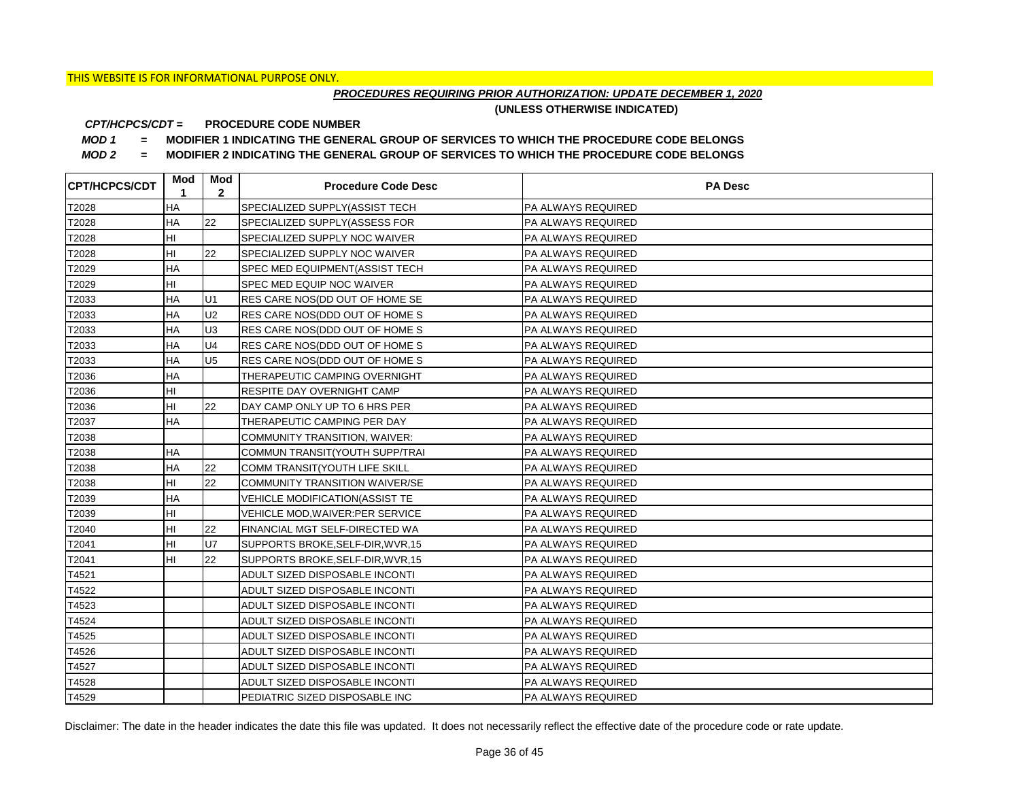## *PROCEDURES REQUIRING PRIOR AUTHORIZATION: UPDATE DECEMBER 1, 2020*

**(UNLESS OTHERWISE INDICATED)**

#### **PROCEDURE CODE NUMBER** *CPT/HCPCS/CDT =*

*MOD 1 =* **MODIFIER 1 INDICATING THE GENERAL GROUP OF SERVICES TO WHICH THE PROCEDURE CODE BELONGS**

*MOD 2 =* **MODIFIER 2 INDICATING THE GENERAL GROUP OF SERVICES TO WHICH THE PROCEDURE CODE BELONGS**

| <b>CPT/HCPCS/CDT</b> | Mod<br>1  | Mod<br>$\mathbf{2}$ | <b>Procedure Code Desc</b>            | <b>PA Desc</b>            |
|----------------------|-----------|---------------------|---------------------------------------|---------------------------|
| T2028                | <b>HA</b> |                     | SPECIALIZED SUPPLY(ASSIST TECH        | PA ALWAYS REQUIRED        |
| T2028                | HA        | 22                  | SPECIALIZED SUPPLY(ASSESS FOR         | <b>PA ALWAYS REQUIRED</b> |
| T2028                | HI        |                     | SPECIALIZED SUPPLY NOC WAIVER         | <b>PA ALWAYS REQUIRED</b> |
| T2028                | HI        | 22                  | SPECIALIZED SUPPLY NOC WAIVER         | <b>PA ALWAYS REQUIRED</b> |
| T2029                | HA        |                     | SPEC MED EQUIPMENT(ASSIST TECH        | PA ALWAYS REQUIRED        |
| T2029                | HI        |                     | SPEC MED EQUIP NOC WAIVER             | PA ALWAYS REQUIRED        |
| T2033                | HA        | U1                  | RES CARE NOS(DD OUT OF HOME SE        | PA ALWAYS REQUIRED        |
| T2033                | HA        | U <sub>2</sub>      | RES CARE NOS(DDD OUT OF HOME S        | PA ALWAYS REQUIRED        |
| T2033                | HA        | U <sub>3</sub>      | RES CARE NOS(DDD OUT OF HOME S        | PA ALWAYS REQUIRED        |
| T2033                | HA        | U <sub>4</sub>      | RES CARE NOS(DDD OUT OF HOME S        | PA ALWAYS REQUIRED        |
| T2033                | HA        | U <sub>5</sub>      | RES CARE NOS(DDD OUT OF HOME S        | PA ALWAYS REQUIRED        |
| T2036                | HA        |                     | THERAPEUTIC CAMPING OVERNIGHT         | PA ALWAYS REQUIRED        |
| T2036                | HI        |                     | RESPITE DAY OVERNIGHT CAMP            | <b>PA ALWAYS REQUIRED</b> |
| T2036                | HI        | 22                  | DAY CAMP ONLY UP TO 6 HRS PER         | <b>PA ALWAYS REQUIRED</b> |
| T2037                | <b>HA</b> |                     | THERAPEUTIC CAMPING PER DAY           | <b>PA ALWAYS REQUIRED</b> |
| T2038                |           |                     | COMMUNITY TRANSITION, WAIVER:         | <b>PA ALWAYS REQUIRED</b> |
| T2038                | НA        |                     | COMMUN TRANSIT(YOUTH SUPP/TRAI        | PA ALWAYS REQUIRED        |
| T2038                | <b>HA</b> | 22                  | COMM TRANSIT(YOUTH LIFE SKILL         | PA ALWAYS REQUIRED        |
| T2038                | HI        | 22                  | COMMUNITY TRANSITION WAIVER/SE        | <b>PA ALWAYS REQUIRED</b> |
| T2039                | <b>HA</b> |                     | <b>VEHICLE MODIFICATION(ASSIST TE</b> | <b>PA ALWAYS REQUIRED</b> |
| T2039                | HI        |                     | VEHICLE MOD, WAIVER: PER SERVICE      | <b>PA ALWAYS REQUIRED</b> |
| T2040                | HI        | 22                  | FINANCIAL MGT SELF-DIRECTED WA        | <b>PA ALWAYS REQUIRED</b> |
| T2041                | HI        | U7                  | SUPPORTS BROKE, SELF-DIR, WVR, 15     | PA ALWAYS REQUIRED        |
| T2041                | HI        | 22                  | SUPPORTS BROKE, SELF-DIR, WVR, 15     | <b>PA ALWAYS REQUIRED</b> |
| T4521                |           |                     | ADULT SIZED DISPOSABLE INCONTI        | <b>PA ALWAYS REQUIRED</b> |
| T4522                |           |                     | ADULT SIZED DISPOSABLE INCONTI        | <b>PA ALWAYS REQUIRED</b> |
| T4523                |           |                     | ADULT SIZED DISPOSABLE INCONTI        | <b>PA ALWAYS REQUIRED</b> |
| T4524                |           |                     | ADULT SIZED DISPOSABLE INCONTI        | <b>PA ALWAYS REQUIRED</b> |
| T4525                |           |                     | ADULT SIZED DISPOSABLE INCONTI        | <b>PA ALWAYS REQUIRED</b> |
| T4526                |           |                     | ADULT SIZED DISPOSABLE INCONTI        | <b>PA ALWAYS REQUIRED</b> |
| T4527                |           |                     | ADULT SIZED DISPOSABLE INCONTI        | PA ALWAYS REQUIRED        |
| T4528                |           |                     | ADULT SIZED DISPOSABLE INCONTI        | PA ALWAYS REQUIRED        |
| T4529                |           |                     | PEDIATRIC SIZED DISPOSABLE INC        | PA ALWAYS REQUIRED        |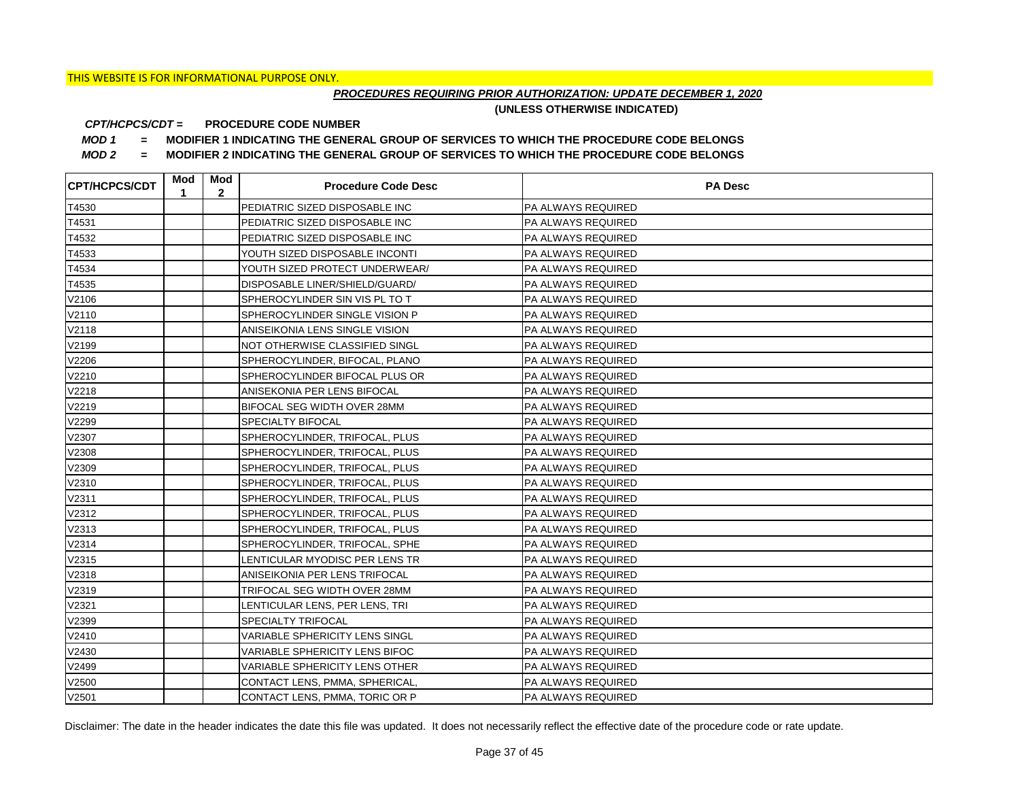## *PROCEDURES REQUIRING PRIOR AUTHORIZATION: UPDATE DECEMBER 1, 2020*

**(UNLESS OTHERWISE INDICATED)**

#### **PROCEDURE CODE NUMBER** *CPT/HCPCS/CDT =*

*MOD 1 =* **MODIFIER 1 INDICATING THE GENERAL GROUP OF SERVICES TO WHICH THE PROCEDURE CODE BELONGS**

*MOD 2 =* **MODIFIER 2 INDICATING THE GENERAL GROUP OF SERVICES TO WHICH THE PROCEDURE CODE BELONGS**

| <b>CPT/HCPCS/CDT</b> | Mod<br>1 | Mod<br>$\mathbf{2}$ | <b>Procedure Code Desc</b>            | <b>PA Desc</b>            |
|----------------------|----------|---------------------|---------------------------------------|---------------------------|
| T4530                |          |                     | PEDIATRIC SIZED DISPOSABLE INC        | PA ALWAYS REQUIRED        |
| T4531                |          |                     | PEDIATRIC SIZED DISPOSABLE INC        | PA ALWAYS REQUIRED        |
| T4532                |          |                     | PEDIATRIC SIZED DISPOSABLE INC        | PA ALWAYS REQUIRED        |
| T4533                |          |                     | YOUTH SIZED DISPOSABLE INCONTI        | PA ALWAYS REQUIRED        |
| T4534                |          |                     | YOUTH SIZED PROTECT UNDERWEAR/        | PA ALWAYS REQUIRED        |
| T4535                |          |                     | DISPOSABLE LINER/SHIELD/GUARD/        | PA ALWAYS REQUIRED        |
| V2106                |          |                     | SPHEROCYLINDER SIN VIS PL TO T        | PA ALWAYS REQUIRED        |
| V2110                |          |                     | SPHEROCYLINDER SINGLE VISION P        | PA ALWAYS REQUIRED        |
| V2118                |          |                     | ANISEIKONIA LENS SINGLE VISION        | PA ALWAYS REQUIRED        |
| V2199                |          |                     | NOT OTHERWISE CLASSIFIED SINGL        | PA ALWAYS REQUIRED        |
| V2206                |          |                     | SPHEROCYLINDER, BIFOCAL, PLANO        | PA ALWAYS REQUIRED        |
| V2210                |          |                     | SPHEROCYLINDER BIFOCAL PLUS OR        | PA ALWAYS REQUIRED        |
| V2218                |          |                     | ANISEKONIA PER LENS BIFOCAL           | PA ALWAYS REQUIRED        |
| V2219                |          |                     | BIFOCAL SEG WIDTH OVER 28MM           | PA ALWAYS REQUIRED        |
| V2299                |          |                     | <b>SPECIALTY BIFOCAL</b>              | PA ALWAYS REQUIRED        |
| V2307                |          |                     | SPHEROCYLINDER, TRIFOCAL, PLUS        | PA ALWAYS REQUIRED        |
| V2308                |          |                     | SPHEROCYLINDER, TRIFOCAL, PLUS        | PA ALWAYS REQUIRED        |
| V2309                |          |                     | SPHEROCYLINDER, TRIFOCAL, PLUS        | PA ALWAYS REQUIRED        |
| V2310                |          |                     | SPHEROCYLINDER, TRIFOCAL, PLUS        | PA ALWAYS REQUIRED        |
| V2311                |          |                     | SPHEROCYLINDER, TRIFOCAL, PLUS        | PA ALWAYS REQUIRED        |
| V2312                |          |                     | SPHEROCYLINDER, TRIFOCAL, PLUS        | PA ALWAYS REQUIRED        |
| V2313                |          |                     | SPHEROCYLINDER, TRIFOCAL, PLUS        | PA ALWAYS REQUIRED        |
| V2314                |          |                     | SPHEROCYLINDER, TRIFOCAL, SPHE        | PA ALWAYS REQUIRED        |
| V2315                |          |                     | LENTICULAR MYODISC PER LENS TR        | PA ALWAYS REQUIRED        |
| V2318                |          |                     | ANISEIKONIA PER LENS TRIFOCAL         | PA ALWAYS REQUIRED        |
| V2319                |          |                     | TRIFOCAL SEG WIDTH OVER 28MM          | PA ALWAYS REQUIRED        |
| V2321                |          |                     | LENTICULAR LENS, PER LENS, TRI        | PA ALWAYS REQUIRED        |
| V2399                |          |                     | <b>SPECIALTY TRIFOCAL</b>             | PA ALWAYS REQUIRED        |
| V2410                |          |                     | <b>VARIABLE SPHERICITY LENS SINGL</b> | <b>PA ALWAYS REQUIRED</b> |
| V2430                |          |                     | VARIABLE SPHERICITY LENS BIFOC        | PA ALWAYS REQUIRED        |
| V2499                |          |                     | VARIABLE SPHERICITY LENS OTHER        | PA ALWAYS REQUIRED        |
| V2500                |          |                     | CONTACT LENS, PMMA, SPHERICAL,        | PA ALWAYS REQUIRED        |
| V2501                |          |                     | CONTACT LENS, PMMA, TORIC OR P        | <b>PA ALWAYS REQUIRED</b> |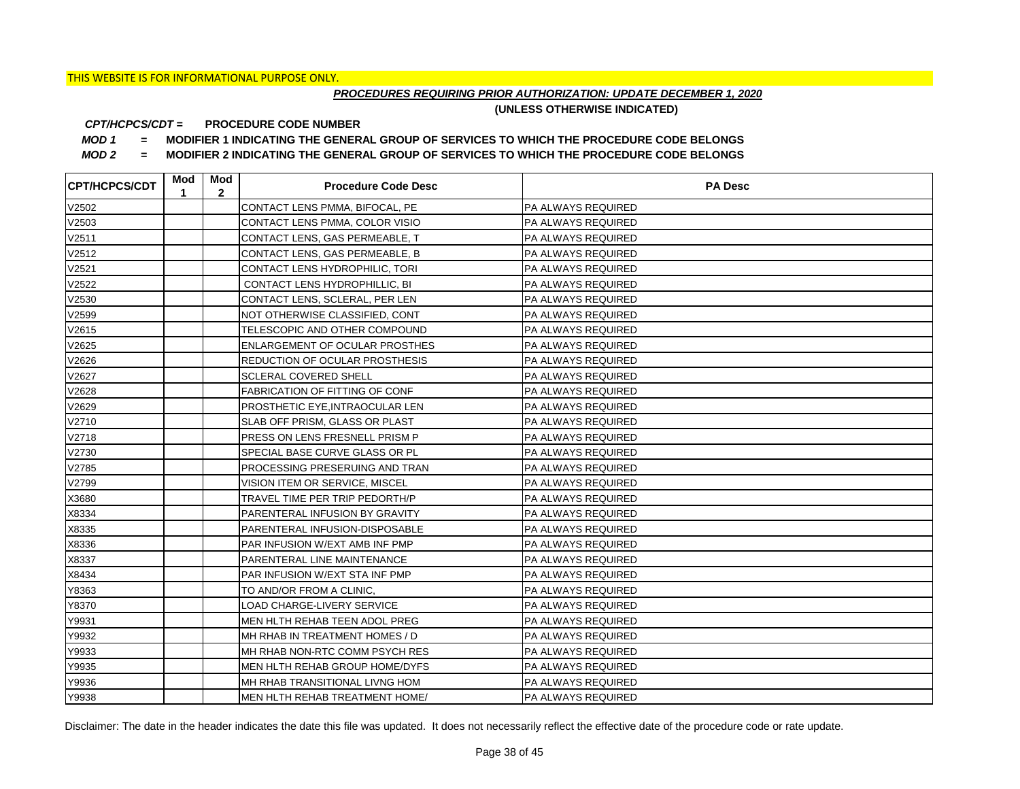## *PROCEDURES REQUIRING PRIOR AUTHORIZATION: UPDATE DECEMBER 1, 2020*

**(UNLESS OTHERWISE INDICATED)**

#### **PROCEDURE CODE NUMBER** *CPT/HCPCS/CDT =*

*MOD 1 =* **MODIFIER 1 INDICATING THE GENERAL GROUP OF SERVICES TO WHICH THE PROCEDURE CODE BELONGS**

*MOD 2 =* **MODIFIER 2 INDICATING THE GENERAL GROUP OF SERVICES TO WHICH THE PROCEDURE CODE BELONGS**

| <b>CPT/HCPCS/CDT</b> | Mod<br>1 | Mod<br>$\overline{2}$ | <b>Procedure Code Desc</b>            | <b>PA Desc</b>            |
|----------------------|----------|-----------------------|---------------------------------------|---------------------------|
| V2502                |          |                       | CONTACT LENS PMMA, BIFOCAL, PE        | PA ALWAYS REQUIRED        |
| V2503                |          |                       | CONTACT LENS PMMA, COLOR VISIO        | PA ALWAYS REQUIRED        |
| V2511                |          |                       | CONTACT LENS, GAS PERMEABLE, T        | PA ALWAYS REQUIRED        |
| V2512                |          |                       | CONTACT LENS, GAS PERMEABLE, B        | PA ALWAYS REQUIRED        |
| V2521                |          |                       | CONTACT LENS HYDROPHILIC, TORI        | PA ALWAYS REQUIRED        |
| V2522                |          |                       | CONTACT LENS HYDROPHILLIC, BI         | PA ALWAYS REQUIRED        |
| V2530                |          |                       | CONTACT LENS, SCLERAL, PER LEN        | <b>PA ALWAYS REQUIRED</b> |
| V2599                |          |                       | NOT OTHERWISE CLASSIFIED, CONT        | PA ALWAYS REQUIRED        |
| V2615                |          |                       | TELESCOPIC AND OTHER COMPOUND         | PA ALWAYS REQUIRED        |
| V2625                |          |                       | <b>ENLARGEMENT OF OCULAR PROSTHES</b> | PA ALWAYS REQUIRED        |
| V2626                |          |                       | <b>REDUCTION OF OCULAR PROSTHESIS</b> | PA ALWAYS REQUIRED        |
| V2627                |          |                       | <b>SCLERAL COVERED SHELL</b>          | PA ALWAYS REQUIRED        |
| V2628                |          |                       | <b>FABRICATION OF FITTING OF CONF</b> | <b>PA ALWAYS REQUIRED</b> |
| V2629                |          |                       | PROSTHETIC EYE, INTRAOCULAR LEN       | PA ALWAYS REQUIRED        |
| V2710                |          |                       | SLAB OFF PRISM, GLASS OR PLAST        | PA ALWAYS REQUIRED        |
| V2718                |          |                       | PRESS ON LENS FRESNELL PRISM P        | PA ALWAYS REQUIRED        |
| V2730                |          |                       | SPECIAL BASE CURVE GLASS OR PL        | PA ALWAYS REQUIRED        |
| V2785                |          |                       | PROCESSING PRESERUING AND TRAN        | PA ALWAYS REQUIRED        |
| V2799                |          |                       | VISION ITEM OR SERVICE, MISCEL        | PA ALWAYS REQUIRED        |
| X3680                |          |                       | TRAVEL TIME PER TRIP PEDORTH/P        | PA ALWAYS REQUIRED        |
| X8334                |          |                       | PARENTERAL INFUSION BY GRAVITY        | PA ALWAYS REQUIRED        |
| X8335                |          |                       | PARENTERAL INFUSION-DISPOSABLE        | PA ALWAYS REQUIRED        |
| X8336                |          |                       | PAR INFUSION W/EXT AMB INF PMP        | PA ALWAYS REQUIRED        |
| X8337                |          |                       | PARENTERAL LINE MAINTENANCE           | PA ALWAYS REQUIRED        |
| X8434                |          |                       | PAR INFUSION W/EXT STA INF PMP        | PA ALWAYS REQUIRED        |
| Y8363                |          |                       | TO AND/OR FROM A CLINIC,              | PA ALWAYS REQUIRED        |
| Y8370                |          |                       | LOAD CHARGE-LIVERY SERVICE            | PA ALWAYS REQUIRED        |
| Y9931                |          |                       | MEN HLTH REHAB TEEN ADOL PREG         | PA ALWAYS REQUIRED        |
| Y9932                |          |                       | MH RHAB IN TREATMENT HOMES / D        | PA ALWAYS REQUIRED        |
| Y9933                |          |                       | MH RHAB NON-RTC COMM PSYCH RES        | PA ALWAYS REQUIRED        |
| Y9935                |          |                       | MEN HLTH REHAB GROUP HOME/DYFS        | PA ALWAYS REQUIRED        |
| Y9936                |          |                       | MH RHAB TRANSITIONAL LIVNG HOM        | PA ALWAYS REQUIRED        |
| Y9938                |          |                       | MEN HLTH REHAB TREATMENT HOME/        | <b>PA ALWAYS REQUIRED</b> |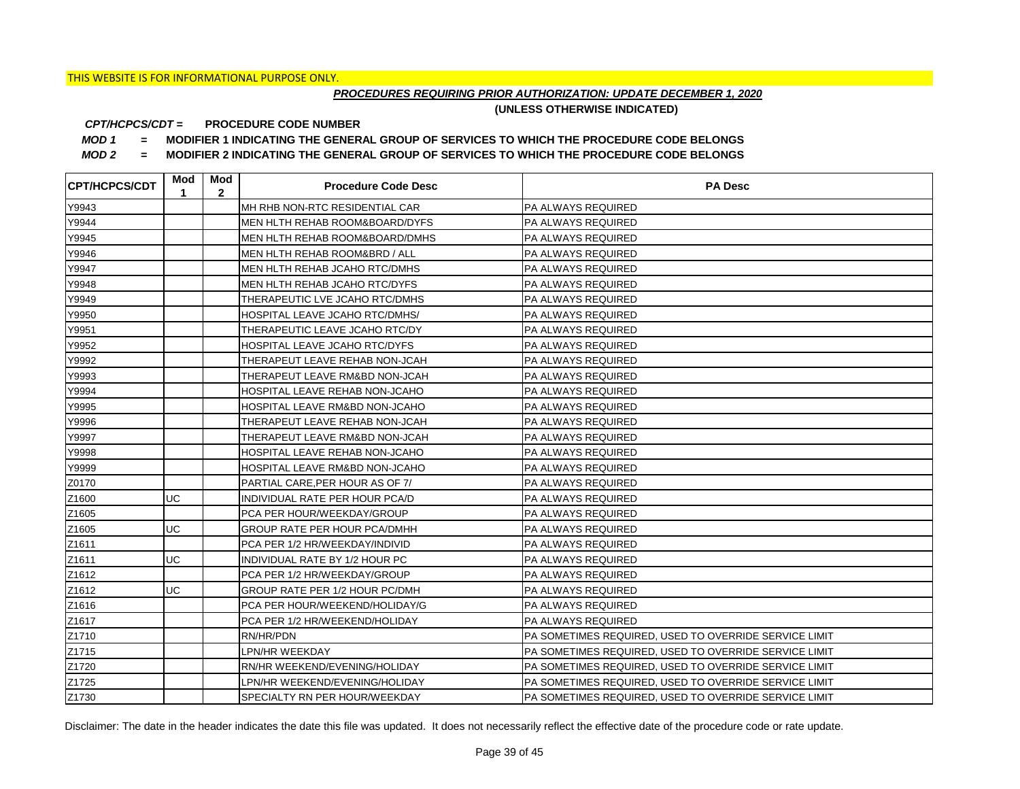## *PROCEDURES REQUIRING PRIOR AUTHORIZATION: UPDATE DECEMBER 1, 2020*

**(UNLESS OTHERWISE INDICATED)**

#### **PROCEDURE CODE NUMBER** *CPT/HCPCS/CDT =*

*MOD 1 =* **MODIFIER 1 INDICATING THE GENERAL GROUP OF SERVICES TO WHICH THE PROCEDURE CODE BELONGS**

*MOD 2 =* **MODIFIER 2 INDICATING THE GENERAL GROUP OF SERVICES TO WHICH THE PROCEDURE CODE BELONGS**

| <b>CPT/HCPCS/CDT</b> | Mod<br>1  | Mod<br>$\mathbf{2}$ | <b>Procedure Code Desc</b>          | <b>PA Desc</b>                                        |
|----------------------|-----------|---------------------|-------------------------------------|-------------------------------------------------------|
| Y9943                |           |                     | MH RHB NON-RTC RESIDENTIAL CAR      | <b>PA ALWAYS REQUIRED</b>                             |
| Y9944                |           |                     | MEN HLTH REHAB ROOM&BOARD/DYFS      | <b>PA ALWAYS REQUIRED</b>                             |
| Y9945                |           |                     | MEN HLTH REHAB ROOM&BOARD/DMHS      | <b>PA ALWAYS REQUIRED</b>                             |
| Y9946                |           |                     | MEN HLTH REHAB ROOM&BRD / ALL       | PA ALWAYS REQUIRED                                    |
| Y9947                |           |                     | MEN HLTH REHAB JCAHO RTC/DMHS       | <b>PA ALWAYS REQUIRED</b>                             |
| Y9948                |           |                     | MEN HLTH REHAB JCAHO RTC/DYFS       | <b>PA ALWAYS REQUIRED</b>                             |
| Y9949                |           |                     | THERAPEUTIC LVE JCAHO RTC/DMHS      | <b>PA ALWAYS REQUIRED</b>                             |
| Y9950                |           |                     | HOSPITAL LEAVE JCAHO RTC/DMHS/      | PA ALWAYS REQUIRED                                    |
| Y9951                |           |                     | THERAPEUTIC LEAVE JCAHO RTC/DY      | <b>PA ALWAYS REQUIRED</b>                             |
| Y9952                |           |                     | HOSPITAL LEAVE JCAHO RTC/DYFS       | <b>PA ALWAYS REQUIRED</b>                             |
| Y9992                |           |                     | THERAPEUT LEAVE REHAB NON-JCAH      | <b>PA ALWAYS REQUIRED</b>                             |
| Y9993                |           |                     | THERAPEUT LEAVE RM&BD NON-JCAH      | <b>PA ALWAYS REQUIRED</b>                             |
| Y9994                |           |                     | HOSPITAL LEAVE REHAB NON-JCAHO      | <b>PA ALWAYS REQUIRED</b>                             |
| Y9995                |           |                     | HOSPITAL LEAVE RM&BD NON-JCAHO      | <b>PA ALWAYS REQUIRED</b>                             |
| Y9996                |           |                     | THERAPEUT LEAVE REHAB NON-JCAH      | PA ALWAYS REQUIRED                                    |
| Y9997                |           |                     | THERAPEUT LEAVE RM&BD NON-JCAH      | PA ALWAYS REQUIRED                                    |
| Y9998                |           |                     | HOSPITAL LEAVE REHAB NON-JCAHO      | <b>PA ALWAYS REQUIRED</b>                             |
| Y9999                |           |                     | HOSPITAL LEAVE RM&BD NON-JCAHO      | PA ALWAYS REQUIRED                                    |
| Z0170                |           |                     | PARTIAL CARE, PER HOUR AS OF 7/     | <b>PA ALWAYS REQUIRED</b>                             |
| Z1600                | <b>UC</b> |                     | INDIVIDUAL RATE PER HOUR PCA/D      | PA ALWAYS REQUIRED                                    |
| Z1605                |           |                     | PCA PER HOUR/WEEKDAY/GROUP          | PA ALWAYS REQUIRED                                    |
| Z1605                | UC        |                     | <b>GROUP RATE PER HOUR PCA/DMHH</b> | <b>PA ALWAYS REQUIRED</b>                             |
| Z1611                |           |                     | PCA PER 1/2 HR/WEEKDAY/INDIVID      | PA ALWAYS REQUIRED                                    |
| Z1611                | UC        |                     | INDIVIDUAL RATE BY 1/2 HOUR PC      | <b>PA ALWAYS REQUIRED</b>                             |
| Z1612                |           |                     | PCA PER 1/2 HR/WEEKDAY/GROUP        | PA ALWAYS REQUIRED                                    |
| Z1612                | UC        |                     | GROUP RATE PER 1/2 HOUR PC/DMH      | PA ALWAYS REQUIRED                                    |
| Z1616                |           |                     | PCA PER HOUR/WEEKEND/HOLIDAY/G      | PA ALWAYS REQUIRED                                    |
| Z1617                |           |                     | PCA PER 1/2 HR/WEEKEND/HOLIDAY      | PA ALWAYS REQUIRED                                    |
| Z1710                |           |                     | RN/HR/PDN                           | PA SOMETIMES REQUIRED, USED TO OVERRIDE SERVICE LIMIT |
| Z1715                |           |                     | LPN/HR WEEKDAY                      | PA SOMETIMES REQUIRED, USED TO OVERRIDE SERVICE LIMIT |
| Z1720                |           |                     | RN/HR WEEKEND/EVENING/HOLIDAY       | PA SOMETIMES REQUIRED, USED TO OVERRIDE SERVICE LIMIT |
| Z1725                |           |                     | LPN/HR WEEKEND/EVENING/HOLIDAY      | PA SOMETIMES REQUIRED, USED TO OVERRIDE SERVICE LIMIT |
| Z1730                |           |                     | SPECIALTY RN PER HOUR/WEEKDAY       | PA SOMETIMES REQUIRED, USED TO OVERRIDE SERVICE LIMIT |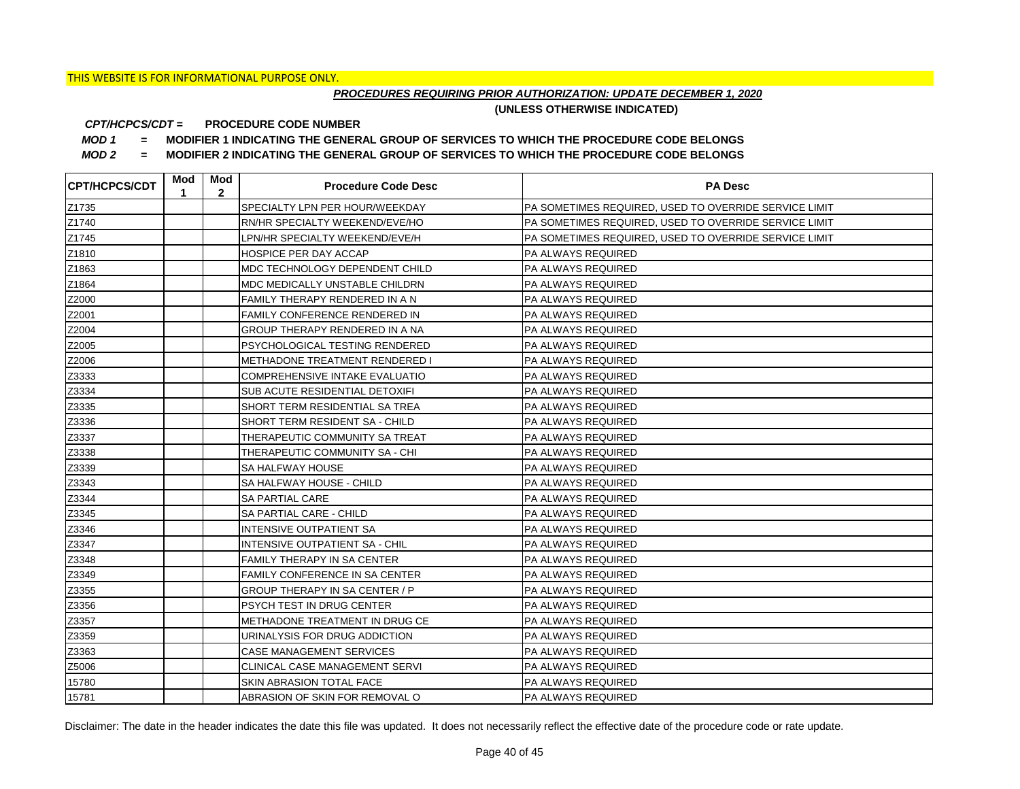## *PROCEDURES REQUIRING PRIOR AUTHORIZATION: UPDATE DECEMBER 1, 2020*

**(UNLESS OTHERWISE INDICATED)**

#### **PROCEDURE CODE NUMBER** *CPT/HCPCS/CDT =*

*MOD 1 =* **MODIFIER 1 INDICATING THE GENERAL GROUP OF SERVICES TO WHICH THE PROCEDURE CODE BELONGS**

*MOD 2 =* **MODIFIER 2 INDICATING THE GENERAL GROUP OF SERVICES TO WHICH THE PROCEDURE CODE BELONGS**

| <b>CPT/HCPCS/CDT</b> | Mod<br>1 | Mod<br>$\overline{2}$ | <b>Procedure Code Desc</b>            | <b>PA Desc</b>                                        |
|----------------------|----------|-----------------------|---------------------------------------|-------------------------------------------------------|
| Z1735                |          |                       | SPECIALTY LPN PER HOUR/WEEKDAY        | PA SOMETIMES REQUIRED, USED TO OVERRIDE SERVICE LIMIT |
| Z1740                |          |                       | RN/HR SPECIALTY WEEKEND/EVE/HO        | PA SOMETIMES REQUIRED, USED TO OVERRIDE SERVICE LIMIT |
| Z1745                |          |                       | LPN/HR SPECIALTY WEEKEND/EVE/H        | PA SOMETIMES REQUIRED, USED TO OVERRIDE SERVICE LIMIT |
| Z1810                |          |                       | HOSPICE PER DAY ACCAP                 | <b>PA ALWAYS REQUIRED</b>                             |
| Z1863                |          |                       | MDC TECHNOLOGY DEPENDENT CHILD        | <b>PA ALWAYS REQUIRED</b>                             |
| Z1864                |          |                       | MDC MEDICALLY UNSTABLE CHILDRN        | PA ALWAYS REQUIRED                                    |
| Z2000                |          |                       | FAMILY THERAPY RENDERED IN A N        | <b>PA ALWAYS REQUIRED</b>                             |
| Z2001                |          |                       | <b>FAMILY CONFERENCE RENDERED IN</b>  | <b>PA ALWAYS REQUIRED</b>                             |
| Z2004                |          |                       | GROUP THERAPY RENDERED IN A NA        | <b>PA ALWAYS REQUIRED</b>                             |
| Z2005                |          |                       | PSYCHOLOGICAL TESTING RENDERED        | PA ALWAYS REQUIRED                                    |
| Z2006                |          |                       | METHADONE TREATMENT RENDERED I        | <b>PA ALWAYS REQUIRED</b>                             |
| Z3333                |          |                       | <b>COMPREHENSIVE INTAKE EVALUATIO</b> | PA ALWAYS REQUIRED                                    |
| Z3334                |          |                       | SUB ACUTE RESIDENTIAL DETOXIFI        | <b>PA ALWAYS REQUIRED</b>                             |
| Z3335                |          |                       | SHORT TERM RESIDENTIAL SA TREA        | <b>PA ALWAYS REQUIRED</b>                             |
| Z3336                |          |                       | SHORT TERM RESIDENT SA - CHILD        | <b>PA ALWAYS REQUIRED</b>                             |
| Z3337                |          |                       | THERAPEUTIC COMMUNITY SA TREAT        | <b>PA ALWAYS REQUIRED</b>                             |
| Z3338                |          |                       | THERAPEUTIC COMMUNITY SA - CHI        | <b>PA ALWAYS REQUIRED</b>                             |
| Z3339                |          |                       | SA HALFWAY HOUSE                      | PA ALWAYS REQUIRED                                    |
| Z3343                |          |                       | SA HALFWAY HOUSE - CHILD              | <b>PA ALWAYS REQUIRED</b>                             |
| Z3344                |          |                       | SA PARTIAL CARE                       | <b>PA ALWAYS REQUIRED</b>                             |
| Z3345                |          |                       | SA PARTIAL CARE - CHILD               | <b>PA ALWAYS REQUIRED</b>                             |
| Z3346                |          |                       | INTENSIVE OUTPATIENT SA               | PA ALWAYS REQUIRED                                    |
| Z3347                |          |                       | INTENSIVE OUTPATIENT SA - CHIL        | PA ALWAYS REQUIRED                                    |
| Z3348                |          |                       | FAMILY THERAPY IN SA CENTER           | PA ALWAYS REQUIRED                                    |
| Z3349                |          |                       | <b>FAMILY CONFERENCE IN SA CENTER</b> | <b>PA ALWAYS REQUIRED</b>                             |
| Z3355                |          |                       | GROUP THERAPY IN SA CENTER / P        | PA ALWAYS REQUIRED                                    |
| Z3356                |          |                       | PSYCH TEST IN DRUG CENTER             | PA ALWAYS REQUIRED                                    |
| Z3357                |          |                       | METHADONE TREATMENT IN DRUG CE        | PA ALWAYS REQUIRED                                    |
| Z3359                |          |                       | URINALYSIS FOR DRUG ADDICTION         | PA ALWAYS REQUIRED                                    |
| Z3363                |          |                       | CASE MANAGEMENT SERVICES              | PA ALWAYS REQUIRED                                    |
| Z5006                |          |                       | CLINICAL CASE MANAGEMENT SERVI        | PA ALWAYS REQUIRED                                    |
| 15780                |          |                       | SKIN ABRASION TOTAL FACE              | <b>PA ALWAYS REQUIRED</b>                             |
| 15781                |          |                       | ABRASION OF SKIN FOR REMOVAL O        | <b>PA ALWAYS REQUIRED</b>                             |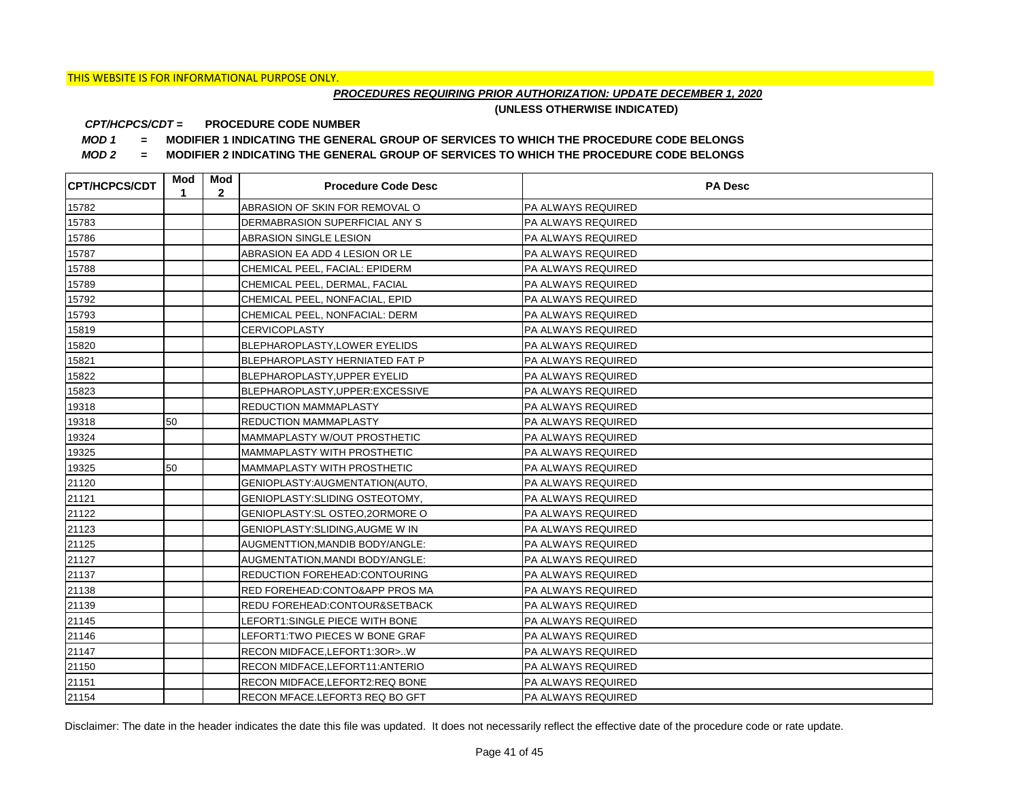## *PROCEDURES REQUIRING PRIOR AUTHORIZATION: UPDATE DECEMBER 1, 2020*

**(UNLESS OTHERWISE INDICATED)**

#### **PROCEDURE CODE NUMBER** *CPT/HCPCS/CDT =*

*MOD 1 =* **MODIFIER 1 INDICATING THE GENERAL GROUP OF SERVICES TO WHICH THE PROCEDURE CODE BELONGS**

*MOD 2 =* **MODIFIER 2 INDICATING THE GENERAL GROUP OF SERVICES TO WHICH THE PROCEDURE CODE BELONGS**

| <b>CPT/HCPCS/CDT</b> | Mod<br>1 | Mod<br>$\mathbf{2}$ | <b>Procedure Code Desc</b>       | <b>PA Desc</b>            |
|----------------------|----------|---------------------|----------------------------------|---------------------------|
| 15782                |          |                     | ABRASION OF SKIN FOR REMOVAL O   | PA ALWAYS REQUIRED        |
| 15783                |          |                     | DERMABRASION SUPERFICIAL ANY S   | <b>PA ALWAYS REQUIRED</b> |
| 15786                |          |                     | ABRASION SINGLE LESION           | <b>PA ALWAYS REQUIRED</b> |
| 15787                |          |                     | ABRASION EA ADD 4 LESION OR LE   | <b>PA ALWAYS REQUIRED</b> |
| 15788                |          |                     | CHEMICAL PEEL, FACIAL: EPIDERM   | PA ALWAYS REQUIRED        |
| 15789                |          |                     | CHEMICAL PEEL, DERMAL, FACIAL    | PA ALWAYS REQUIRED        |
| 15792                |          |                     | CHEMICAL PEEL, NONFACIAL, EPID   | PA ALWAYS REQUIRED        |
| 15793                |          |                     | CHEMICAL PEEL, NONFACIAL: DERM   | PA ALWAYS REQUIRED        |
| 15819                |          |                     | <b>CERVICOPLASTY</b>             | PA ALWAYS REQUIRED        |
| 15820                |          |                     | BLEPHAROPLASTY, LOWER EYELIDS    | <b>PA ALWAYS REQUIRED</b> |
| 15821                |          |                     | BLEPHAROPLASTY HERNIATED FAT P   | PA ALWAYS REQUIRED        |
| 15822                |          |                     | BLEPHAROPLASTY, UPPER EYELID     | PA ALWAYS REQUIRED        |
| 15823                |          |                     | BLEPHAROPLASTY, UPPER: EXCESSIVE | PA ALWAYS REQUIRED        |
| 19318                |          |                     | REDUCTION MAMMAPLASTY            | <b>PA ALWAYS REQUIRED</b> |
| 19318                | 50       |                     | REDUCTION MAMMAPLASTY            | <b>PA ALWAYS REQUIRED</b> |
| 19324                |          |                     | MAMMAPLASTY W/OUT PROSTHETIC     | <b>PA ALWAYS REQUIRED</b> |
| 19325                |          |                     | MAMMAPLASTY WITH PROSTHETIC      | PA ALWAYS REQUIRED        |
| 19325                | 50       |                     | MAMMAPLASTY WITH PROSTHETIC      | PA ALWAYS REQUIRED        |
| 21120                |          |                     | GENIOPLASTY: AUGMENTATION (AUTO, | <b>PA ALWAYS REQUIRED</b> |
| 21121                |          |                     | GENIOPLASTY: SLIDING OSTEOTOMY,  | <b>PA ALWAYS REQUIRED</b> |
| 21122                |          |                     | GENIOPLASTY: SL OSTEO, 20RMORE O | <b>PA ALWAYS REQUIRED</b> |
| 21123                |          |                     | GENIOPLASTY: SLIDING, AUGME W IN | <b>PA ALWAYS REQUIRED</b> |
| 21125                |          |                     | AUGMENTTION, MANDIB BODY/ANGLE:  | PA ALWAYS REQUIRED        |
| 21127                |          |                     | AUGMENTATION, MANDI BODY/ANGLE:  | PA ALWAYS REQUIRED        |
| 21137                |          |                     | REDUCTION FOREHEAD: CONTOURING   | <b>PA ALWAYS REQUIRED</b> |
| 21138                |          |                     | RED FOREHEAD: CONTO&APP PROS MA  | <b>PA ALWAYS REQUIRED</b> |
| 21139                |          |                     | REDU FOREHEAD: CONTOUR& SETBACK  | <b>PA ALWAYS REQUIRED</b> |
| 21145                |          |                     | LEFORT1:SINGLE PIECE WITH BONE   | <b>PA ALWAYS REQUIRED</b> |
| 21146                |          |                     | LEFORT1: TWO PIECES W BONE GRAF  | <b>PA ALWAYS REQUIRED</b> |
| 21147                |          |                     | RECON MIDFACE, LEFORT1:3OR>W     | PA ALWAYS REQUIRED        |
| 21150                |          |                     | RECON MIDFACE, LEFORT11: ANTERIO | PA ALWAYS REQUIRED        |
| 21151                |          |                     | RECON MIDFACE, LEFORT2: REQ BONE | PA ALWAYS REQUIRED        |
| 21154                |          |                     | RECON MFACE.LEFORT3 REQ BO GFT   | <b>PA ALWAYS REQUIRED</b> |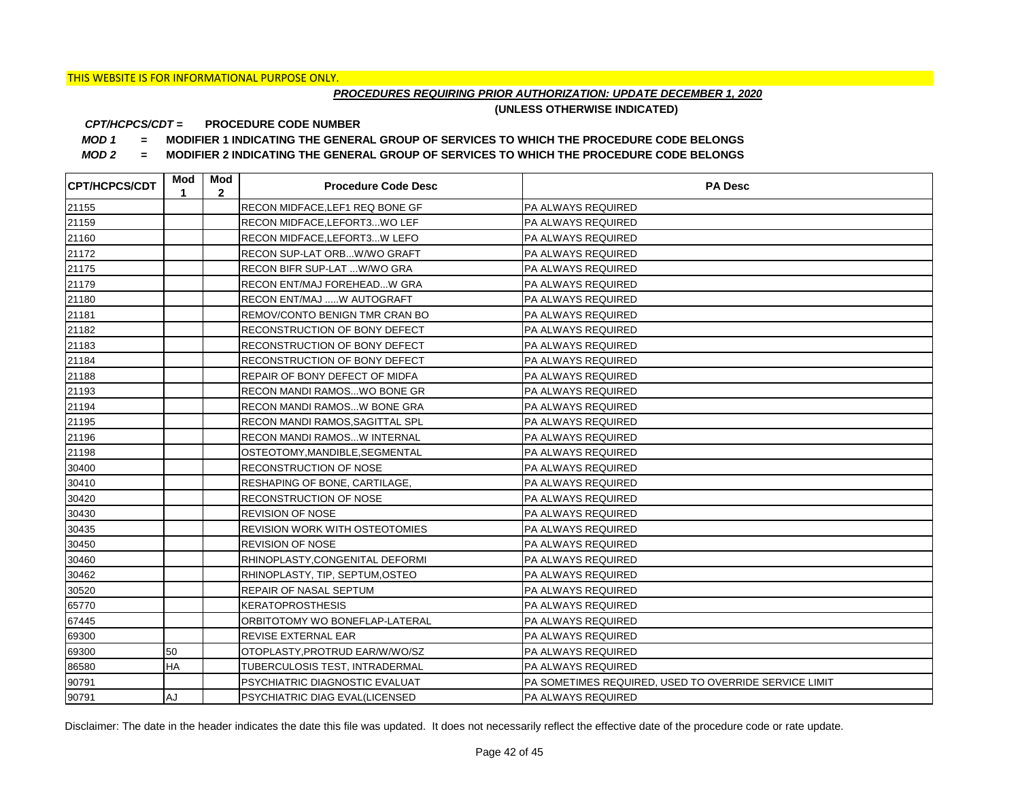## *PROCEDURES REQUIRING PRIOR AUTHORIZATION: UPDATE DECEMBER 1, 2020*

**(UNLESS OTHERWISE INDICATED)**

#### **PROCEDURE CODE NUMBER** *CPT/HCPCS/CDT =*

*MOD 1 =* **MODIFIER 1 INDICATING THE GENERAL GROUP OF SERVICES TO WHICH THE PROCEDURE CODE BELONGS**

*MOD 2 =* **MODIFIER 2 INDICATING THE GENERAL GROUP OF SERVICES TO WHICH THE PROCEDURE CODE BELONGS**

| <b>CPT/HCPCS/CDT</b> | Mod<br>1  | Mod<br>$\mathbf{2}$ | <b>Procedure Code Desc</b>            | <b>PA Desc</b>                                        |
|----------------------|-----------|---------------------|---------------------------------------|-------------------------------------------------------|
| 21155                |           |                     | RECON MIDFACE, LEF1 REQ BONE GF       | PA ALWAYS REQUIRED                                    |
| 21159                |           |                     | RECON MIDFACE, LEFORT3 WO LEF         | PA ALWAYS REQUIRED                                    |
| 21160                |           |                     | RECON MIDFACE, LEFORT3W LEFO          | PA ALWAYS REQUIRED                                    |
| 21172                |           |                     | RECON SUP-LAT ORBW/WO GRAFT           | PA ALWAYS REQUIRED                                    |
| 21175                |           |                     | RECON BIFR SUP-LAT  W/WO GRA          | PA ALWAYS REQUIRED                                    |
| 21179                |           |                     | RECON ENT/MAJ FOREHEADW GRA           | PA ALWAYS REQUIRED                                    |
| 21180                |           |                     | RECON ENT/MAJ W AUTOGRAFT             | PA ALWAYS REQUIRED                                    |
| 21181                |           |                     | REMOV/CONTO BENIGN TMR CRAN BO        | PA ALWAYS REQUIRED                                    |
| 21182                |           |                     | RECONSTRUCTION OF BONY DEFECT         | PA ALWAYS REQUIRED                                    |
| 21183                |           |                     | RECONSTRUCTION OF BONY DEFECT         | PA ALWAYS REQUIRED                                    |
| 21184                |           |                     | RECONSTRUCTION OF BONY DEFECT         | PA ALWAYS REQUIRED                                    |
| 21188                |           |                     | REPAIR OF BONY DEFECT OF MIDFA        | PA ALWAYS REQUIRED                                    |
| 21193                |           |                     | RECON MANDI RAMOSWO BONE GR           | PA ALWAYS REQUIRED                                    |
| 21194                |           |                     | RECON MANDI RAMOSW BONE GRA           | PA ALWAYS REQUIRED                                    |
| 21195                |           |                     | RECON MANDI RAMOS, SAGITTAL SPL       | PA ALWAYS REQUIRED                                    |
| 21196                |           |                     | RECON MANDI RAMOSW INTERNAL           | PA ALWAYS REQUIRED                                    |
| 21198                |           |                     | OSTEOTOMY, MANDIBLE, SEGMENTAL        | PA ALWAYS REQUIRED                                    |
| 30400                |           |                     | <b>RECONSTRUCTION OF NOSE</b>         | PA ALWAYS REQUIRED                                    |
| 30410                |           |                     | RESHAPING OF BONE, CARTILAGE,         | PA ALWAYS REQUIRED                                    |
| 30420                |           |                     | <b>RECONSTRUCTION OF NOSE</b>         | PA ALWAYS REQUIRED                                    |
| 30430                |           |                     | <b>REVISION OF NOSE</b>               | PA ALWAYS REQUIRED                                    |
| 30435                |           |                     | <b>REVISION WORK WITH OSTEOTOMIES</b> | PA ALWAYS REQUIRED                                    |
| 30450                |           |                     | <b>REVISION OF NOSE</b>               | PA ALWAYS REQUIRED                                    |
| 30460                |           |                     | RHINOPLASTY, CONGENITAL DEFORMI       | PA ALWAYS REQUIRED                                    |
| 30462                |           |                     | RHINOPLASTY, TIP, SEPTUM, OSTEO       | PA ALWAYS REQUIRED                                    |
| 30520                |           |                     | <b>REPAIR OF NASAL SEPTUM</b>         | PA ALWAYS REQUIRED                                    |
| 65770                |           |                     | <b>KERATOPROSTHESIS</b>               | PA ALWAYS REQUIRED                                    |
| 67445                |           |                     | ORBITOTOMY WO BONEFLAP-LATERAL        | PA ALWAYS REQUIRED                                    |
| 69300                |           |                     | <b>REVISE EXTERNAL EAR</b>            | PA ALWAYS REQUIRED                                    |
| 69300                | 50        |                     | OTOPLASTY, PROTRUD EAR/W/WO/SZ        | PA ALWAYS REQUIRED                                    |
| 86580                | HA        |                     | TUBERCULOSIS TEST, INTRADERMAL        | PA ALWAYS REQUIRED                                    |
| 90791                |           |                     | PSYCHIATRIC DIAGNOSTIC EVALUAT        | PA SOMETIMES REQUIRED, USED TO OVERRIDE SERVICE LIMIT |
| 90791                | <b>AJ</b> |                     | <b>PSYCHIATRIC DIAG EVAL(LICENSED</b> | <b>PA ALWAYS REQUIRED</b>                             |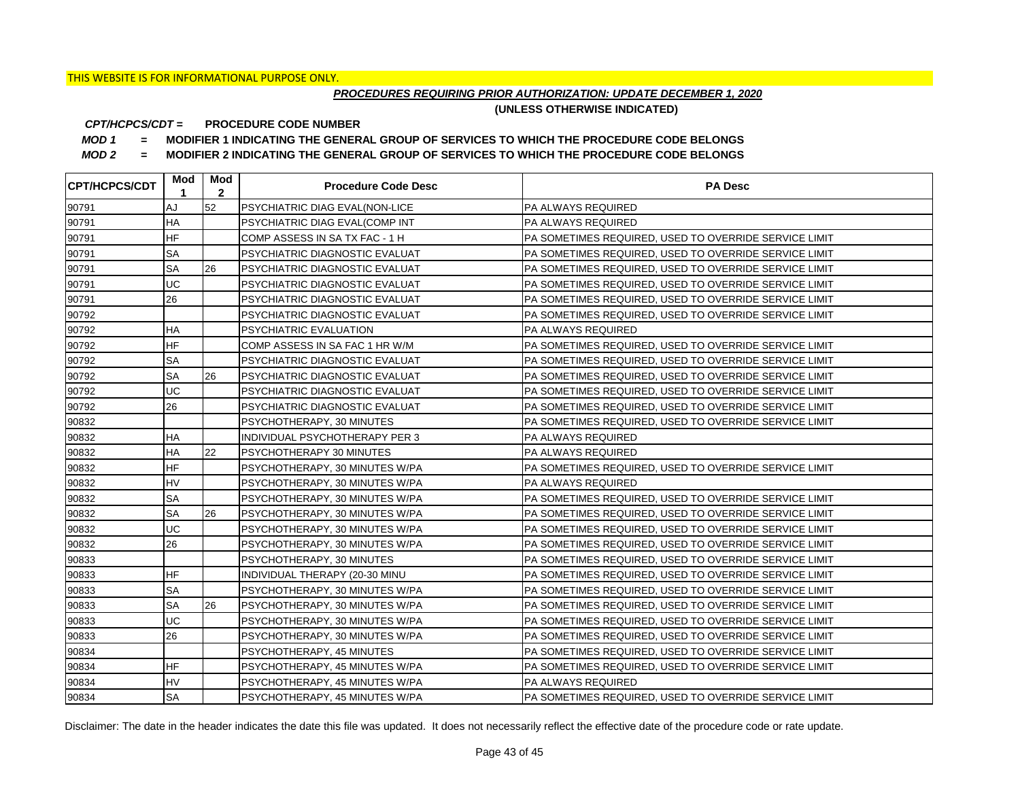## *PROCEDURES REQUIRING PRIOR AUTHORIZATION: UPDATE DECEMBER 1, 2020*

**(UNLESS OTHERWISE INDICATED)**

#### **PROCEDURE CODE NUMBER** *CPT/HCPCS/CDT =*

*MOD 1 =* **MODIFIER 1 INDICATING THE GENERAL GROUP OF SERVICES TO WHICH THE PROCEDURE CODE BELONGS**

*MOD 2 =* **MODIFIER 2 INDICATING THE GENERAL GROUP OF SERVICES TO WHICH THE PROCEDURE CODE BELONGS**

| <b>CPT/HCPCS/CDT</b> | Mod<br>1  | Mod<br>$\overline{2}$ | <b>Procedure Code Desc</b>            | <b>PA Desc</b>                                         |
|----------------------|-----------|-----------------------|---------------------------------------|--------------------------------------------------------|
| 90791                | AJ        | 52                    | PSYCHIATRIC DIAG EVAL(NON-LICE        | <b>PA ALWAYS REQUIRED</b>                              |
| 90791                | <b>HA</b> |                       | PSYCHIATRIC DIAG EVAL(COMP INT        | <b>PA ALWAYS REQUIRED</b>                              |
| 90791                | <b>HF</b> |                       | COMP ASSESS IN SA TX FAC - 1 H        | PA SOMETIMES REQUIRED, USED TO OVERRIDE SERVICE LIMIT  |
| 90791                | <b>SA</b> |                       | PSYCHIATRIC DIAGNOSTIC EVALUAT        | PA SOMETIMES REQUIRED, USED TO OVERRIDE SERVICE LIMIT  |
| 90791                | <b>SA</b> | 26                    | PSYCHIATRIC DIAGNOSTIC EVALUAT        | PA SOMETIMES REQUIRED. USED TO OVERRIDE SERVICE LIMIT  |
| 90791                | UC        |                       | <b>PSYCHIATRIC DIAGNOSTIC EVALUAT</b> | PA SOMETIMES REQUIRED, USED TO OVERRIDE SERVICE LIMIT  |
| 90791                | 26        |                       | PSYCHIATRIC DIAGNOSTIC EVALUAT        | PA SOMETIMES REQUIRED, USED TO OVERRIDE SERVICE LIMIT  |
| 90792                |           |                       | PSYCHIATRIC DIAGNOSTIC EVALUAT        | PA SOMETIMES REQUIRED. USED TO OVERRIDE SERVICE LIMIT  |
| 90792                | <b>HA</b> |                       | <b>PSYCHIATRIC EVALUATION</b>         | PA ALWAYS REQUIRED                                     |
| 90792                | <b>HF</b> |                       | COMP ASSESS IN SA FAC 1 HR W/M        | PA SOMETIMES REQUIRED. USED TO OVERRIDE SERVICE LIMIT  |
| 90792                | <b>SA</b> |                       | PSYCHIATRIC DIAGNOSTIC EVALUAT        | PA SOMETIMES REQUIRED. USED TO OVERRIDE SERVICE LIMIT  |
| 90792                | <b>SA</b> | 26                    | <b>PSYCHIATRIC DIAGNOSTIC EVALUAT</b> | PA SOMETIMES REQUIRED, USED TO OVERRIDE SERVICE LIMIT  |
| 90792                | UC        |                       | PSYCHIATRIC DIAGNOSTIC EVALUAT        | PA SOMETIMES REQUIRED, USED TO OVERRIDE SERVICE LIMIT  |
| 90792                | 26        |                       | IPSYCHIATRIC DIAGNOSTIC EVALUAT       | PA SOMETIMES REQUIRED, USED TO OVERRIDE SERVICE LIMIT  |
| 90832                |           |                       | PSYCHOTHERAPY, 30 MINUTES             | PA SOMETIMES REQUIRED, USED TO OVERRIDE SERVICE LIMIT  |
| 90832                | <b>HA</b> |                       | INDIVIDUAL PSYCHOTHERAPY PER 3        | <b>PA ALWAYS REQUIRED</b>                              |
| 90832                | <b>HA</b> | 22                    | <b>PSYCHOTHERAPY 30 MINUTES</b>       | <b>PA ALWAYS REQUIRED</b>                              |
| 90832                | <b>HF</b> |                       | PSYCHOTHERAPY, 30 MINUTES W/PA        | PA SOMETIMES REQUIRED. USED TO OVERRIDE SERVICE LIMIT  |
| 90832                | <b>HV</b> |                       | PSYCHOTHERAPY, 30 MINUTES W/PA        | <b>PA ALWAYS REQUIRED</b>                              |
| 90832                | <b>SA</b> |                       | PSYCHOTHERAPY, 30 MINUTES W/PA        | PA SOMETIMES REQUIRED, USED TO OVERRIDE SERVICE LIMIT  |
| 90832                | <b>SA</b> | 26                    | PSYCHOTHERAPY, 30 MINUTES W/PA        | PA SOMETIMES REQUIRED, USED TO OVERRIDE SERVICE LIMIT  |
| 90832                | UC        |                       | PSYCHOTHERAPY, 30 MINUTES W/PA        | IPA SOMETIMES REQUIRED. USED TO OVERRIDE SERVICE LIMIT |
| 90832                | 26        |                       | PSYCHOTHERAPY, 30 MINUTES W/PA        | PA SOMETIMES REQUIRED, USED TO OVERRIDE SERVICE LIMIT  |
| 90833                |           |                       | PSYCHOTHERAPY, 30 MINUTES             | PA SOMETIMES REQUIRED, USED TO OVERRIDE SERVICE LIMIT  |
| 90833                | <b>HF</b> |                       | INDIVIDUAL THERAPY (20-30 MINU        | PA SOMETIMES REQUIRED, USED TO OVERRIDE SERVICE LIMIT  |
| 90833                | <b>SA</b> |                       | PSYCHOTHERAPY, 30 MINUTES W/PA        | PA SOMETIMES REQUIRED, USED TO OVERRIDE SERVICE LIMIT  |
| 90833                | <b>SA</b> | 26                    | PSYCHOTHERAPY, 30 MINUTES W/PA        | PA SOMETIMES REQUIRED, USED TO OVERRIDE SERVICE LIMIT  |
| 90833                | UC        |                       | PSYCHOTHERAPY, 30 MINUTES W/PA        | PA SOMETIMES REQUIRED, USED TO OVERRIDE SERVICE LIMIT  |
| 90833                | 26        |                       | PSYCHOTHERAPY, 30 MINUTES W/PA        | PA SOMETIMES REQUIRED, USED TO OVERRIDE SERVICE LIMIT  |
| 90834                |           |                       | PSYCHOTHERAPY, 45 MINUTES             | PA SOMETIMES REQUIRED, USED TO OVERRIDE SERVICE LIMIT  |
| 90834                | <b>HF</b> |                       | PSYCHOTHERAPY, 45 MINUTES W/PA        | PA SOMETIMES REQUIRED, USED TO OVERRIDE SERVICE LIMIT  |
| 90834                | <b>HV</b> |                       | PSYCHOTHERAPY, 45 MINUTES W/PA        | PA ALWAYS REQUIRED                                     |
| 90834                | <b>SA</b> |                       | PSYCHOTHERAPY, 45 MINUTES W/PA        | PA SOMETIMES REQUIRED, USED TO OVERRIDE SERVICE LIMIT  |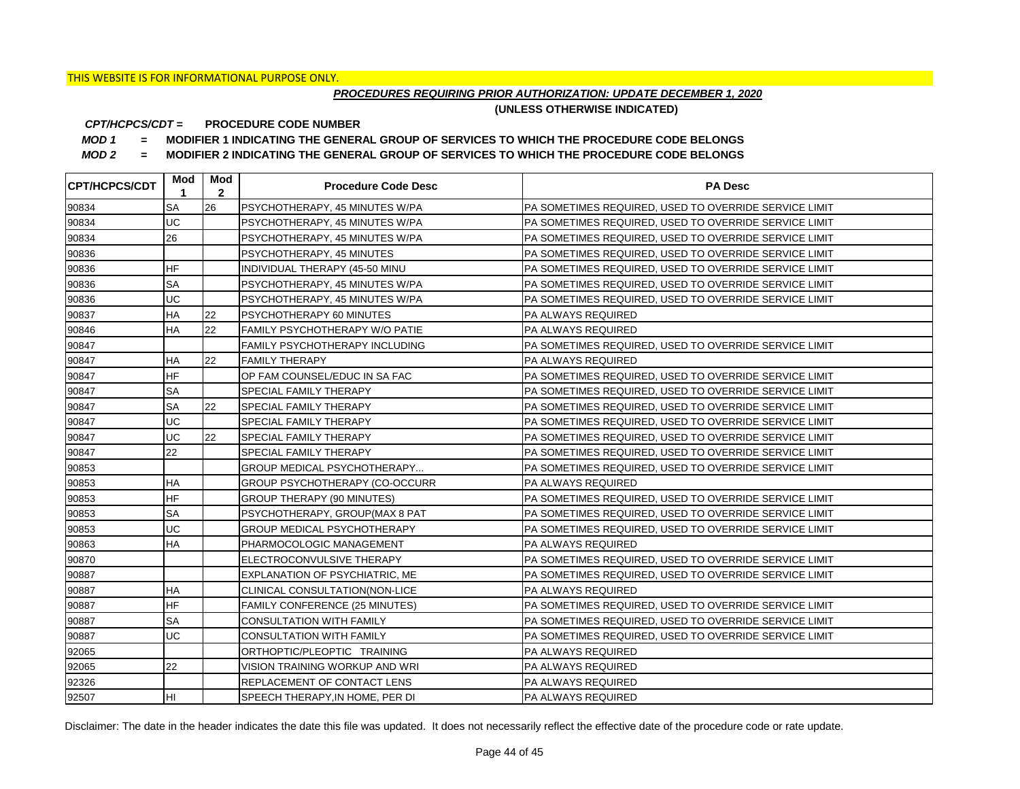## *PROCEDURES REQUIRING PRIOR AUTHORIZATION: UPDATE DECEMBER 1, 2020*

**(UNLESS OTHERWISE INDICATED)**

#### **PROCEDURE CODE NUMBER** *CPT/HCPCS/CDT =*

*MOD 1 =* **MODIFIER 1 INDICATING THE GENERAL GROUP OF SERVICES TO WHICH THE PROCEDURE CODE BELONGS**

*MOD 2 =* **MODIFIER 2 INDICATING THE GENERAL GROUP OF SERVICES TO WHICH THE PROCEDURE CODE BELONGS**

| <b>CPT/HCPCS/CDT</b> | Mod<br>1  | Mod<br>$\overline{2}$ | <b>Procedure Code Desc</b>         | <b>PA Desc</b>                                        |
|----------------------|-----------|-----------------------|------------------------------------|-------------------------------------------------------|
| 90834                | <b>SA</b> | 26                    | PSYCHOTHERAPY, 45 MINUTES W/PA     | PA SOMETIMES REQUIRED, USED TO OVERRIDE SERVICE LIMIT |
| 90834                | UC        |                       | PSYCHOTHERAPY, 45 MINUTES W/PA     | PA SOMETIMES REQUIRED, USED TO OVERRIDE SERVICE LIMIT |
| 90834                | 26        |                       | PSYCHOTHERAPY, 45 MINUTES W/PA     | PA SOMETIMES REQUIRED, USED TO OVERRIDE SERVICE LIMIT |
| 90836                |           |                       | PSYCHOTHERAPY, 45 MINUTES          | PA SOMETIMES REQUIRED, USED TO OVERRIDE SERVICE LIMIT |
| 90836                | <b>HF</b> |                       | INDIVIDUAL THERAPY (45-50 MINU     | PA SOMETIMES REQUIRED, USED TO OVERRIDE SERVICE LIMIT |
| 90836                | <b>SA</b> |                       | PSYCHOTHERAPY, 45 MINUTES W/PA     | PA SOMETIMES REQUIRED, USED TO OVERRIDE SERVICE LIMIT |
| 90836                | UC        |                       | PSYCHOTHERAPY, 45 MINUTES W/PA     | PA SOMETIMES REQUIRED, USED TO OVERRIDE SERVICE LIMIT |
| 90837                | <b>HA</b> | 22                    | PSYCHOTHERAPY 60 MINUTES           | PA ALWAYS REQUIRED                                    |
| 90846                | HA        | 22                    | FAMILY PSYCHOTHERAPY W/O PATIE     | <b>PA ALWAYS REQUIRED</b>                             |
| 90847                |           |                       | FAMILY PSYCHOTHERAPY INCLUDING     | PA SOMETIMES REQUIRED. USED TO OVERRIDE SERVICE LIMIT |
| 90847                | <b>HA</b> | 22                    | <b>FAMILY THERAPY</b>              | <b>PA ALWAYS REQUIRED</b>                             |
| 90847                | <b>HF</b> |                       | OP FAM COUNSEL/EDUC IN SA FAC      | PA SOMETIMES REQUIRED, USED TO OVERRIDE SERVICE LIMIT |
| 90847                | <b>SA</b> |                       | SPECIAL FAMILY THERAPY             | PA SOMETIMES REQUIRED, USED TO OVERRIDE SERVICE LIMIT |
| 90847                | <b>SA</b> | 22                    | SPECIAL FAMILY THERAPY             | PA SOMETIMES REQUIRED, USED TO OVERRIDE SERVICE LIMIT |
| 90847                | UC        |                       | SPECIAL FAMILY THERAPY             | PA SOMETIMES REQUIRED, USED TO OVERRIDE SERVICE LIMIT |
| 90847                | UC        | 22                    | SPECIAL FAMILY THERAPY             | PA SOMETIMES REQUIRED, USED TO OVERRIDE SERVICE LIMIT |
| 90847                | 22        |                       | SPECIAL FAMILY THERAPY             | PA SOMETIMES REQUIRED, USED TO OVERRIDE SERVICE LIMIT |
| 90853                |           |                       | GROUP MEDICAL PSYCHOTHERAPY        | PA SOMETIMES REQUIRED, USED TO OVERRIDE SERVICE LIMIT |
| 90853                | <b>HA</b> |                       | GROUP PSYCHOTHERAPY (CO-OCCURR     | PA ALWAYS REQUIRED                                    |
| 90853                | <b>HF</b> |                       | <b>GROUP THERAPY (90 MINUTES)</b>  | PA SOMETIMES REQUIRED, USED TO OVERRIDE SERVICE LIMIT |
| 90853                | <b>SA</b> |                       | PSYCHOTHERAPY, GROUP(MAX 8 PAT     | PA SOMETIMES REQUIRED, USED TO OVERRIDE SERVICE LIMIT |
| 90853                | UC        |                       | <b>GROUP MEDICAL PSYCHOTHERAPY</b> | PA SOMETIMES REQUIRED, USED TO OVERRIDE SERVICE LIMIT |
| 90863                | <b>HA</b> |                       | PHARMOCOLOGIC MANAGEMENT           | PA ALWAYS REQUIRED                                    |
| 90870                |           |                       | ELECTROCONVULSIVE THERAPY          | PA SOMETIMES REQUIRED, USED TO OVERRIDE SERVICE LIMIT |
| 90887                |           |                       | EXPLANATION OF PSYCHIATRIC, ME     | PA SOMETIMES REQUIRED, USED TO OVERRIDE SERVICE LIMIT |
| 90887                | <b>HA</b> |                       | CLINICAL CONSULTATION(NON-LICE     | PA ALWAYS REQUIRED                                    |
| 90887                | <b>HF</b> |                       | FAMILY CONFERENCE (25 MINUTES)     | PA SOMETIMES REQUIRED, USED TO OVERRIDE SERVICE LIMIT |
| 90887                | <b>SA</b> |                       | CONSULTATION WITH FAMILY           | PA SOMETIMES REQUIRED, USED TO OVERRIDE SERVICE LIMIT |
| 90887                | UC        |                       | <b>CONSULTATION WITH FAMILY</b>    | PA SOMETIMES REQUIRED, USED TO OVERRIDE SERVICE LIMIT |
| 92065                |           |                       | ORTHOPTIC/PLEOPTIC TRAINING        | PA ALWAYS REQUIRED                                    |
| 92065                | 22        |                       | VISION TRAINING WORKUP AND WRI     | <b>PA ALWAYS REQUIRED</b>                             |
| 92326                |           |                       | REPLACEMENT OF CONTACT LENS        | PA ALWAYS REQUIRED                                    |
| 92507                | lнı       |                       | SPEECH THERAPY.IN HOME. PER DI     | <b>PA ALWAYS REQUIRED</b>                             |